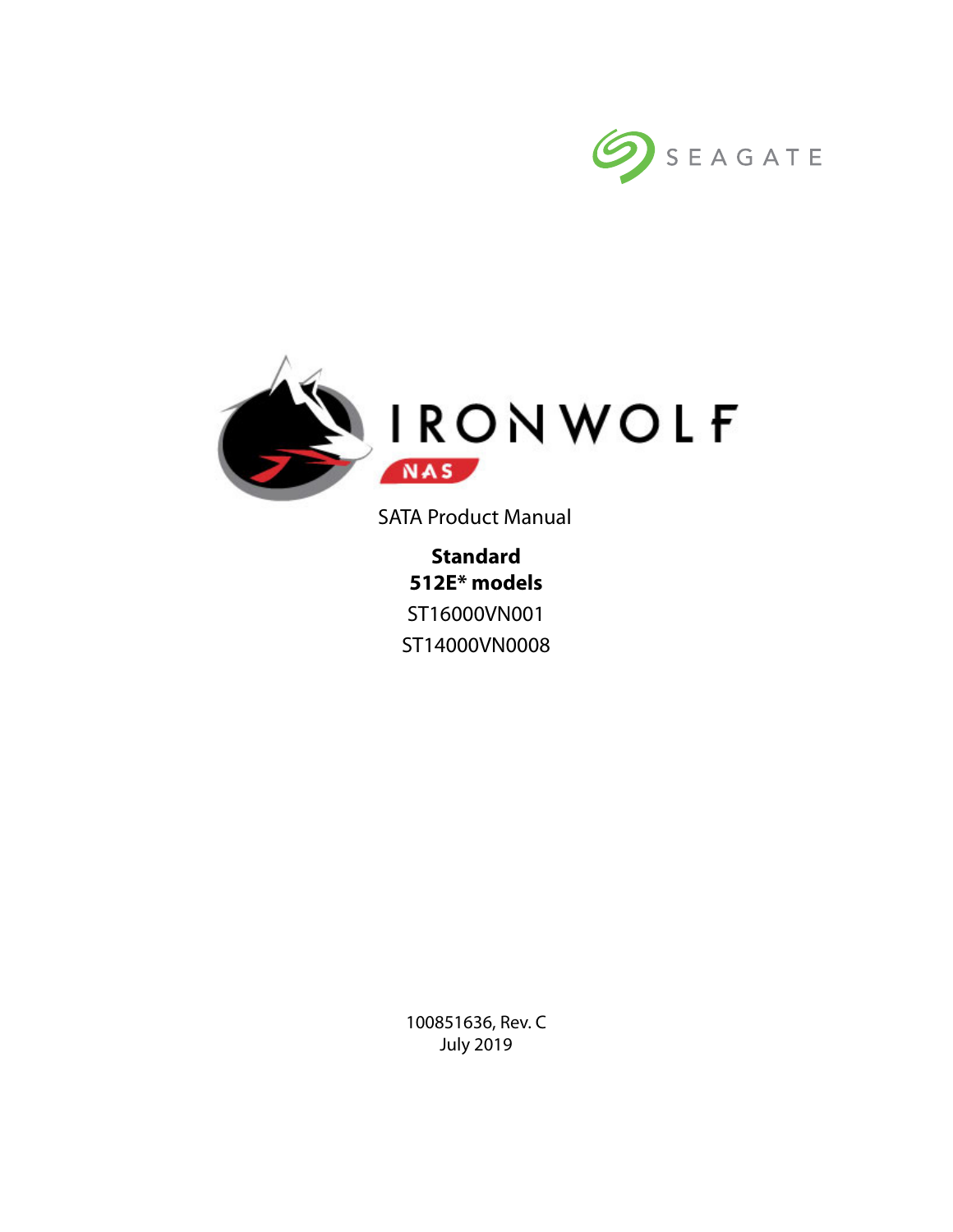



SATA Product Manual

**Standard 512E\* models** ST16000VN001 ST14000VN0008

100851636, Rev. C July 2019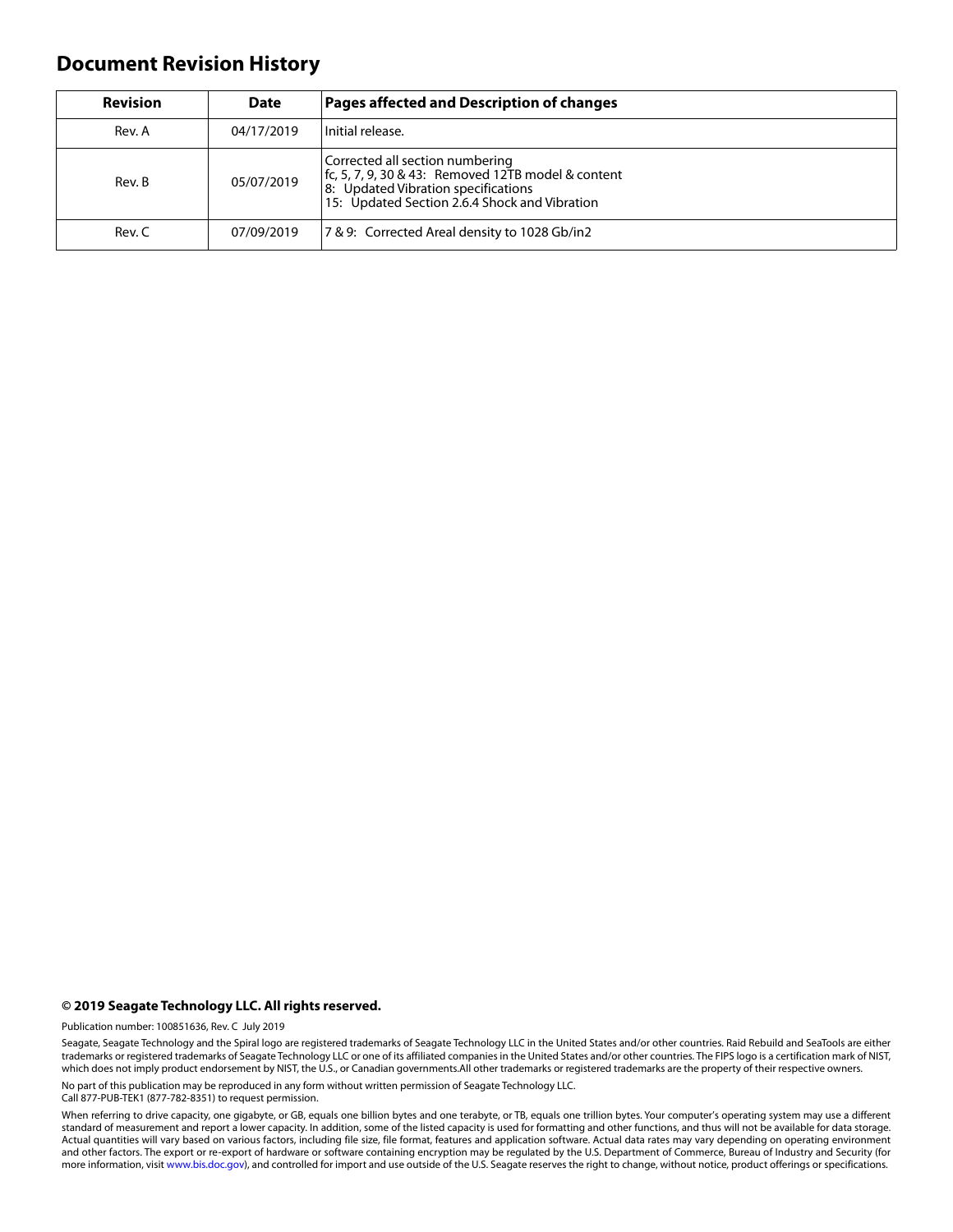### **Document Revision History**

| <b>Revision</b> | <b>Date</b> | Pages affected and Description of changes                                                                                                                                        |
|-----------------|-------------|----------------------------------------------------------------------------------------------------------------------------------------------------------------------------------|
| Rev. A          | 04/17/2019  | Initial release.                                                                                                                                                                 |
| Rev. B          | 05/07/2019  | Corrected all section numbering<br>$fc$ , 5, 7, 9, 30 & 43: Removed 12TB model & content<br>8: Updated Vibration specifications<br>15: Updated Section 2.6.4 Shock and Vibration |
| Rev. C          | 07/09/2019  | [7 & 9: Corrected Areal density to 1028 Gb/in2                                                                                                                                   |

#### **© 2019 Seagate Technology LLC. All rights reserved.**

Publication number: 100851636, Rev. C July 2019

Seagate, Seagate Technology and the Spiral logo are registered trademarks of Seagate Technology LLC in the United States and/or other countries. Raid Rebuild and SeaTools are either trademarks or registered trademarks of Seagate Technology LLC or one of its affiliated companies in the United States and/or other countries. The FIPS logo is a certification mark of NIST, which does not imply product endorsement by NIST, the U.S., or Canadian governments.All other trademarks or registered trademarks are the property of their respective owners.

No part of this publication may be reproduced in any form without written permission of Seagate Technology LLC. Call 877-PUB-TEK1 (877-782-8351) to request permission.

When referring to drive capacity, one gigabyte, or GB, equals one billion bytes and one terabyte, or TB, equals one trillion bytes. Your computer's operating system may use a different standard of measurement and report a lower capacity. In addition, some of the listed capacity is used for formatting and other functions, and thus will not be available for data storage. Actual quantities will vary based on various factors, including file size, file format, features and application software. Actual data rates may vary depending on operating environment and other factors. The export or re-export of hardware or software containing encryption may be regulated by the U.S. Department of Commerce, Bureau of Industry and Security (for more information, visit [www.bis.doc.gov](http://www.bis.doc.gov)), and controlled for import and use outside of the U.S. Seagate reserves the right to change, without notice, product offerings or specifications.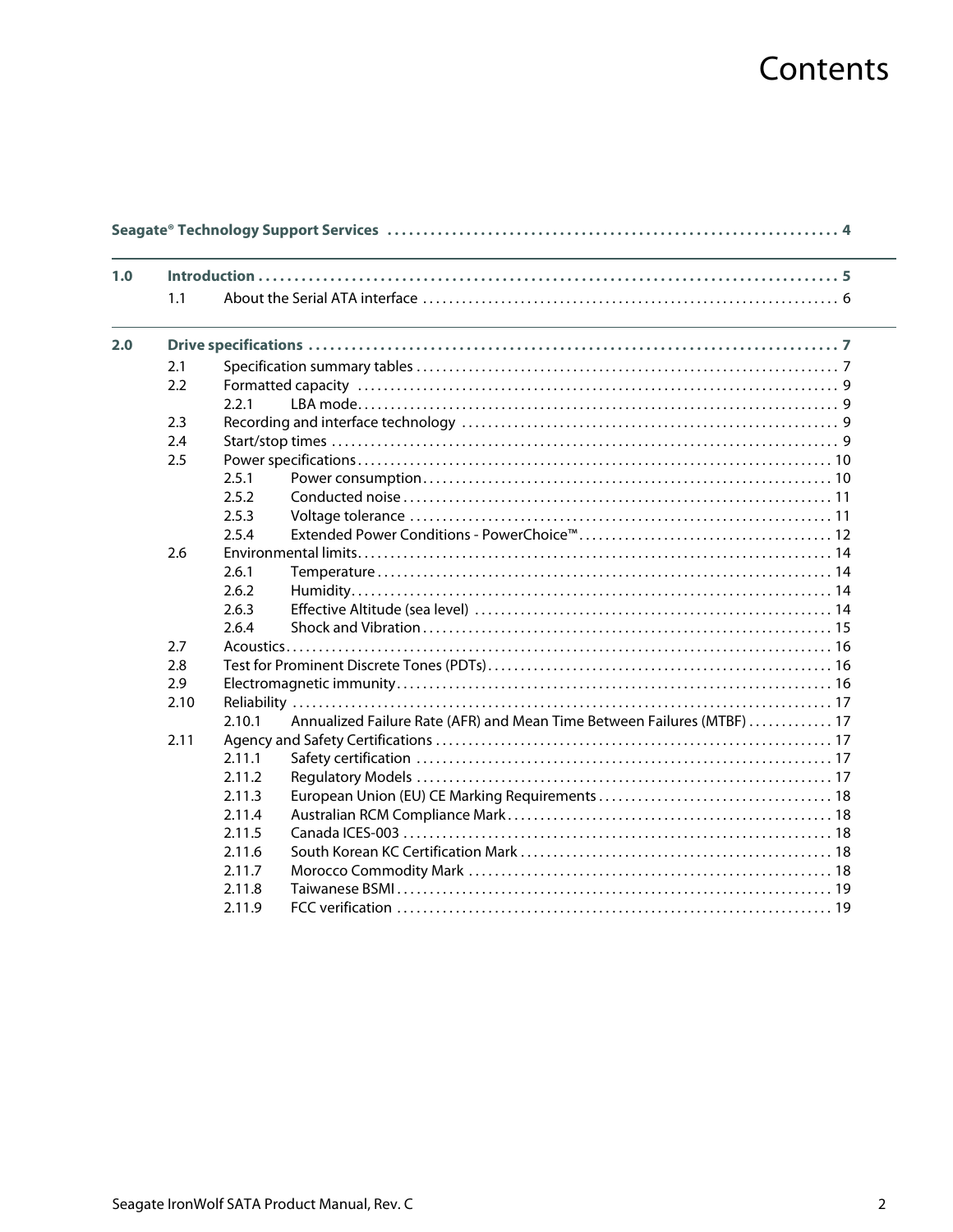# Contents

| 1.0 |      |        |                                                                         |
|-----|------|--------|-------------------------------------------------------------------------|
|     | 1.1  |        |                                                                         |
| 2.0 |      |        |                                                                         |
|     | 2.1  |        |                                                                         |
|     | 2.2  |        |                                                                         |
|     |      | 2.2.1  |                                                                         |
|     | 2.3  |        |                                                                         |
|     | 2.4  |        |                                                                         |
|     | 2.5  |        |                                                                         |
|     |      | 2.5.1  |                                                                         |
|     |      | 2.5.2  |                                                                         |
|     |      | 2.5.3  |                                                                         |
|     |      | 2.5.4  |                                                                         |
|     | 2.6  |        |                                                                         |
|     |      | 2.6.1  |                                                                         |
|     |      | 2.6.2  |                                                                         |
|     |      | 2.6.3  |                                                                         |
|     |      | 2.6.4  |                                                                         |
|     | 2.7  |        |                                                                         |
|     | 2.8  |        |                                                                         |
|     | 2.9  |        |                                                                         |
|     | 2.10 |        |                                                                         |
|     |      | 2.10.1 | Annualized Failure Rate (AFR) and Mean Time Between Failures (MTBF)  17 |
|     | 2.11 |        |                                                                         |
|     |      | 2.11.1 |                                                                         |
|     |      | 2.11.2 |                                                                         |
|     |      | 2.11.3 |                                                                         |
|     |      | 2.11.4 |                                                                         |
|     |      | 2.11.5 |                                                                         |
|     |      | 2.11.6 |                                                                         |
|     |      | 2.11.7 |                                                                         |
|     |      | 2.11.8 |                                                                         |
|     |      | 2.11.9 |                                                                         |
|     |      |        |                                                                         |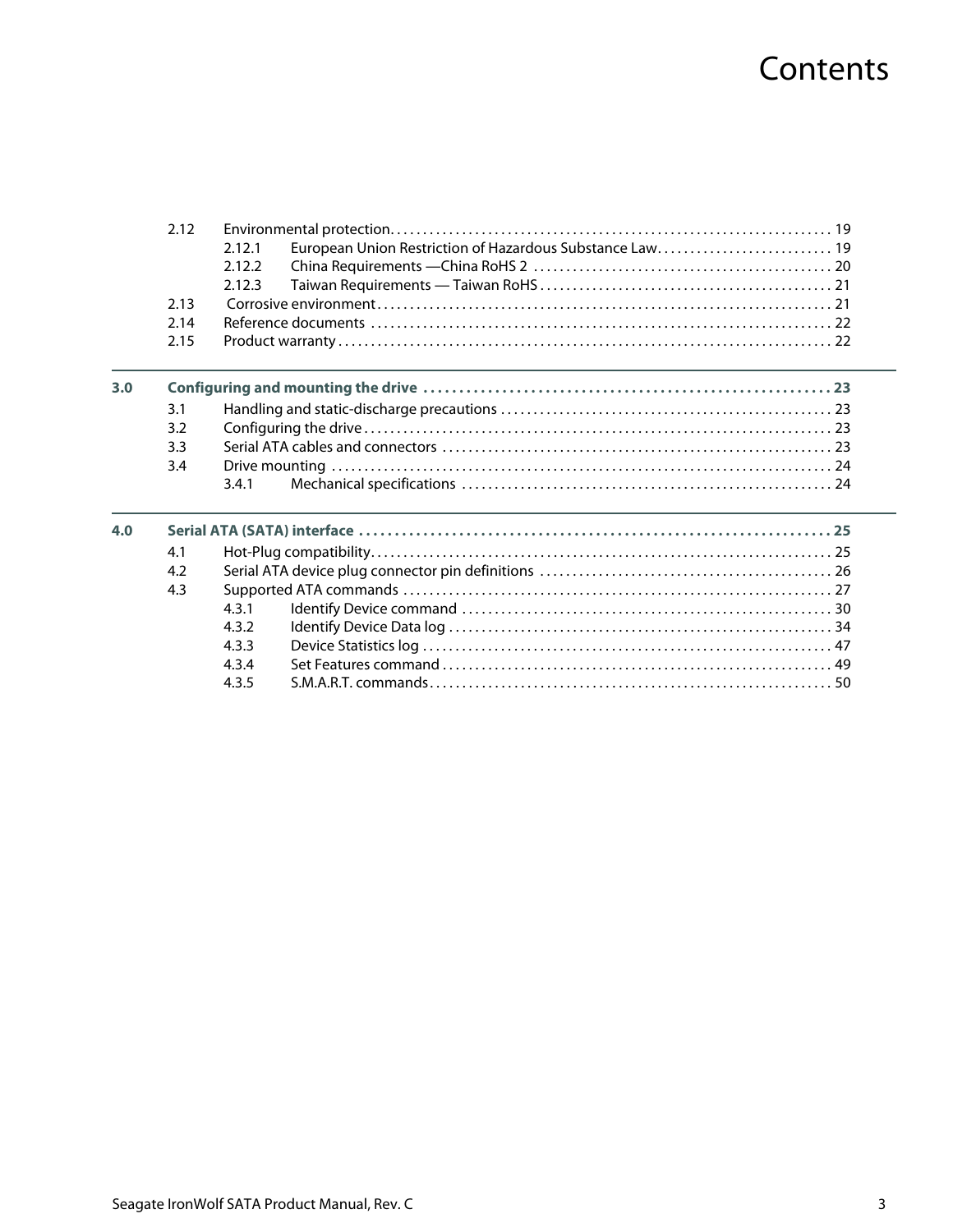## Contents

|     | 2.12 |        |                                                          |  |
|-----|------|--------|----------------------------------------------------------|--|
|     |      | 2.12.1 | European Union Restriction of Hazardous Substance Law 19 |  |
|     |      | 2.12.2 |                                                          |  |
|     |      | 2.12.3 |                                                          |  |
|     | 2.13 |        |                                                          |  |
|     | 2.14 |        |                                                          |  |
|     | 2.15 |        |                                                          |  |
| 3.0 |      |        |                                                          |  |
|     | 3.1  |        |                                                          |  |
|     | 3.2  |        |                                                          |  |
|     | 3.3  |        |                                                          |  |
|     | 3.4  |        |                                                          |  |
|     |      | 3.4.1  |                                                          |  |
| 4.0 |      |        |                                                          |  |
|     | 4.1  |        |                                                          |  |
|     | 4.2  |        |                                                          |  |
|     | 4.3  |        |                                                          |  |
|     |      | 4.3.1  |                                                          |  |
|     |      | 4.3.2  |                                                          |  |
|     |      | 4.3.3  |                                                          |  |
|     |      | 4.3.4  |                                                          |  |
|     |      | 4.3.5  |                                                          |  |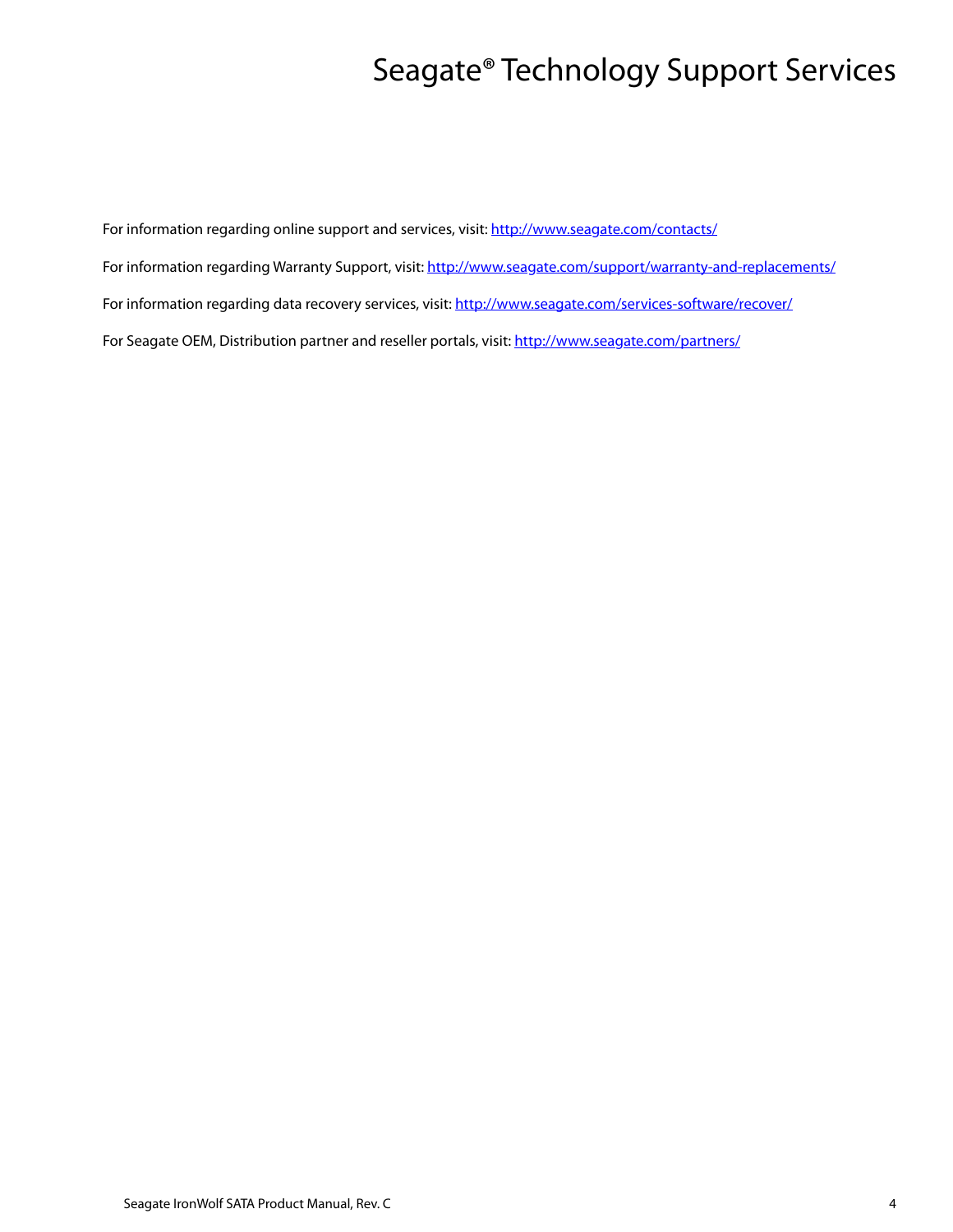## Seagate® Technology Support Services

<span id="page-4-0"></span>For information regarding online support and services, visit: [http://www.sea](http://www.seagate.com/contacts/)gate.com/contacts/ [For information regarding Warranty Support, visit: h](http://www.seagate.com/support/warranty-and-replacements/)ttp://www.seagate.com/support/warranty-and-replacements/ For information regarding data recovery services, visit: [http://www.seagate.com/services-software/recover/](http://www.seagate.com/services-software/data-recovery-services/) [For Seagate OEM, Distribution partner and reseller portals, visit: h](http://www.seagate.com/partners/)ttp://www.seagate.com/partners/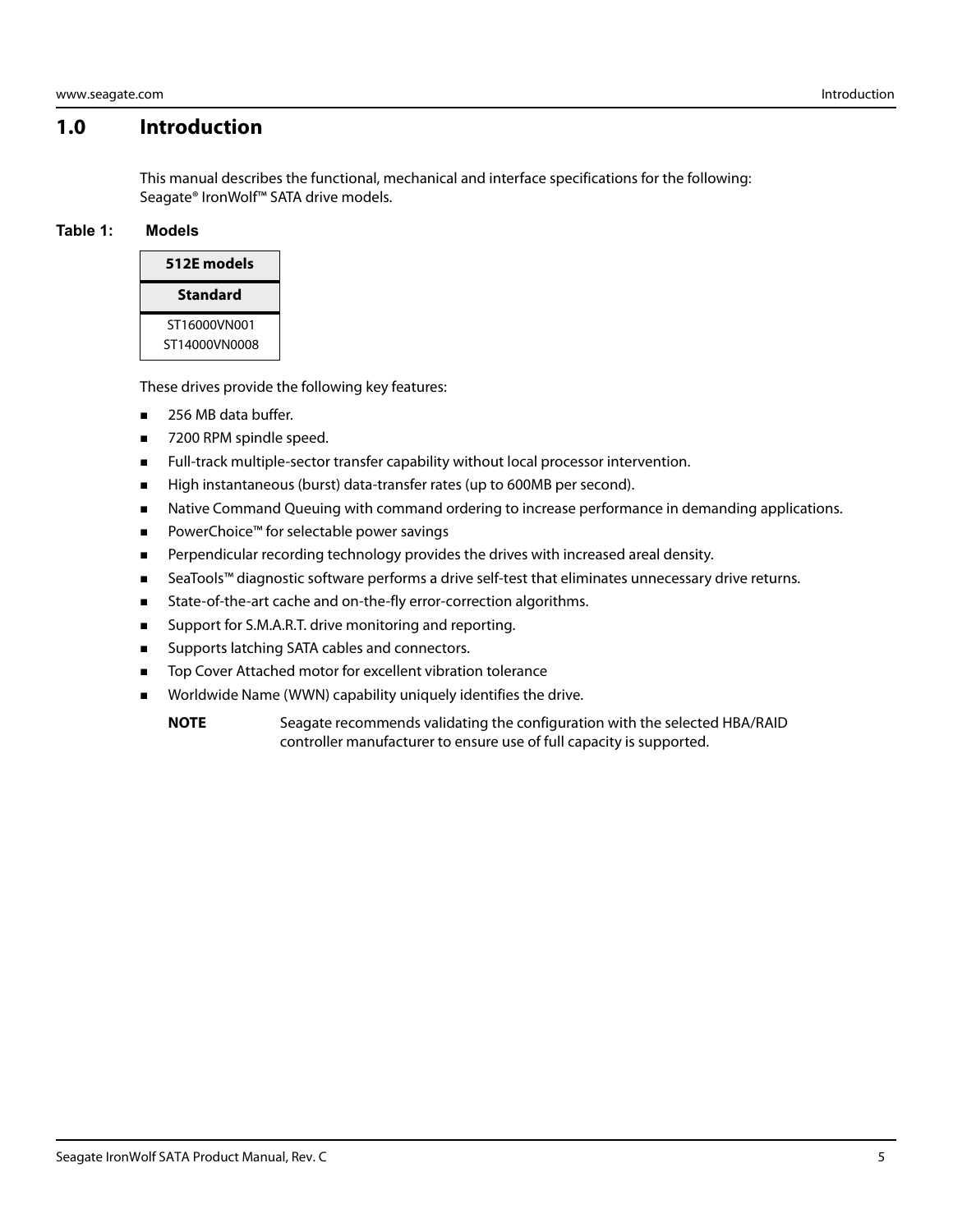### <span id="page-5-0"></span>**1.0 Introduction**

This manual describes the functional, mechanical and interface specifications for the following: Seagate® IronWolf™ SATA drive models.

#### **Table 1: Models**



These drives provide the following key features:

- 256 MB data buffer.
- 7200 RPM spindle speed.
- **Full-track multiple-sector transfer capability without local processor intervention.**
- High instantaneous (burst) data-transfer rates (up to 600MB per second).
- **Native Command Queuing with command ordering to increase performance in demanding applications.**
- PowerChoice™ for selectable power savings
- **Perpendicular recording technology provides the drives with increased areal density.**
- SeaTools™ diagnostic software performs a drive self-test that eliminates unnecessary drive returns.
- State-of-the-art cache and on-the-fly error-correction algorithms.
- **Support for S.M.A.R.T. drive monitoring and reporting.**
- Supports latching SATA cables and connectors.
- Top Cover Attached motor for excellent vibration tolerance
- Worldwide Name (WWN) capability uniquely identifies the drive.

**NOTE** Seagate recommends validating the configuration with the selected HBA/RAID controller manufacturer to ensure use of full capacity is supported.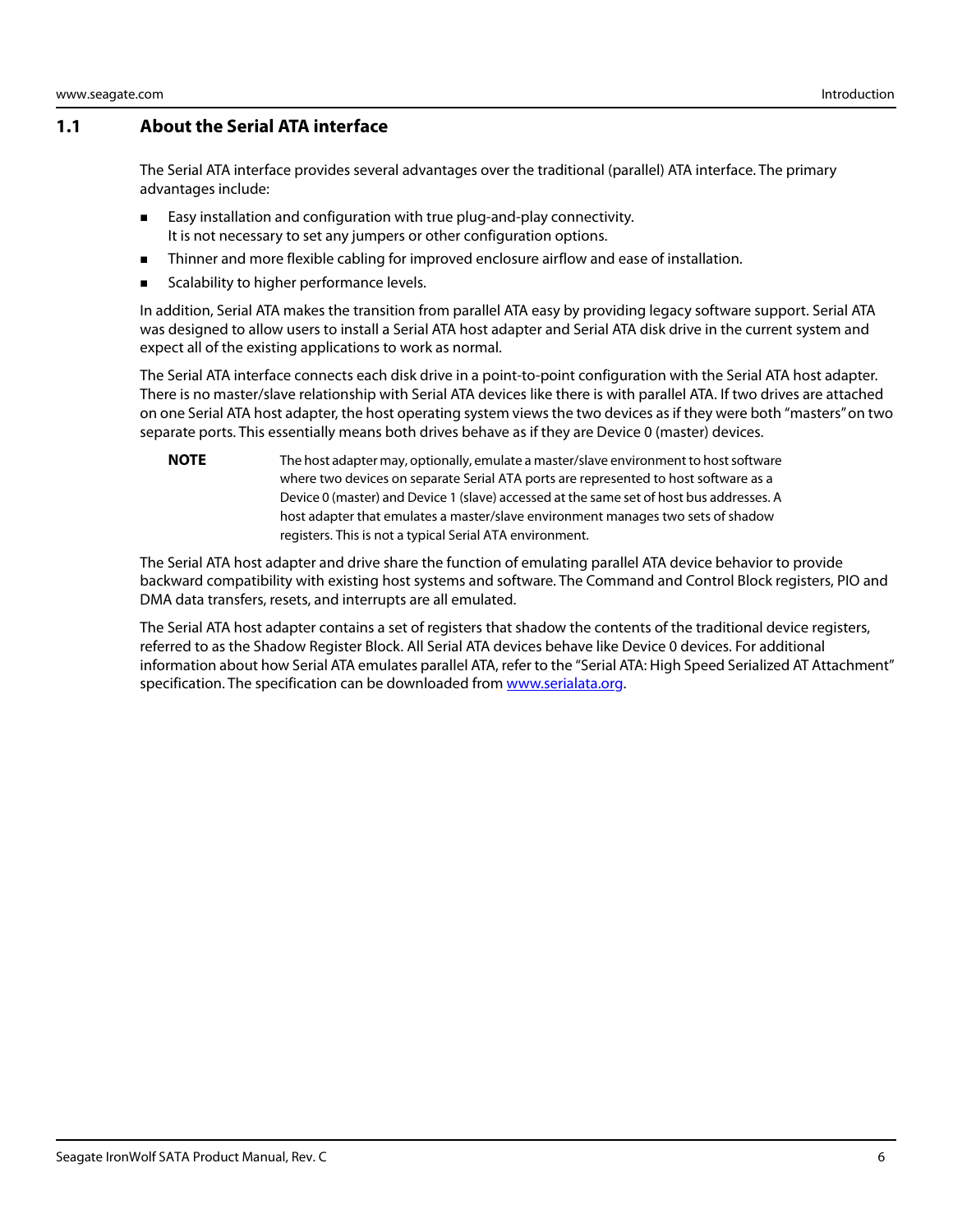### <span id="page-6-0"></span>**1.1 About the Serial ATA interface**

The Serial ATA interface provides several advantages over the traditional (parallel) ATA interface. The primary advantages include:

- **Easy installation and configuration with true plug-and-play connectivity.** It is not necessary to set any jumpers or other configuration options.
- **Thinner and more flexible cabling for improved enclosure airflow and ease of installation.**
- Scalability to higher performance levels.

In addition, Serial ATA makes the transition from parallel ATA easy by providing legacy software support. Serial ATA was designed to allow users to install a Serial ATA host adapter and Serial ATA disk drive in the current system and expect all of the existing applications to work as normal.

The Serial ATA interface connects each disk drive in a point-to-point configuration with the Serial ATA host adapter. There is no master/slave relationship with Serial ATA devices like there is with parallel ATA. If two drives are attached on one Serial ATA host adapter, the host operating system views the two devices as if they were both "masters" on two separate ports. This essentially means both drives behave as if they are Device 0 (master) devices.

**NOTE** The host adapter may, optionally, emulate a master/slave environment to host software where two devices on separate Serial ATA ports are represented to host software as a Device 0 (master) and Device 1 (slave) accessed at the same set of host bus addresses. A host adapter that emulates a master/slave environment manages two sets of shadow registers. This is not a typical Serial ATA environment.

The Serial ATA host adapter and drive share the function of emulating parallel ATA device behavior to provide backward compatibility with existing host systems and software. The Command and Control Block registers, PIO and DMA data transfers, resets, and interrupts are all emulated.

The Serial ATA host adapter contains a set of registers that shadow the contents of the traditional device registers, referred to as the Shadow Register Block. All Serial ATA devices behave like Device 0 devices. For additional information about how Serial ATA emulates parallel ATA, refer to the "Serial ATA: High Speed Serialized AT Attachment" specification. The specification can be downloaded from **[www.serialata.or](http://www.serialata.org)g**.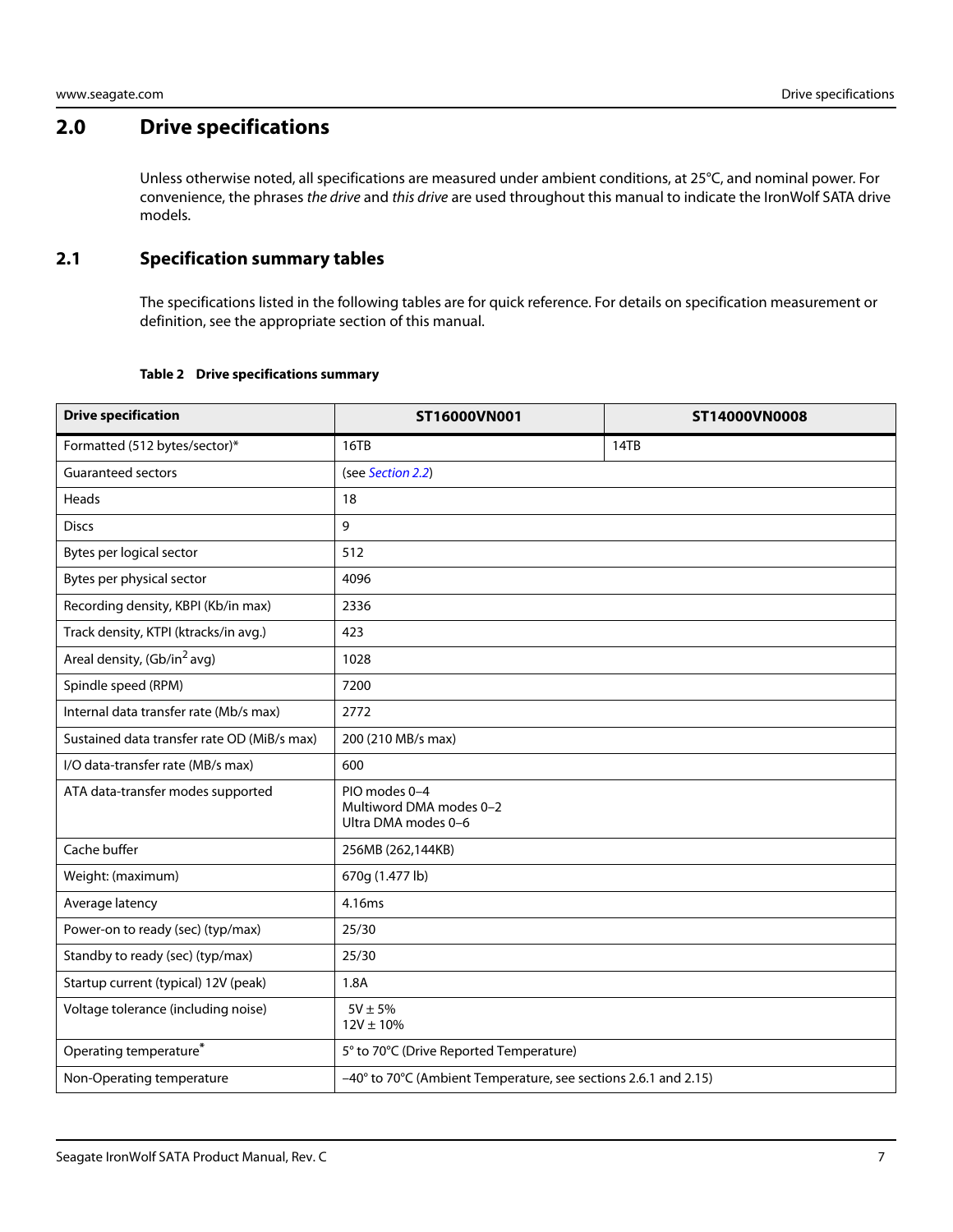## <span id="page-7-0"></span>**2.0 Drive specifications**

Unless otherwise noted, all specifications are measured under ambient conditions, at 25°C, and nominal power. For convenience, the phrases the drive and this drive are used throughout this manual to indicate the IronWolf SATA drive models.

### <span id="page-7-1"></span>**2.1 Specification summary tables**

The specifications listed in the following tables are for quick reference. For details on specification measurement or definition, see the appropriate section of this manual.

#### **Table 2 Drive specifications summary**

<span id="page-7-2"></span>

| <b>Drive specification</b>                  | ST16000VN001                                                    | ST14000VN0008 |  |
|---------------------------------------------|-----------------------------------------------------------------|---------------|--|
| Formatted (512 bytes/sector)*               | 16TB                                                            | 14TB          |  |
| <b>Guaranteed sectors</b>                   | (see Section 2.2)                                               |               |  |
| Heads                                       | 18                                                              |               |  |
| <b>Discs</b>                                | 9                                                               |               |  |
| Bytes per logical sector                    | 512                                                             |               |  |
| Bytes per physical sector                   | 4096                                                            |               |  |
| Recording density, KBPI (Kb/in max)         | 2336                                                            |               |  |
| Track density, KTPI (ktracks/in avg.)       | 423                                                             |               |  |
| Areal density, (Gb/in <sup>2</sup> avg)     | 1028                                                            |               |  |
| Spindle speed (RPM)                         | 7200                                                            |               |  |
| Internal data transfer rate (Mb/s max)      | 2772                                                            |               |  |
| Sustained data transfer rate OD (MiB/s max) | 200 (210 MB/s max)                                              |               |  |
| I/O data-transfer rate (MB/s max)           | 600                                                             |               |  |
| ATA data-transfer modes supported           | PIO modes 0-4<br>Multiword DMA modes 0-2<br>Ultra DMA modes 0-6 |               |  |
| Cache buffer                                | 256MB (262,144KB)                                               |               |  |
| Weight: (maximum)                           | 670g (1.477 lb)                                                 |               |  |
| Average latency                             | 4.16ms                                                          |               |  |
| Power-on to ready (sec) (typ/max)           | 25/30                                                           |               |  |
| Standby to ready (sec) (typ/max)            | 25/30                                                           |               |  |
| Startup current (typical) 12V (peak)        | 1.8A                                                            |               |  |
| Voltage tolerance (including noise)         | $5V \pm 5%$<br>$12V \pm 10%$                                    |               |  |
| Operating temperature*                      | 5° to 70°C (Drive Reported Temperature)                         |               |  |
| Non-Operating temperature                   | -40° to 70°C (Ambient Temperature, see sections 2.6.1 and 2.15) |               |  |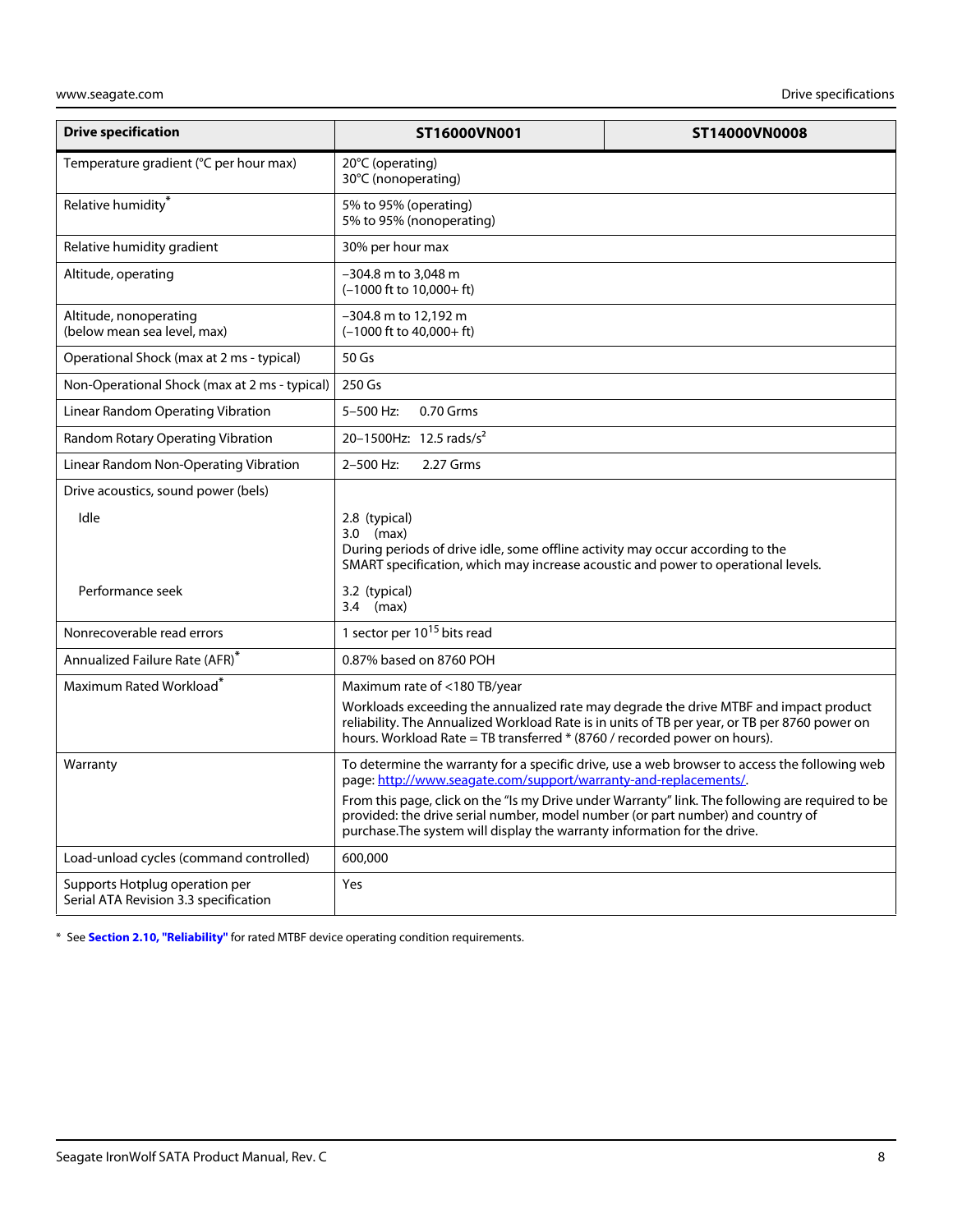| <b>Drive specification</b>                                              | ST16000VN001                                                                                                                                                                                                                                                                                                                                                                                                                         | ST14000VN0008 |  |
|-------------------------------------------------------------------------|--------------------------------------------------------------------------------------------------------------------------------------------------------------------------------------------------------------------------------------------------------------------------------------------------------------------------------------------------------------------------------------------------------------------------------------|---------------|--|
| Temperature gradient (°C per hour max)                                  | 20°C (operating)<br>30°C (nonoperating)                                                                                                                                                                                                                                                                                                                                                                                              |               |  |
| Relative humidity*                                                      | 5% to 95% (operating)<br>5% to 95% (nonoperating)                                                                                                                                                                                                                                                                                                                                                                                    |               |  |
| Relative humidity gradient                                              | 30% per hour max                                                                                                                                                                                                                                                                                                                                                                                                                     |               |  |
| Altitude, operating                                                     | -304.8 m to 3,048 m<br>$(-1000$ ft to $10.000 + ft$ )                                                                                                                                                                                                                                                                                                                                                                                |               |  |
| Altitude, nonoperating<br>(below mean sea level, max)                   | -304.8 m to 12,192 m<br>$(-1000$ ft to $40,000+$ ft)                                                                                                                                                                                                                                                                                                                                                                                 |               |  |
| Operational Shock (max at 2 ms - typical)                               | 50 Gs                                                                                                                                                                                                                                                                                                                                                                                                                                |               |  |
| Non-Operational Shock (max at 2 ms - typical)                           | 250 Gs                                                                                                                                                                                                                                                                                                                                                                                                                               |               |  |
| Linear Random Operating Vibration                                       | 0.70 Grms<br>5-500 Hz:                                                                                                                                                                                                                                                                                                                                                                                                               |               |  |
| Random Rotary Operating Vibration                                       | 20-1500Hz: 12.5 rads/s <sup>2</sup>                                                                                                                                                                                                                                                                                                                                                                                                  |               |  |
| Linear Random Non-Operating Vibration                                   | 2.27 Grms<br>2-500 Hz:                                                                                                                                                                                                                                                                                                                                                                                                               |               |  |
| Drive acoustics, sound power (bels)                                     |                                                                                                                                                                                                                                                                                                                                                                                                                                      |               |  |
| Idle                                                                    | 2.8 (typical)<br>$3.0$ (max)<br>During periods of drive idle, some offline activity may occur according to the<br>SMART specification, which may increase acoustic and power to operational levels.                                                                                                                                                                                                                                  |               |  |
| Performance seek                                                        | 3.2 (typical)<br>$3.4$ (max)                                                                                                                                                                                                                                                                                                                                                                                                         |               |  |
| Nonrecoverable read errors                                              | 1 sector per $10^{15}$ bits read                                                                                                                                                                                                                                                                                                                                                                                                     |               |  |
| Annualized Failure Rate (AFR)*                                          | 0.87% based on 8760 POH                                                                                                                                                                                                                                                                                                                                                                                                              |               |  |
| Maximum Rated Workload*                                                 | Maximum rate of <180 TB/year<br>Workloads exceeding the annualized rate may degrade the drive MTBF and impact product<br>reliability. The Annualized Workload Rate is in units of TB per year, or TB per 8760 power on<br>hours. Workload Rate = TB transferred * (8760 / recorded power on hours).                                                                                                                                  |               |  |
| Warranty                                                                | To determine the warranty for a specific drive, use a web browser to access the following web<br>page: http://www.seagate.com/support/warranty-and-replacements/<br>From this page, click on the "Is my Drive under Warranty" link. The following are required to be<br>provided: the drive serial number, model number (or part number) and country of<br>purchase. The system will display the warranty information for the drive. |               |  |
| Load-unload cycles (command controlled)                                 | 600,000                                                                                                                                                                                                                                                                                                                                                                                                                              |               |  |
| Supports Hotplug operation per<br>Serial ATA Revision 3.3 specification | Yes                                                                                                                                                                                                                                                                                                                                                                                                                                  |               |  |

<span id="page-8-0"></span>\* See **[Section 2.10, "Reliability"](#page-17-0)** for rated MTBF device operating condition requirements.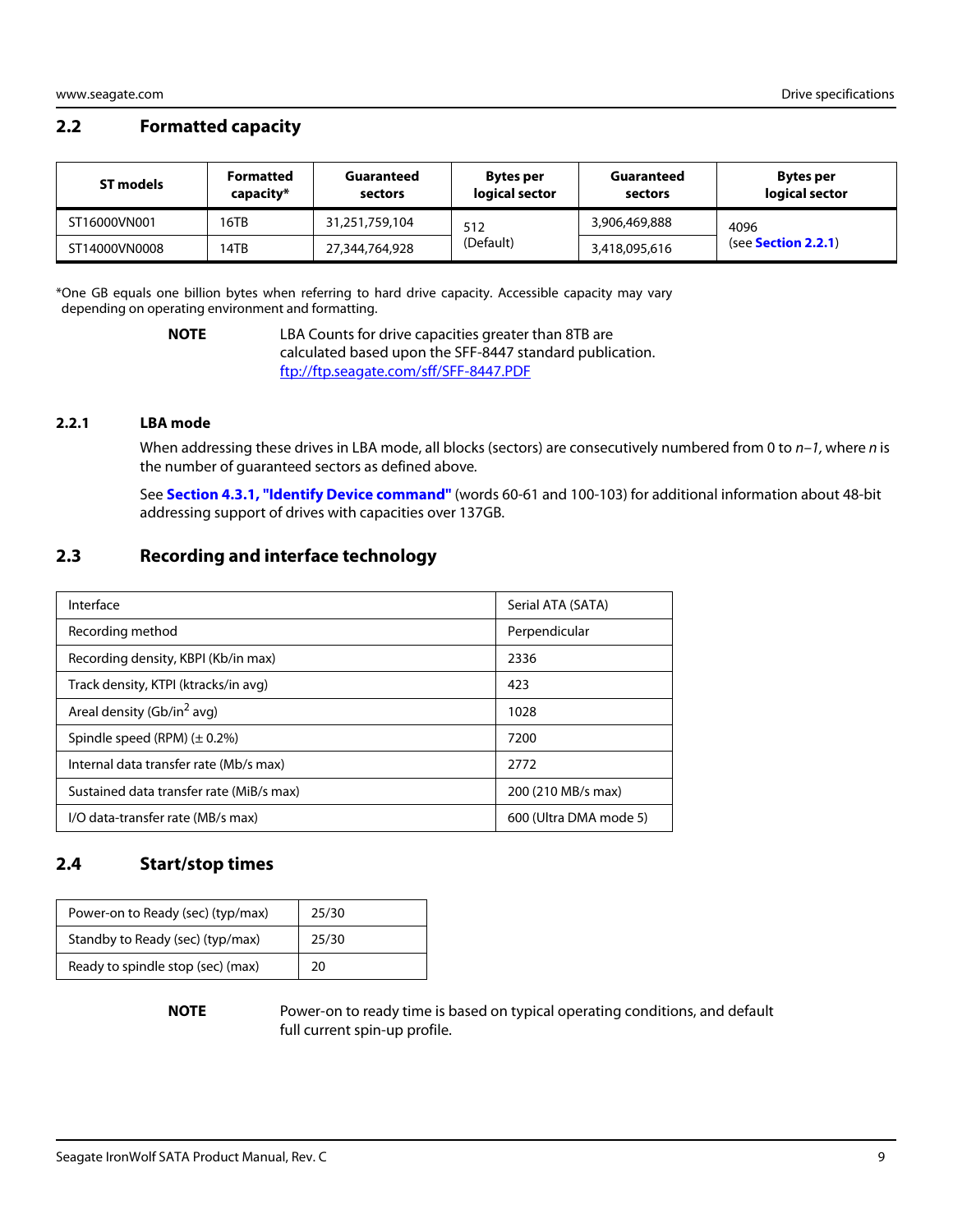### <span id="page-9-0"></span>**2.2 Formatted capacity**

| ST models     | Formatted<br>capacity* | Guaranteed<br>sectors | <b>Bytes per</b><br>logical sector | Guaranteed<br>sectors | Bytes per<br>logical sector |
|---------------|------------------------|-----------------------|------------------------------------|-----------------------|-----------------------------|
| ST16000VN001  | 16TB                   | 31,251,759,104        | 512                                | 3,906,469,888         | 4096                        |
| ST14000VN0008 | 14TB                   | 27,344,764,928        | (Default)                          | 3,418,095,616         | (see <b>Section 2.2.1</b> ) |

\*One GB equals one billion bytes when referring to hard drive capacity. Accessible capacity may vary depending on operating environment and formatting.

**NOTE** LBA Counts for drive capacities greater than 8TB are calculated based upon the SFF-8447 standard publication. [ftp://ftp.seag](ftp://ftp.seagate.com/sff/SFF-8447.PDF)ate.com/sff/SFF-8447.PDF

#### <span id="page-9-1"></span>**2.2.1 LBA mode**

When addressing these drives in LBA mode, all blocks (sectors) are consecutively numbered from 0 to  $n-1$ , where n is the number of guaranteed sectors as defined above.

See **[Section 4.3.1, "Identify Device command"](#page-30-0)** (words 60-61 and 100-103) for additional information about 48-bit addressing support of drives with capacities over 137GB.

### <span id="page-9-2"></span>**2.3 Recording and interface technology**

| Interface                                | Serial ATA (SATA)      |
|------------------------------------------|------------------------|
| Recording method                         | Perpendicular          |
| Recording density, KBPI (Kb/in max)      | 2336                   |
| Track density, KTPI (ktracks/in avg)     | 423                    |
| Areal density (Gb/in <sup>2</sup> avg)   | 1028                   |
| Spindle speed (RPM) $(\pm 0.2\%)$        | 7200                   |
| Internal data transfer rate (Mb/s max)   | 2772                   |
| Sustained data transfer rate (MiB/s max) | 200 (210 MB/s max)     |
| I/O data-transfer rate (MB/s max)        | 600 (Ultra DMA mode 5) |

### <span id="page-9-3"></span>**2.4 Start/stop times**

| Power-on to Ready (sec) (typ/max) | 25/30 |
|-----------------------------------|-------|
| Standby to Ready (sec) (typ/max)  | 25/30 |
| Ready to spindle stop (sec) (max) | 20    |

**NOTE** Power-on to ready time is based on typical operating conditions, and default full current spin-up profile.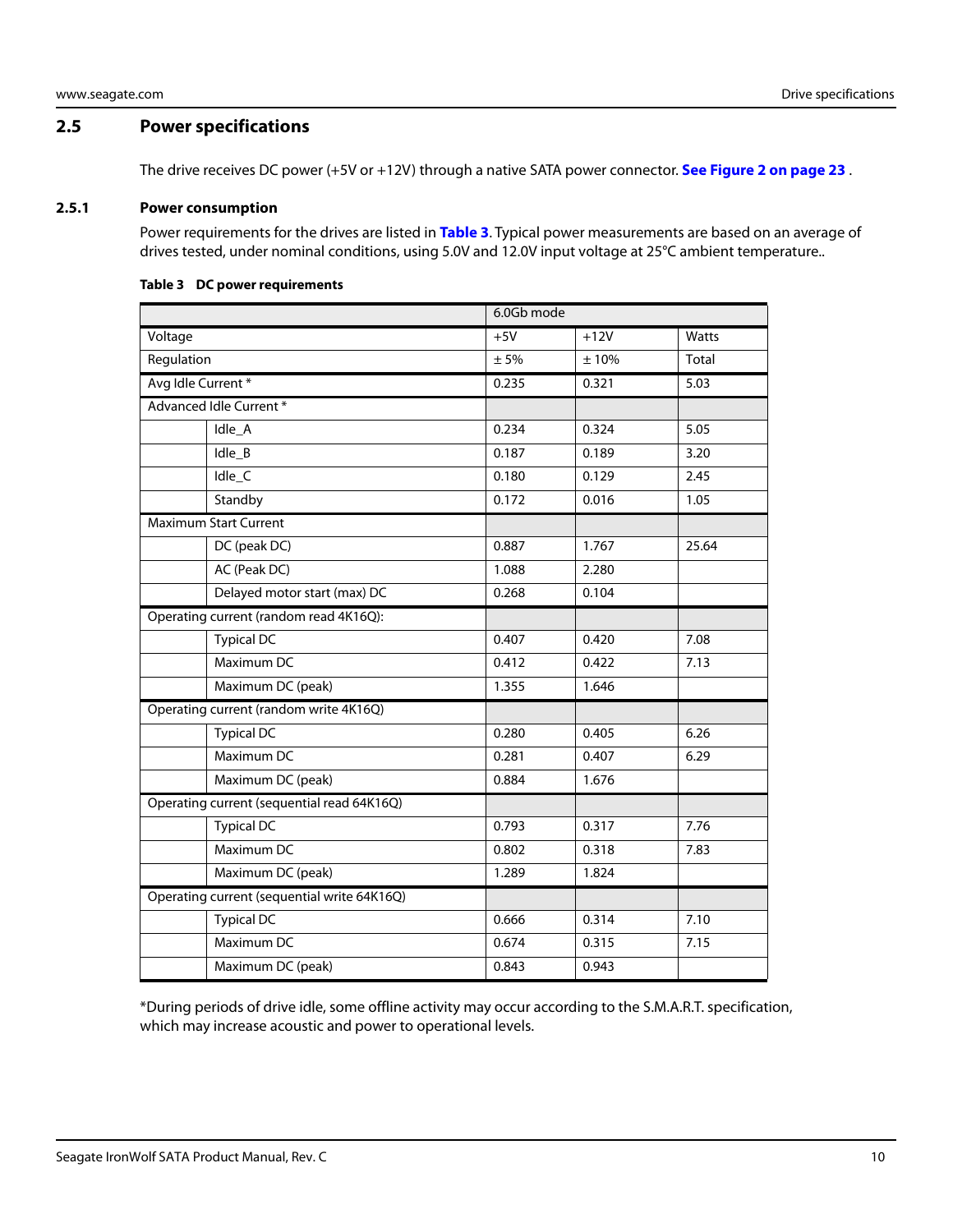### <span id="page-10-0"></span>**2.5 Power specifications**

The drive receives DC power (+5V or +12V) through a native SATA power connector. **[See Figure 2 on page 23](#page-23-4)** .

#### <span id="page-10-2"></span><span id="page-10-1"></span>**2.5.1 Power consumption**

Power requirements for the drives are listed in **[Table 3](#page-10-2)**. Typical power measurements are based on an average of drives tested, under nominal conditions, using 5.0V and 12.0V input voltage at 25°C ambient temperature..

|                    |                                             | 6.0Gb mode |        |       |
|--------------------|---------------------------------------------|------------|--------|-------|
| Voltage            |                                             | $+5V$      | $+12V$ | Watts |
| Regulation         |                                             | ± 5%       | ±10%   | Total |
| Avg Idle Current * |                                             | 0.235      | 0.321  | 5.03  |
|                    | Advanced Idle Current*                      |            |        |       |
|                    | Idle_A                                      | 0.234      | 0.324  | 5.05  |
|                    | Idle_B                                      | 0.187      | 0.189  | 3.20  |
|                    | Idle_C                                      | 0.180      | 0.129  | 2.45  |
|                    | Standby                                     | 0.172      | 0.016  | 1.05  |
|                    | Maximum Start Current                       |            |        |       |
|                    | DC (peak DC)                                | 0.887      | 1.767  | 25.64 |
|                    | AC (Peak DC)                                | 1.088      | 2.280  |       |
|                    | Delayed motor start (max) DC                | 0.268      | 0.104  |       |
|                    | Operating current (random read 4K16Q):      |            |        |       |
|                    | <b>Typical DC</b>                           | 0.407      | 0.420  | 7.08  |
|                    | Maximum DC                                  | 0.412      | 0.422  | 7.13  |
|                    | Maximum DC (peak)                           | 1.355      | 1.646  |       |
|                    | Operating current (random write 4K16Q)      |            |        |       |
|                    | <b>Typical DC</b>                           | 0.280      | 0.405  | 6.26  |
|                    | Maximum DC                                  | 0.281      | 0.407  | 6.29  |
|                    | Maximum DC (peak)                           | 0.884      | 1.676  |       |
|                    | Operating current (sequential read 64K16Q)  |            |        |       |
|                    | <b>Typical DC</b>                           | 0.793      | 0.317  | 7.76  |
|                    | Maximum DC                                  | 0.802      | 0.318  | 7.83  |
|                    | Maximum DC (peak)                           | 1.289      | 1.824  |       |
|                    | Operating current (sequential write 64K16Q) |            |        |       |
|                    | <b>Typical DC</b>                           | 0.666      | 0.314  | 7.10  |
|                    | Maximum DC                                  | 0.674      | 0.315  | 7.15  |
|                    | Maximum DC (peak)                           | 0.843      | 0.943  |       |

#### **Table 3 DC power requirements**

\*During periods of drive idle, some offline activity may occur according to the S.M.A.R.T. specification, which may increase acoustic and power to operational levels.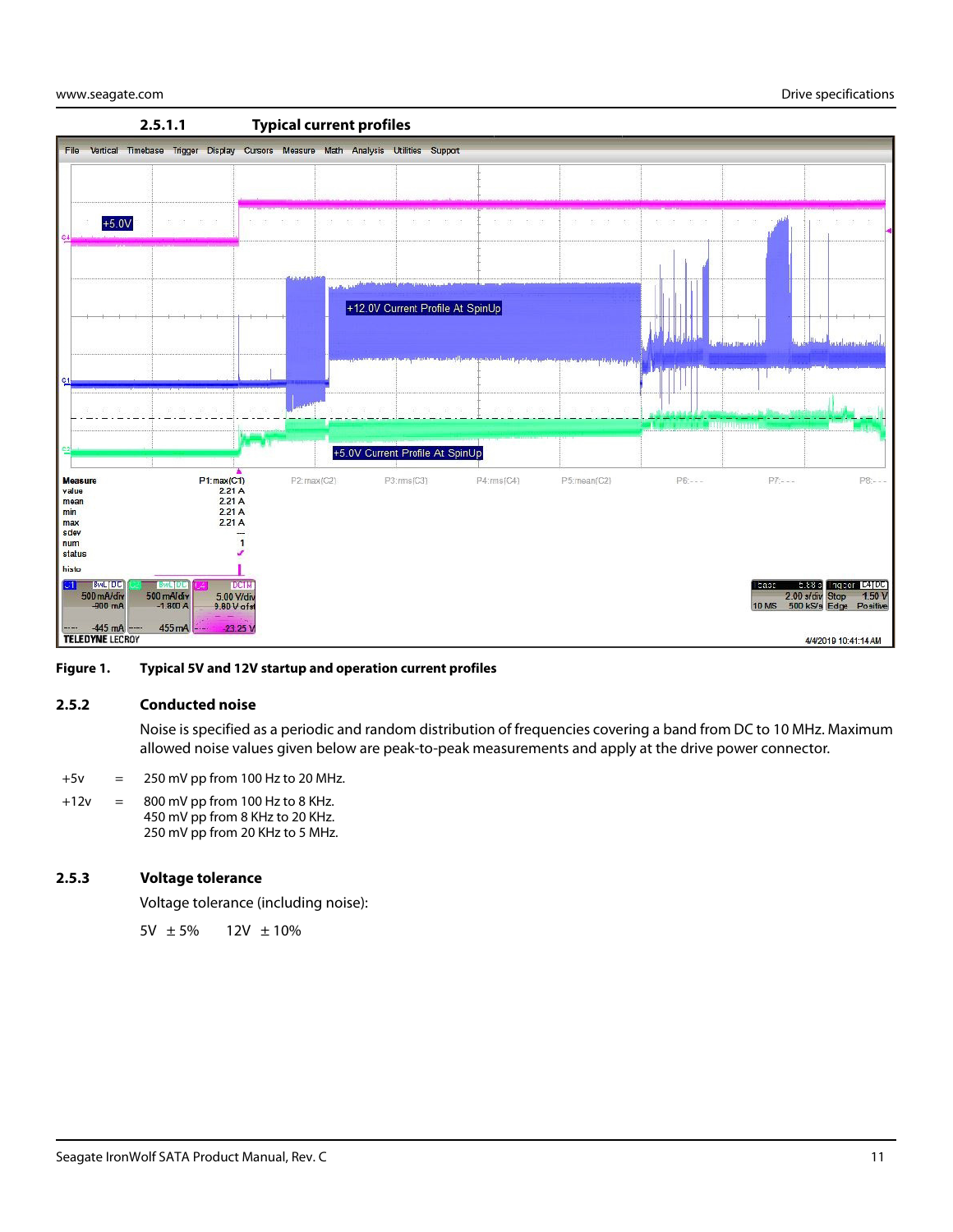

**Figure 1. Typical 5V and 12V startup and operation current profiles**

#### <span id="page-11-0"></span>**2.5.2 Conducted noise**

Noise is specified as a periodic and random distribution of frequencies covering a band from DC to 10 MHz. Maximum allowed noise values given below are peak-to-peak measurements and apply at the drive power connector.

- $+5v = 250$  mV pp from 100 Hz to 20 MHz.
- $+12v = 800$  mV pp from 100 Hz to 8 KHz. 450 mV pp from 8 KHz to 20 KHz. 250 mV pp from 20 KHz to 5 MHz.

### <span id="page-11-1"></span>**2.5.3 Voltage tolerance**

Voltage tolerance (including noise):

5V ± 5% 12V ± 10%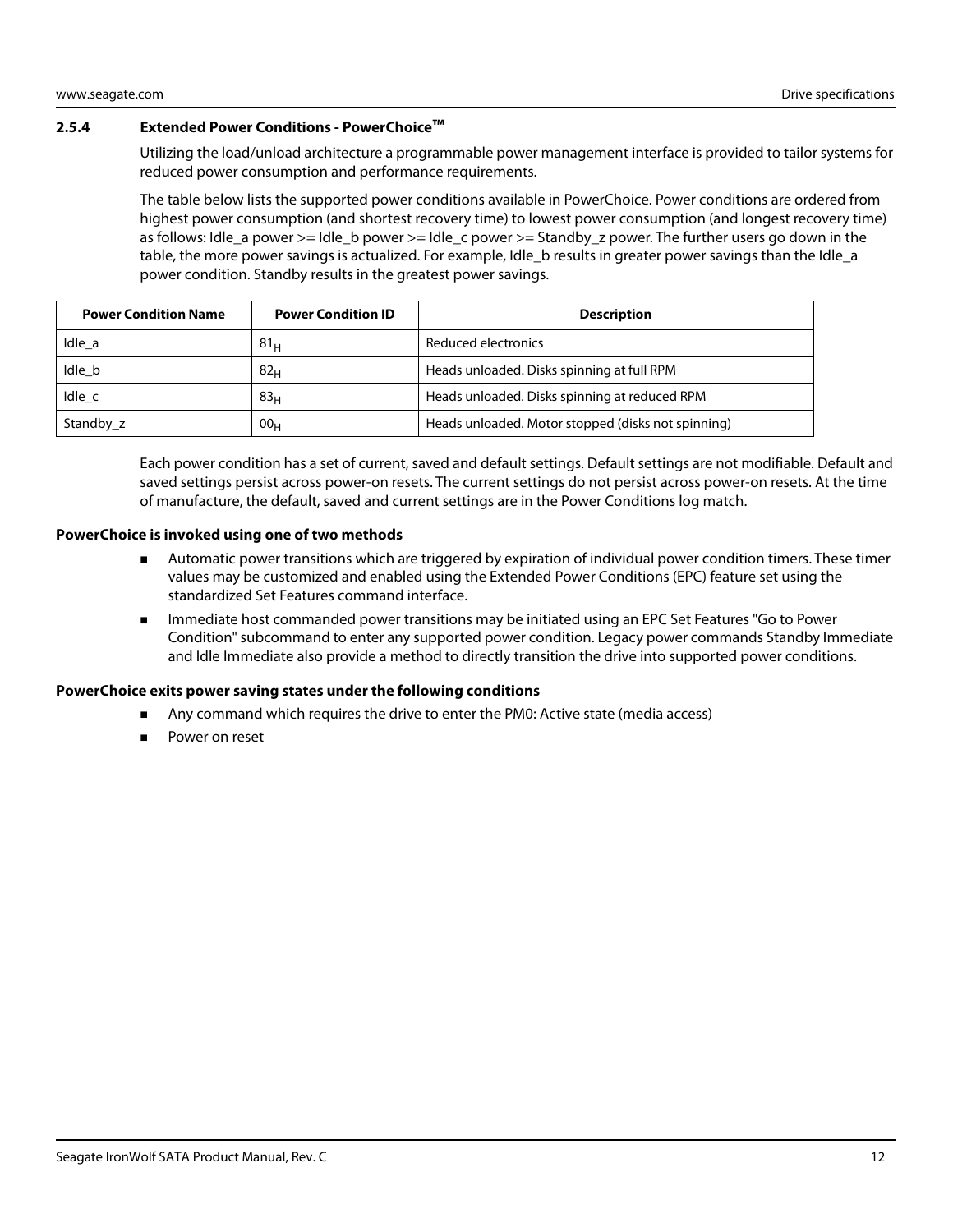#### <span id="page-12-0"></span>**2.5.4 Extended Power Conditions - PowerChoice™**

Utilizing the load/unload architecture a programmable power management interface is provided to tailor systems for reduced power consumption and performance requirements.

The table below lists the supported power conditions available in PowerChoice. Power conditions are ordered from highest power consumption (and shortest recovery time) to lowest power consumption (and longest recovery time) as follows: Idle a power  $>=$  Idle b power  $>=$  Idle c power  $>=$  Standby z power. The further users go down in the table, the more power savings is actualized. For example, Idle\_b results in greater power savings than the Idle\_a power condition. Standby results in the greatest power savings.

| <b>Power Condition Name</b> | <b>Power Condition ID</b> | <b>Description</b>                                 |
|-----------------------------|---------------------------|----------------------------------------------------|
| Idle a                      | 81 <sub>H</sub>           | Reduced electronics                                |
| Idle b                      | 82 <sub>H</sub>           | Heads unloaded. Disks spinning at full RPM         |
| Idle c                      | 83 <sub>H</sub>           | Heads unloaded. Disks spinning at reduced RPM      |
| Standby z                   | 00 <sub>H</sub>           | Heads unloaded. Motor stopped (disks not spinning) |

Each power condition has a set of current, saved and default settings. Default settings are not modifiable. Default and saved settings persist across power-on resets. The current settings do not persist across power-on resets. At the time of manufacture, the default, saved and current settings are in the Power Conditions log match.

#### **PowerChoice is invoked using one of two methods**

- Automatic power transitions which are triggered by expiration of individual power condition timers. These timer values may be customized and enabled using the Extended Power Conditions (EPC) feature set using the standardized Set Features command interface.
- Immediate host commanded power transitions may be initiated using an EPC Set Features "Go to Power Condition" subcommand to enter any supported power condition. Legacy power commands Standby Immediate and Idle Immediate also provide a method to directly transition the drive into supported power conditions.

#### **PowerChoice exits power saving states under the following conditions**

- Any command which requires the drive to enter the PM0: Active state (media access)
- Power on reset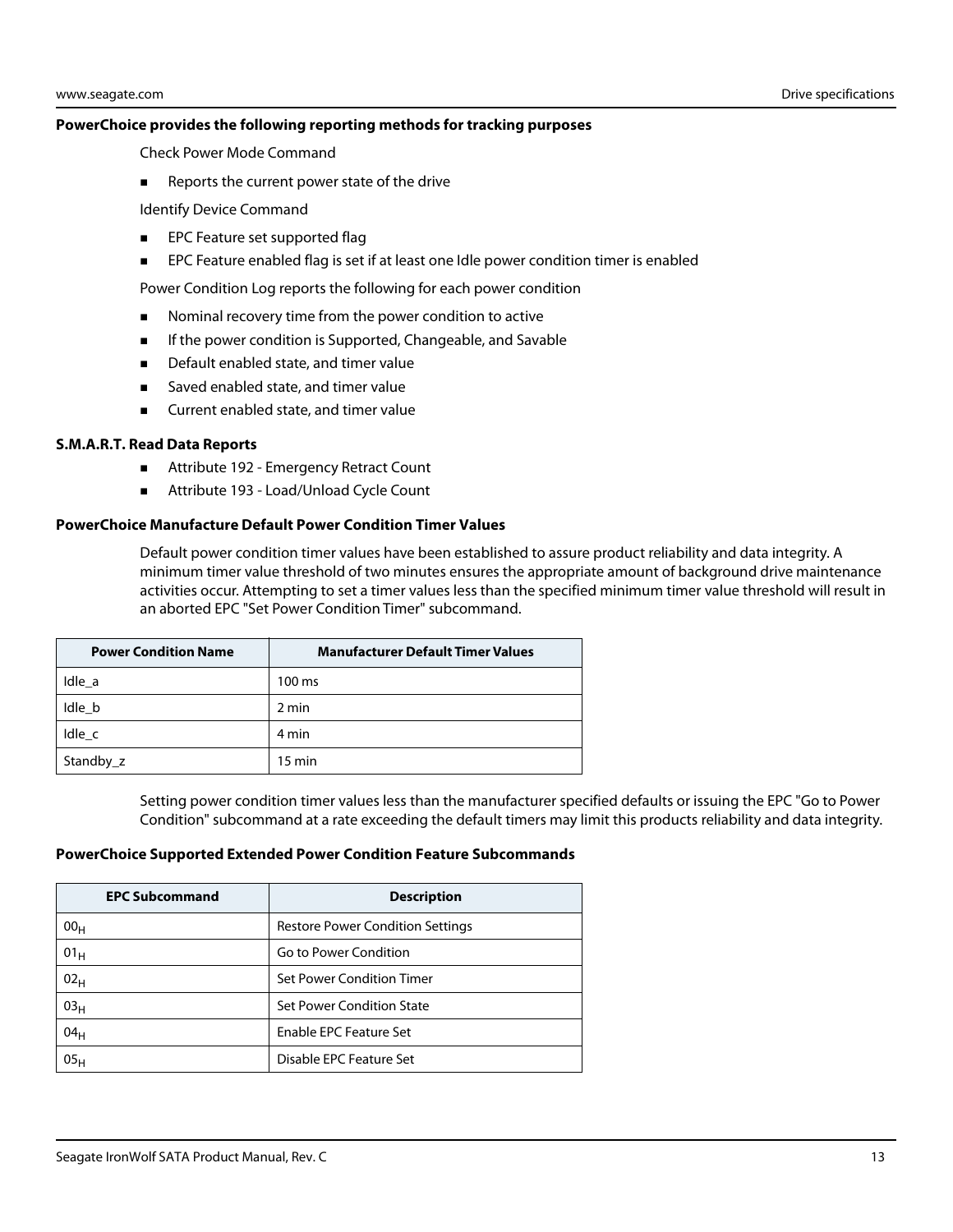#### **PowerChoice provides the following reporting methods for tracking purposes**

Check Power Mode Command

Reports the current power state of the drive

Identify Device Command

- **EPC Feature set supported flag**
- **EPC Feature enabled flag is set if at least one Idle power condition timer is enabled**

Power Condition Log reports the following for each power condition

- Nominal recovery time from the power condition to active
- **If the power condition is Supported, Changeable, and Savable**
- Default enabled state, and timer value
- Saved enabled state, and timer value
- **EXECUTE CUTTENT** Current enabled state, and timer value

#### **S.M.A.R.T. Read Data Reports**

- Attribute 192 Emergency Retract Count
- Attribute 193 Load/Unload Cycle Count

#### **PowerChoice Manufacture Default Power Condition Timer Values**

Default power condition timer values have been established to assure product reliability and data integrity. A minimum timer value threshold of two minutes ensures the appropriate amount of background drive maintenance activities occur. Attempting to set a timer values less than the specified minimum timer value threshold will result in an aborted EPC "Set Power Condition Timer" subcommand.

| <b>Power Condition Name</b> | <b>Manufacturer Default Timer Values</b> |
|-----------------------------|------------------------------------------|
| Idle a                      | 100 ms                                   |
| Idle b                      | 2 min                                    |
| Idle c                      | 4 min                                    |
| Standby_z                   | $15 \text{ min}$                         |

Setting power condition timer values less than the manufacturer specified defaults or issuing the EPC "Go to Power Condition" subcommand at a rate exceeding the default timers may limit this products reliability and data integrity.

#### **PowerChoice Supported Extended Power Condition Feature Subcommands**

| <b>EPC Subcommand</b> | <b>Description</b>                      |
|-----------------------|-----------------------------------------|
| 00 <sub>H</sub>       | <b>Restore Power Condition Settings</b> |
| 01 <sub>H</sub>       | Go to Power Condition                   |
| 02 <sub>H</sub>       | Set Power Condition Timer               |
| 03 <sub>H</sub>       | <b>Set Power Condition State</b>        |
| 04 <sub>H</sub>       | Enable EPC Feature Set                  |
| 05 <sub>H</sub>       | Disable EPC Feature Set                 |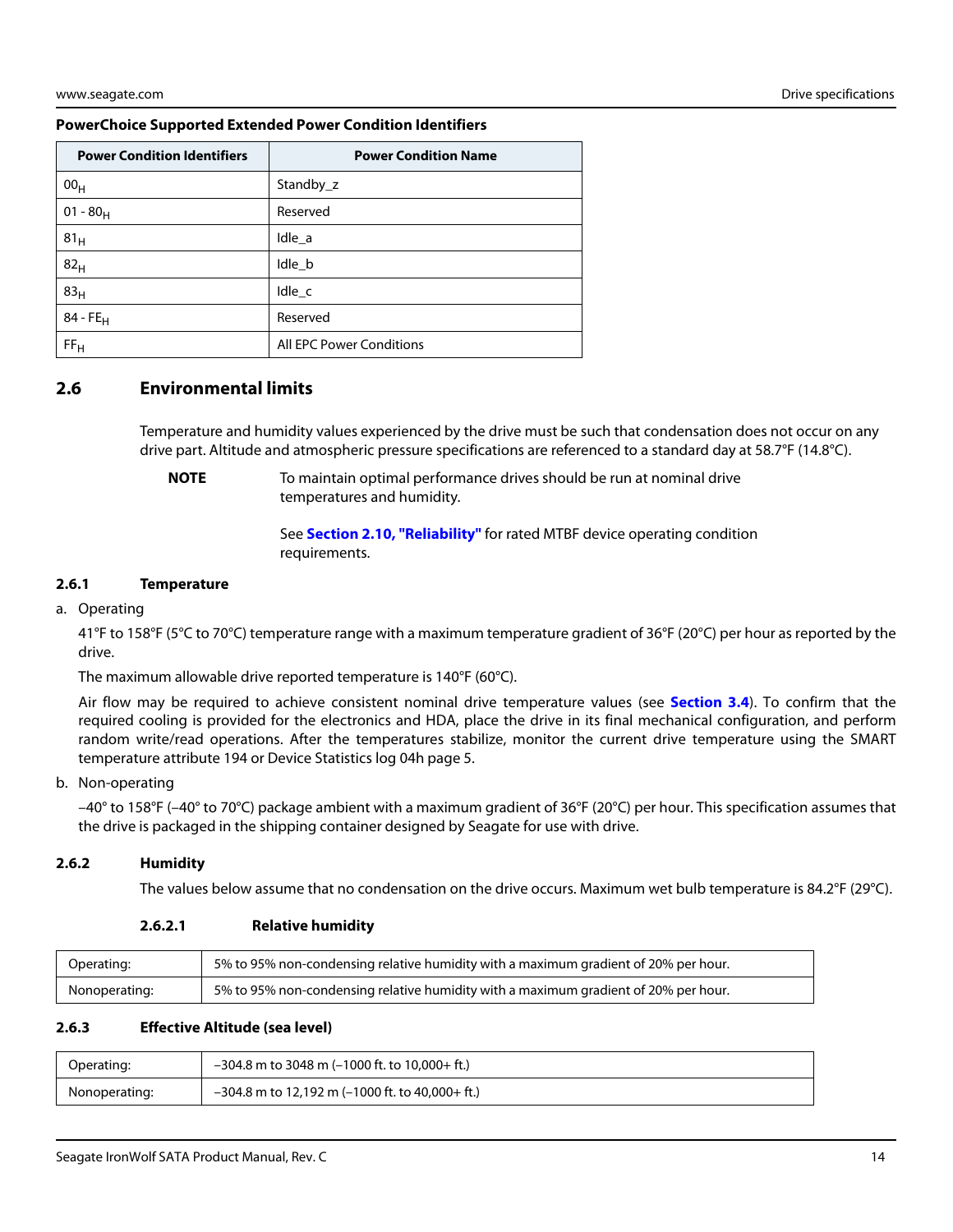#### **PowerChoice Supported Extended Power Condition Identifiers**

| <b>Power Condition Identifiers</b> | <b>Power Condition Name</b> |
|------------------------------------|-----------------------------|
| 00 <sub>H</sub>                    | Standby_z                   |
| $01 - 80_H$                        | Reserved                    |
| 81 <sub>H</sub>                    | Idle_a                      |
| 82 <sub>H</sub>                    | Idle_b                      |
| 83 <sub>H</sub>                    | Idle_c                      |
| 84 - FE <sub>H</sub>               | Reserved                    |
| FF <sub>H</sub>                    | All EPC Power Conditions    |

### <span id="page-14-0"></span>**2.6 Environmental limits**

Temperature and humidity values experienced by the drive must be such that condensation does not occur on any drive part. Altitude and atmospheric pressure specifications are referenced to a standard day at 58.7°F (14.8°C).

**NOTE** To maintain optimal performance drives should be run at nominal drive temperatures and humidity.

> See **[Section 2.10, "Reliability"](#page-17-0)** for rated MTBF device operating condition requirements.

#### <span id="page-14-1"></span>**2.6.1 Temperature**

#### a. Operating

41°F to 158°F (5°C to 70°C) temperature range with a maximum temperature gradient of 36°F (20°C) per hour as reported by the drive.

The maximum allowable drive reported temperature is 140°F (60°C).

Air flow may be required to achieve consistent nominal drive temperature values (see **[Section 3.4](#page-24-0)**). To confirm that the required cooling is provided for the electronics and HDA, place the drive in its final mechanical configuration, and perform random write/read operations. After the temperatures stabilize, monitor the current drive temperature using the SMART temperature attribute 194 or Device Statistics log 04h page 5.

#### b. Non-operating

–40° to 158°F (–40° to 70°C) package ambient with a maximum gradient of 36°F (20°C) per hour. This specification assumes that the drive is packaged in the shipping container designed by Seagate for use with drive.

#### <span id="page-14-2"></span>**2.6.2 Humidity**

The values below assume that no condensation on the drive occurs. Maximum wet bulb temperature is 84.2°F (29°C).

#### **2.6.2.1 Relative humidity**

| Operating:    | 5% to 95% non-condensing relative humidity with a maximum gradient of 20% per hour. |
|---------------|-------------------------------------------------------------------------------------|
| Nonoperating: | 5% to 95% non-condensing relative humidity with a maximum gradient of 20% per hour. |

#### <span id="page-14-3"></span>**2.6.3 Effective Altitude (sea level)**

| Operating:    | $-304.8$ m to 3048 m (-1000 ft. to 10,000+ ft.)   |
|---------------|---------------------------------------------------|
| Nonoperating: | $-304.8$ m to 12,192 m (-1000 ft. to 40,000+ ft.) |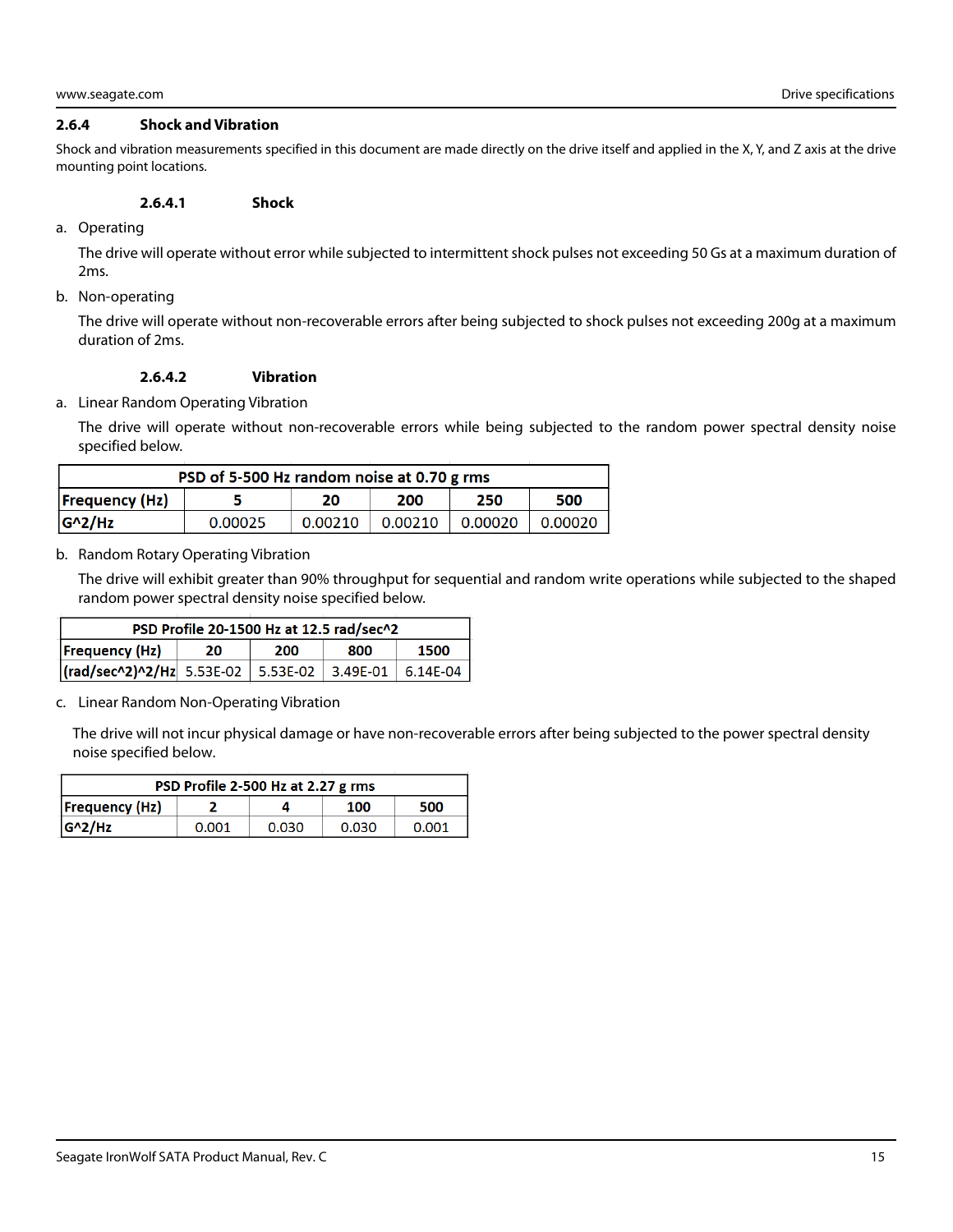#### <span id="page-15-0"></span>**2.6.4 Shock and Vibration**

Shock and vibration measurements specified in this document are made directly on the drive itself and applied in the X, Y, and Z axis at the drive mounting point locations.

#### **2.6.4.1 Shock**

a. Operating

The drive will operate without error while subjected to intermittent shock pulses not exceeding 50 Gs at a maximum duration of 2ms.

b. Non-operating

The drive will operate without non-recoverable errors after being subjected to shock pulses not exceeding 200g at a maximum duration of 2ms.

#### **2.6.4.2 Vibration**

a. Linear Random Operating Vibration

The drive will operate without non-recoverable errors while being subjected to the random power spectral density noise specified below.

| PSD of 5-500 Hz random noise at 0.70 g rms |         |         |         |         |         |  |  |
|--------------------------------------------|---------|---------|---------|---------|---------|--|--|
| Frequency(Hz)                              |         | 20      | 200     | 250     | 500     |  |  |
| $G^2/Hz$                                   | 0.00025 | 0.00210 | 0.00210 | 0.00020 | 0.00020 |  |  |

#### b. Random Rotary Operating Vibration

The drive will exhibit greater than 90% throughput for sequential and random write operations while subjected to the shaped random power spectral density noise specified below.

| PSD Profile 20-1500 Hz at 12.5 rad/sec^2                     |  |  |  |  |  |  |  |
|--------------------------------------------------------------|--|--|--|--|--|--|--|
| Frequency(Hz) <br>1500<br>800<br>20<br>200                   |  |  |  |  |  |  |  |
| $\vert$ (rad/sec^2)^2/Hz 5.53E-02 5.53E-02 3.49E-01 6.14E-04 |  |  |  |  |  |  |  |

#### c. Linear Random Non-Operating Vibration

The drive will not incur physical damage or have non-recoverable errors after being subjected to the power spectral density noise specified below.

| PSD Profile 2-500 Hz at 2.27 g rms  |       |       |       |       |  |  |  |
|-------------------------------------|-------|-------|-------|-------|--|--|--|
| <b>Frequency (Hz)</b><br>500<br>100 |       |       |       |       |  |  |  |
| $ G^2/HZ $                          | 0.001 | 0.030 | 0.030 | 0.001 |  |  |  |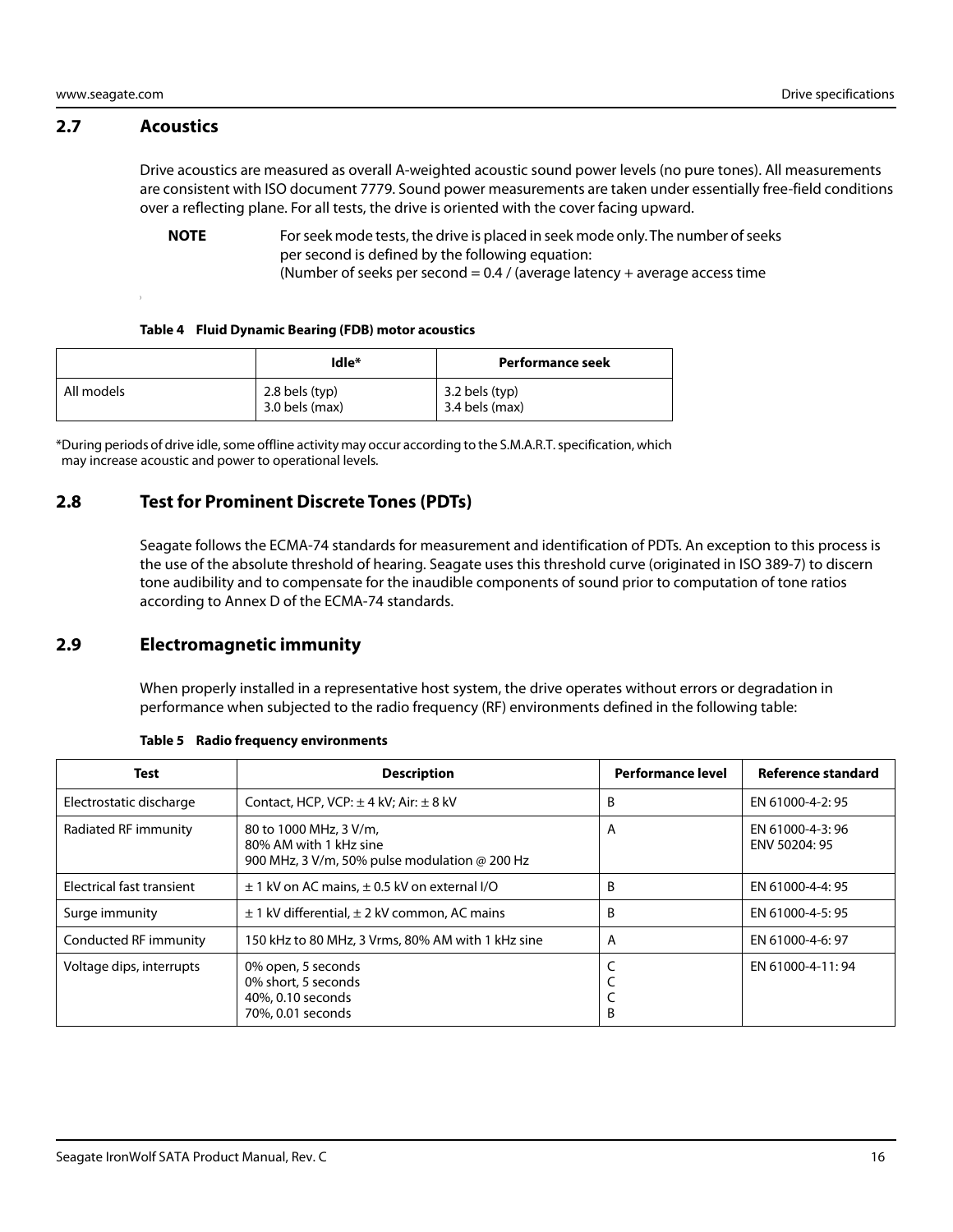#### <span id="page-16-0"></span>**2.7 Acoustics**

Drive acoustics are measured as overall A-weighted acoustic sound power levels (no pure tones). All measurements are consistent with ISO document 7779. Sound power measurements are taken under essentially free-field conditions over a reflecting plane. For all tests, the drive is oriented with the cover facing upward.

**NOTE** For seek mode tests, the drive is placed in seek mode only. The number of seeks per second is defined by the following equation:

(Number of seeks per second =  $0.4$  / (average latency + average access time

#### **Table 4 Fluid Dynamic Bearing (FDB) motor acoustics**

|            | Idle*                              | Performance seek                   |
|------------|------------------------------------|------------------------------------|
| All models | 2.8 bels (typ)<br>$3.0$ bels (max) | 3.2 bels (typ)<br>$3.4$ bels (max) |

\*During periods of drive idle, some offline activity may occur according to the S.M.A.R.T. specification, which may increase acoustic and power to operational levels.

### <span id="page-16-1"></span>**2.8 Test for Prominent Discrete Tones (PDTs)**

Seagate follows the ECMA-74 standards for measurement and identification of PDTs. An exception to this process is the use of the absolute threshold of hearing. Seagate uses this threshold curve (originated in ISO 389-7) to discern tone audibility and to compensate for the inaudible components of sound prior to computation of tone ratios according to Annex D of the ECMA-74 standards.

### <span id="page-16-2"></span>**2.9 Electromagnetic immunity**

When properly installed in a representative host system, the drive operates without errors or degradation in performance when subjected to the radio frequency (RF) environments defined in the following table:

| Test                      | <b>Description</b>                                                                                     | <b>Performance level</b> | Reference standard                |
|---------------------------|--------------------------------------------------------------------------------------------------------|--------------------------|-----------------------------------|
| Electrostatic discharge   | Contact, HCP, VCP: $\pm$ 4 kV; Air: $\pm$ 8 kV                                                         | B                        | EN 61000-4-2: 95                  |
| Radiated RF immunity      | 80 to 1000 MHz, 3 V/m,<br>A<br>80% AM with 1 kHz sine<br>900 MHz, 3 V/m, 50% pulse modulation @ 200 Hz |                          | EN 61000-4-3: 96<br>ENV 50204: 95 |
| Electrical fast transient | $\pm$ 1 kV on AC mains, $\pm$ 0.5 kV on external I/O                                                   | B                        | EN 61000-4-4: 95                  |
| Surge immunity            | $\pm$ 1 kV differential, $\pm$ 2 kV common, AC mains                                                   | B                        | EN 61000-4-5: 95                  |
| Conducted RF immunity     | 150 kHz to 80 MHz, 3 Vrms, 80% AM with 1 kHz sine                                                      | A                        | EN 61000-4-6: 97                  |
| Voltage dips, interrupts  | 0% open, 5 seconds<br>0% short, 5 seconds<br>40%, 0.10 seconds<br>70%, 0.01 seconds                    | R                        | EN 61000-4-11:94                  |

#### **Table 5 Radio frequency environments**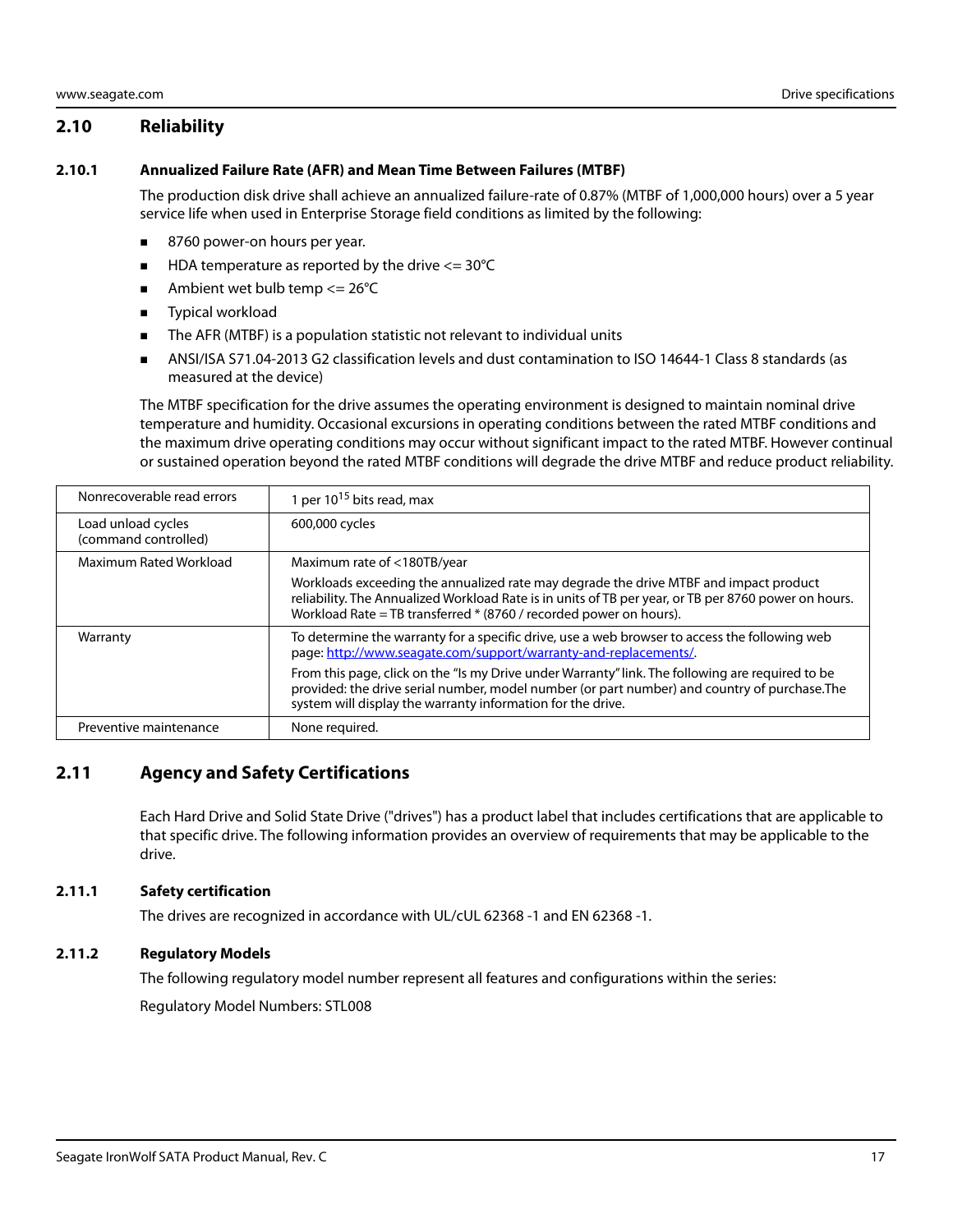### <span id="page-17-0"></span>**2.10 Reliability**

#### <span id="page-17-1"></span>**2.10.1 Annualized Failure Rate (AFR) and Mean Time Between Failures (MTBF)**

The production disk drive shall achieve an annualized failure-rate of 0.87% (MTBF of 1,000,000 hours) over a 5 year service life when used in Enterprise Storage field conditions as limited by the following:

- 8760 power-on hours per year.
- $\blacksquare$  HDA temperature as reported by the drive  $\lt$  = 30°C
- Ambient wet bulb temp  $\leq$  26°C
- **Typical workload**
- The AFR (MTBF) is a population statistic not relevant to individual units
- ANSI/ISA S71.04-2013 G2 classification levels and dust contamination to ISO 14644-1 Class 8 standards (as measured at the device)

The MTBF specification for the drive assumes the operating environment is designed to maintain nominal drive temperature and humidity. Occasional excursions in operating conditions between the rated MTBF conditions and the maximum drive operating conditions may occur without significant impact to the rated MTBF. However continual or sustained operation beyond the rated MTBF conditions will degrade the drive MTBF and reduce product reliability.

| Nonrecoverable read errors                 | 1 per $10^{15}$ bits read, max                                                                                                                                                                                                                                      |
|--------------------------------------------|---------------------------------------------------------------------------------------------------------------------------------------------------------------------------------------------------------------------------------------------------------------------|
| Load unload cycles<br>(command controlled) | 600,000 cycles                                                                                                                                                                                                                                                      |
| Maximum Rated Workload                     | Maximum rate of <180TB/year                                                                                                                                                                                                                                         |
|                                            | Workloads exceeding the annualized rate may degrade the drive MTBF and impact product<br>reliability. The Annualized Workload Rate is in units of TB per year, or TB per 8760 power on hours.<br>Workload Rate = TB transferred * (8760 / recorded power on hours). |
| Warranty                                   | To determine the warranty for a specific drive, use a web browser to access the following web<br>page: http://www.seagate.com/support/warranty-and-replacements/.                                                                                                   |
|                                            | From this page, click on the "Is my Drive under Warranty" link. The following are required to be<br>provided: the drive serial number, model number (or part number) and country of purchase. The<br>system will display the warranty information for the drive.    |
| Preventive maintenance                     | None required.                                                                                                                                                                                                                                                      |

### <span id="page-17-2"></span>**2.11 Agency and Safety Certifications**

Each Hard Drive and Solid State Drive ("drives") has a product label that includes certifications that are applicable to that specific drive. The following information provides an overview of requirements that may be applicable to the drive.

### <span id="page-17-3"></span>**2.11.1 Safety certification**

The drives are recognized in accordance with UL/cUL 62368 -1 and EN 62368 -1.

### <span id="page-17-4"></span>**2.11.2 Regulatory Models**

The following regulatory model number represent all features and configurations within the series:

Regulatory Model Numbers: STL008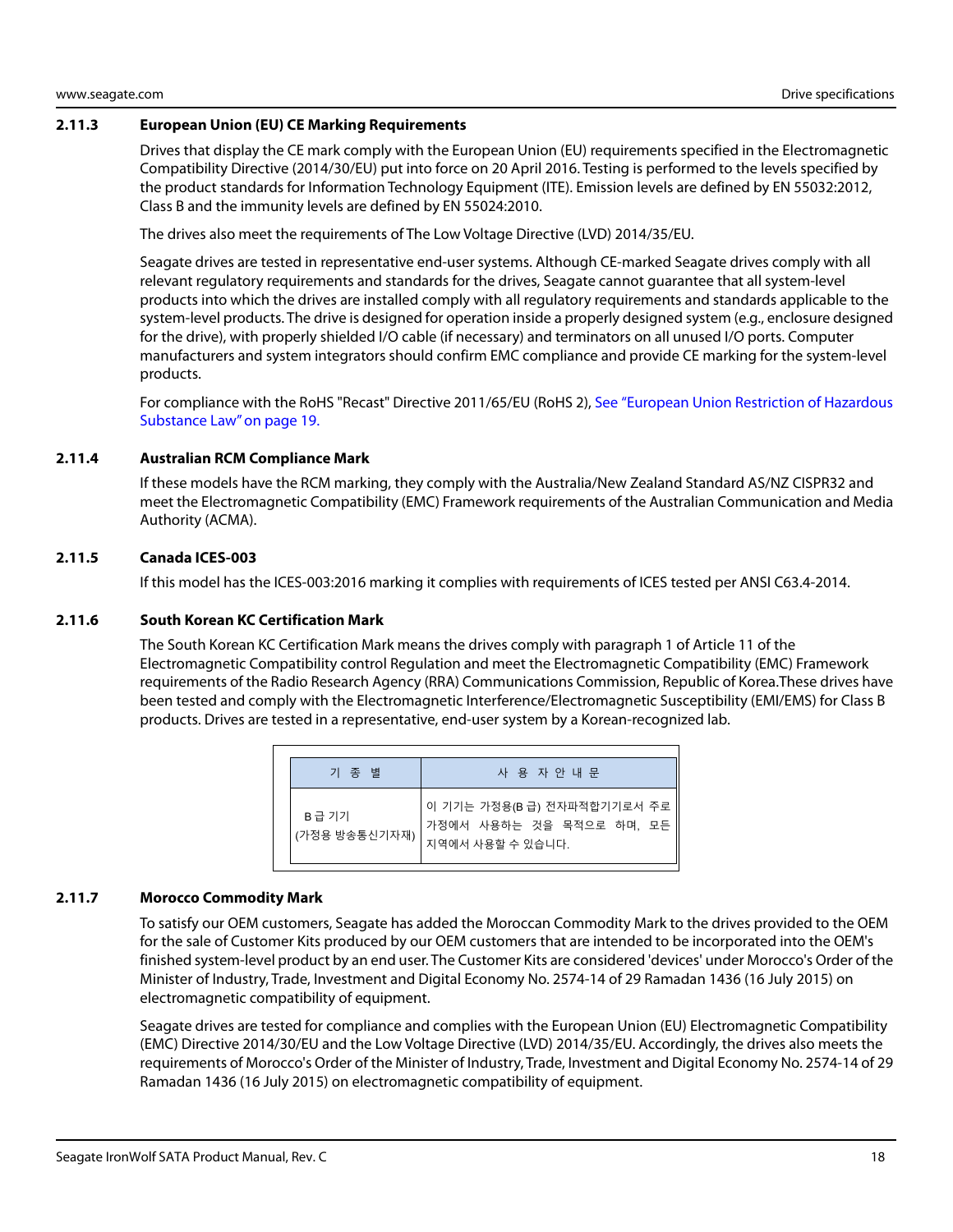#### <span id="page-18-0"></span>**2.11.3 European Union (EU) CE Marking Requirements**

Drives that display the CE mark comply with the European Union (EU) requirements specified in the Electromagnetic Compatibility Directive (2014/30/EU) put into force on 20 April 2016. Testing is performed to the levels specified by the product standards for Information Technology Equipment (ITE). Emission levels are defined by EN 55032:2012, Class B and the immunity levels are defined by EN 55024:2010.

The drives also meet the requirements of The Low Voltage Directive (LVD) 2014/35/EU.

Seagate drives are tested in representative end-user systems. Although CE-marked Seagate drives comply with all relevant regulatory requirements and standards for the drives, Seagate cannot guarantee that all system-level products into which the drives are installed comply with all regulatory requirements and standards applicable to the system-level products. The drive is designed for operation inside a properly designed system (e.g., enclosure designed for the drive), with properly shielded I/O cable (if necessary) and terminators on all unused I/O ports. Computer manufacturers and system integrators should confirm EMC compliance and provide CE marking for the system-level products.

For compliance with the RoHS "Recast" Directive 2011/65/EU (RoHS 2), [See "European Union Restriction of Hazardous](#page-19-3)  [Substance Law" on page 19.](#page-19-3)

#### <span id="page-18-1"></span>**2.11.4 Australian RCM Compliance Mark**

If these models have the RCM marking, they comply with the Australia/New Zealand Standard AS/NZ CISPR32 and meet the Electromagnetic Compatibility (EMC) Framework requirements of the Australian Communication and Media Authority (ACMA).

#### <span id="page-18-2"></span>**2.11.5 Canada ICES-003**

If this model has the ICES-003:2016 marking it complies with requirements of ICES tested per ANSI C63.4-2014.

#### <span id="page-18-3"></span>**2.11.6 South Korean KC Certification Mark**

The South Korean KC Certification Mark means the drives comply with paragraph 1 of Article 11 of the Electromagnetic Compatibility control Regulation and meet the Electromagnetic Compatibility (EMC) Framework requirements of the Radio Research Agency (RRA) Communications Commission, Republic of Korea.These drives have been tested and comply with the Electromagnetic Interference/Electromagnetic Susceptibility (EMI/EMS) for Class B products. Drives are tested in a representative, end-user system by a Korean-recognized lab.

| 기 종 별                   | 사 용 자 안 내 문                                                                |
|-------------------------|----------------------------------------------------------------------------|
| B급 기기<br>(가정용 방송통신기자재)ㅣ | 이 기기는 가정용(B급) 전자파적합기기로서 주로<br>가정에서 사용하는 것을 목적으로 하며, 모든<br>지역에서 사용할 수 있습니다. |

#### <span id="page-18-4"></span>**2.11.7 Morocco Commodity Mark**

To satisfy our OEM customers, Seagate has added the Moroccan Commodity Mark to the drives provided to the OEM for the sale of Customer Kits produced by our OEM customers that are intended to be incorporated into the OEM's finished system-level product by an end user. The Customer Kits are considered 'devices' under Morocco's Order of the Minister of Industry, Trade, Investment and Digital Economy No. 2574-14 of 29 Ramadan 1436 (16 July 2015) on electromagnetic compatibility of equipment.

Seagate drives are tested for compliance and complies with the European Union (EU) Electromagnetic Compatibility (EMC) Directive 2014/30/EU and the Low Voltage Directive (LVD) 2014/35/EU. Accordingly, the drives also meets the requirements of Morocco's Order of the Minister of Industry, Trade, Investment and Digital Economy No. 2574-14 of 29 Ramadan 1436 (16 July 2015) on electromagnetic compatibility of equipment.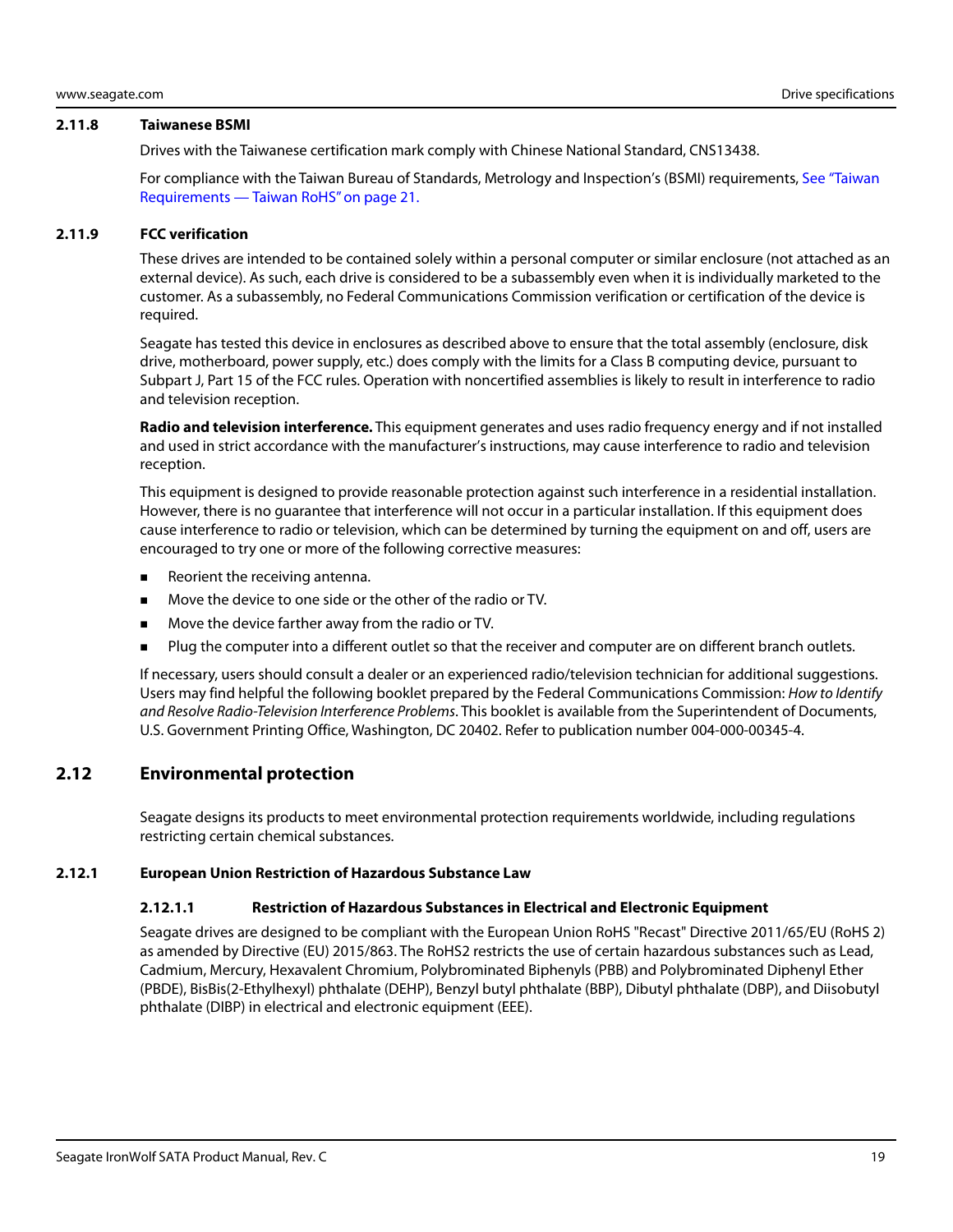#### <span id="page-19-0"></span>**2.11.8 Taiwanese BSMI**

Drives with the Taiwanese certification mark comply with Chinese National Standard, CNS13438.

For compliance with the Taiwan Bureau of Standards, Metrology and Inspection's (BSMI) requirements, [See "Taiwan](#page-21-0)  [Requirements — Taiwan RoHS" on page 21.](#page-21-0)

#### <span id="page-19-1"></span>**2.11.9 FCC verification**

These drives are intended to be contained solely within a personal computer or similar enclosure (not attached as an external device). As such, each drive is considered to be a subassembly even when it is individually marketed to the customer. As a subassembly, no Federal Communications Commission verification or certification of the device is required.

Seagate has tested this device in enclosures as described above to ensure that the total assembly (enclosure, disk drive, motherboard, power supply, etc.) does comply with the limits for a Class B computing device, pursuant to Subpart J, Part 15 of the FCC rules. Operation with noncertified assemblies is likely to result in interference to radio and television reception.

**Radio and television interference.** This equipment generates and uses radio frequency energy and if not installed and used in strict accordance with the manufacturer's instructions, may cause interference to radio and television reception.

This equipment is designed to provide reasonable protection against such interference in a residential installation. However, there is no guarantee that interference will not occur in a particular installation. If this equipment does cause interference to radio or television, which can be determined by turning the equipment on and off, users are encouraged to try one or more of the following corrective measures:

- Reorient the receiving antenna.
- **Move the device to one side or the other of the radio or TV.**
- Move the device farther away from the radio or TV.
- **Plug the computer into a different outlet so that the receiver and computer are on different branch outlets.**

If necessary, users should consult a dealer or an experienced radio/television technician for additional suggestions. Users may find helpful the following booklet prepared by the Federal Communications Commission: How to Identify and Resolve Radio-Television Interference Problems. This booklet is available from the Superintendent of Documents, U.S. Government Printing Office, Washington, DC 20402. Refer to publication number 004-000-00345-4.

### <span id="page-19-2"></span>**2.12 Environmental protection**

Seagate designs its products to meet environmental protection requirements worldwide, including regulations restricting certain chemical substances.

#### <span id="page-19-3"></span>**2.12.1 European Union Restriction of Hazardous Substance Law**

#### **2.12.1.1 Restriction of Hazardous Substances in Electrical and Electronic Equipment**

Seagate drives are designed to be compliant with the European Union RoHS "Recast" Directive 2011/65/EU (RoHS 2) as amended by Directive (EU) 2015/863. The RoHS2 restricts the use of certain hazardous substances such as Lead, Cadmium, Mercury, Hexavalent Chromium, Polybrominated Biphenyls (PBB) and Polybrominated Diphenyl Ether (PBDE), BisBis(2-Ethylhexyl) phthalate (DEHP), Benzyl butyl phthalate (BBP), Dibutyl phthalate (DBP), and Diisobutyl phthalate (DIBP) in electrical and electronic equipment (EEE).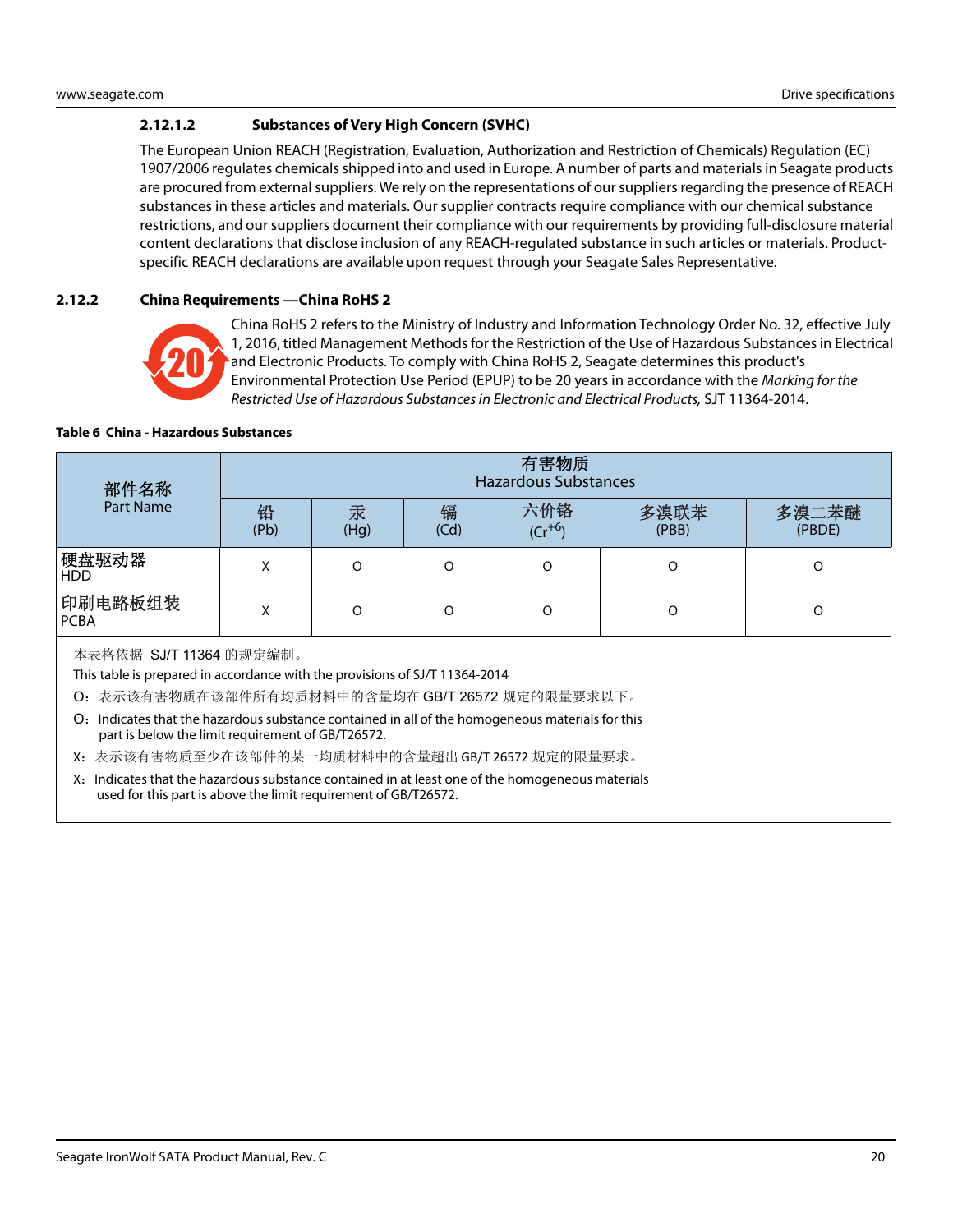### **2.12.1.2 Substances of Very High Concern (SVHC)**

The European Union REACH (Registration, Evaluation, Authorization and Restriction of Chemicals) Regulation (EC) 1907/2006 regulates chemicals shipped into and used in Europe. A number of parts and materials in Seagate products are procured from external suppliers. We rely on the representations of our suppliers regarding the presence of REACH substances in these articles and materials. Our supplier contracts require compliance with our chemical substance restrictions, and our suppliers document their compliance with our requirements by providing full-disclosure material content declarations that disclose inclusion of any REACH-regulated substance in such articles or materials. Productspecific REACH declarations are available upon request through your Seagate Sales Representative.

#### <span id="page-20-0"></span>**2.12.2 China Requirements —China RoHS 2**



China RoHS 2 refers to the Ministry of Industry and Information Technology Order No. 32, effective July 1, 2016, titled Management Methods for the Restriction of the Use of Hazardous Substances in Electrical and Electronic Products. To comply with China RoHS 2, Seagate determines this product's Environmental Protection Use Period (EPUP) to be 20 years in accordance with the Marking for the Restricted Use of Hazardous Substances in Electronic and Electrical Products, SJT 11364-2014.

#### **Table 6 China - Hazardous Substances**

| 部件名称<br>Part Name      | 有害物质<br><b>Hazardous Substances</b> |           |           |                 |               |                 |  |
|------------------------|-------------------------------------|-----------|-----------|-----------------|---------------|-----------------|--|
|                        | 铅<br>(Pb)                           | 汞<br>(Hg) | 镉<br>(Cd) | 六价铬 $(Cr^{+6})$ | 多溴联苯<br>(PBB) | 多溴二苯醚<br>(PBDE) |  |
| 硬盘驱动器<br><b>HDD</b>    | Χ                                   | O         | O         | O               | O             | O               |  |
| 印刷电路板组装<br><b>PCBA</b> | $\checkmark$<br>v                   | O         | O         |                 | O             | Ο               |  |
|                        |                                     |           |           |                 |               |                 |  |

本表格依据 SJ/T 11364 的规定编制。

This table is prepared in accordance with the provisions of SJ/T 11364-2014

O:表示该有害物质在该部件所有均质材料中的含量均在 GB/T 26572 规定的限量要求以下。

O: Indicates that the hazardous substance contained in all of the homogeneous materials for this part is below the limit requirement of GB/T26572.

- X:表示该有害物质至少在该部件的某一均质材料中的含量超出 GB/T 26572 规定的限量要求。
- X: Indicates that the hazardous substance contained in at least one of the homogeneous materials used for this part is above the limit requirement of GB/T26572.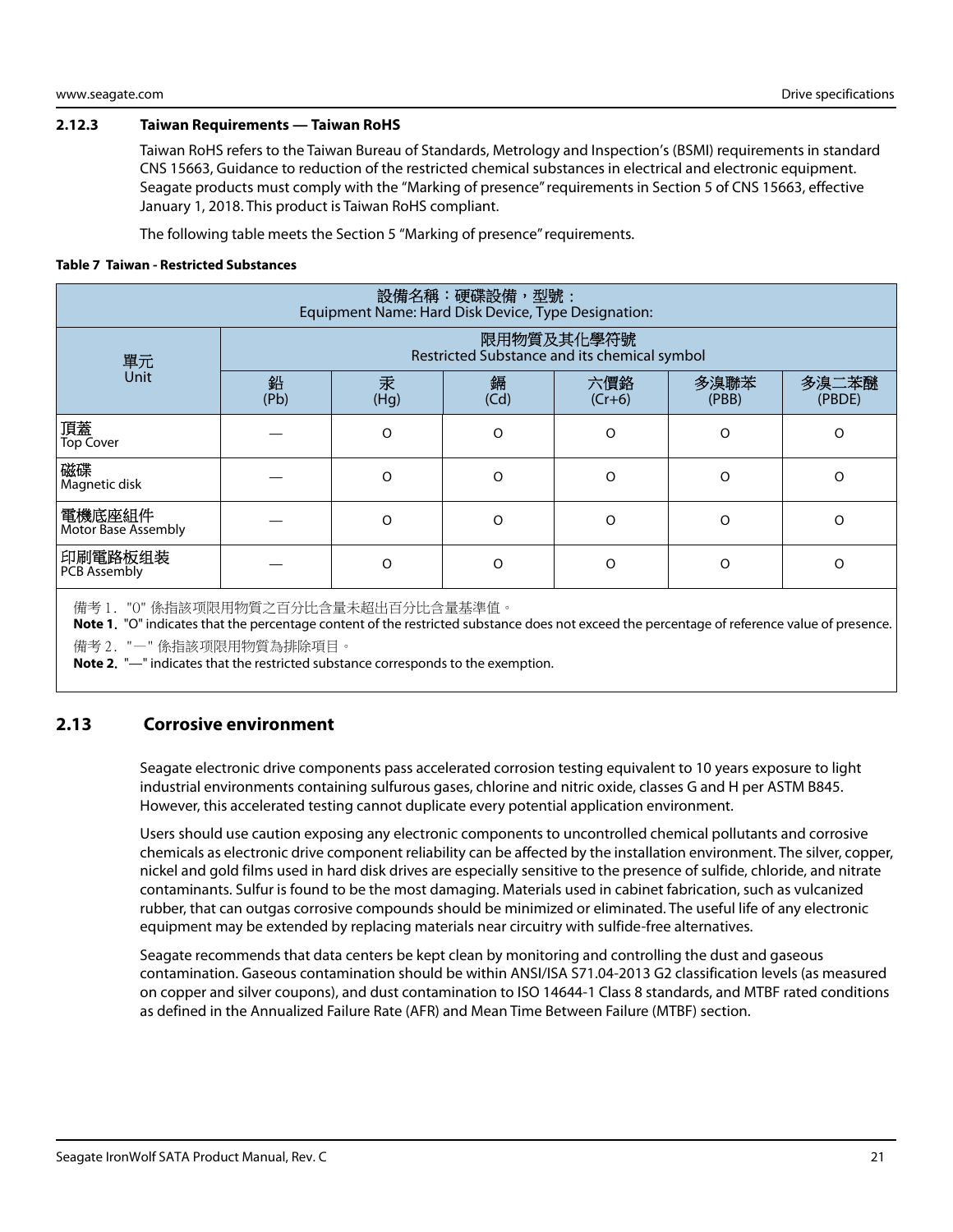#### <span id="page-21-0"></span>**2.12.3 Taiwan Requirements — Taiwan RoHS**

Taiwan RoHS refers to the Taiwan Bureau of Standards, Metrology and Inspection's (BSMI) requirements in standard CNS 15663, Guidance to reduction of the restricted chemical substances in electrical and electronic equipment. Seagate products must comply with the "Marking of presence" requirements in Section 5 of CNS 15663, effective January 1, 2018. This product is Taiwan RoHS compliant.

The following table meets the Section 5 "Marking of presence" requirements.

#### **Table 7 Taiwan - Restricted Substances**

| 設備名稱:硬碟設備,型號:<br>Equipment Name: Hard Disk Device, Type Designation: |                                                            |                                                                               |          |          |          |          |  |  |
|----------------------------------------------------------------------|------------------------------------------------------------|-------------------------------------------------------------------------------|----------|----------|----------|----------|--|--|
| 單元                                                                   | 限用物質及其化學符號<br>Restricted Substance and its chemical symbol |                                                                               |          |          |          |          |  |  |
| Unit                                                                 | 鉛<br>(Pb)                                                  | 汞<br>鎘<br>多溴聯苯<br>多溴二苯醚<br>六價鉻<br>$(Cr+6)$<br>(PBDE)<br>(Hg)<br>(Cd)<br>(PBB) |          |          |          |          |  |  |
| 頂蓋<br>Top Cover                                                      |                                                            | $\Omega$                                                                      | $\Omega$ | $\Omega$ | $\Omega$ | $\Omega$ |  |  |
| 磁碟<br>Magnetic disk                                                  |                                                            | $\Omega$                                                                      | $\Omega$ | ∩        | $\Omega$ | O        |  |  |
| 電機底座組件<br><b>Motor Base Assembly</b>                                 |                                                            | $\circ$                                                                       | $\Omega$ | $\Omega$ | $\Omega$ | O        |  |  |
| 印刷電路板组装<br>PCB Assembly                                              |                                                            | O                                                                             | $\Omega$ | $\Omega$ | O        | $\Omega$ |  |  |

備考 1. "O" 係指該项限用物質之百分比含量未超出百分比含量基準值。

**Note 1**. "O" indicates that the percentage content of the restricted substance does not exceed the percentage of reference value of presence.

備考 2. "—" 係指該项限用物質為排除項目。

**Note 2**. "—" indicates that the restricted substance corresponds to the exemption.

### <span id="page-21-1"></span>**2.13 Corrosive environment**

Seagate electronic drive components pass accelerated corrosion testing equivalent to 10 years exposure to light industrial environments containing sulfurous gases, chlorine and nitric oxide, classes G and H per ASTM B845. However, this accelerated testing cannot duplicate every potential application environment.

Users should use caution exposing any electronic components to uncontrolled chemical pollutants and corrosive chemicals as electronic drive component reliability can be affected by the installation environment. The silver, copper, nickel and gold films used in hard disk drives are especially sensitive to the presence of sulfide, chloride, and nitrate contaminants. Sulfur is found to be the most damaging. Materials used in cabinet fabrication, such as vulcanized rubber, that can outgas corrosive compounds should be minimized or eliminated. The useful life of any electronic equipment may be extended by replacing materials near circuitry with sulfide-free alternatives.

Seagate recommends that data centers be kept clean by monitoring and controlling the dust and gaseous contamination. Gaseous contamination should be within ANSI/ISA S71.04-2013 G2 classification levels (as measured on copper and silver coupons), and dust contamination to ISO 14644-1 Class 8 standards, and MTBF rated conditions as defined in the Annualized Failure Rate (AFR) and Mean Time Between Failure (MTBF) section.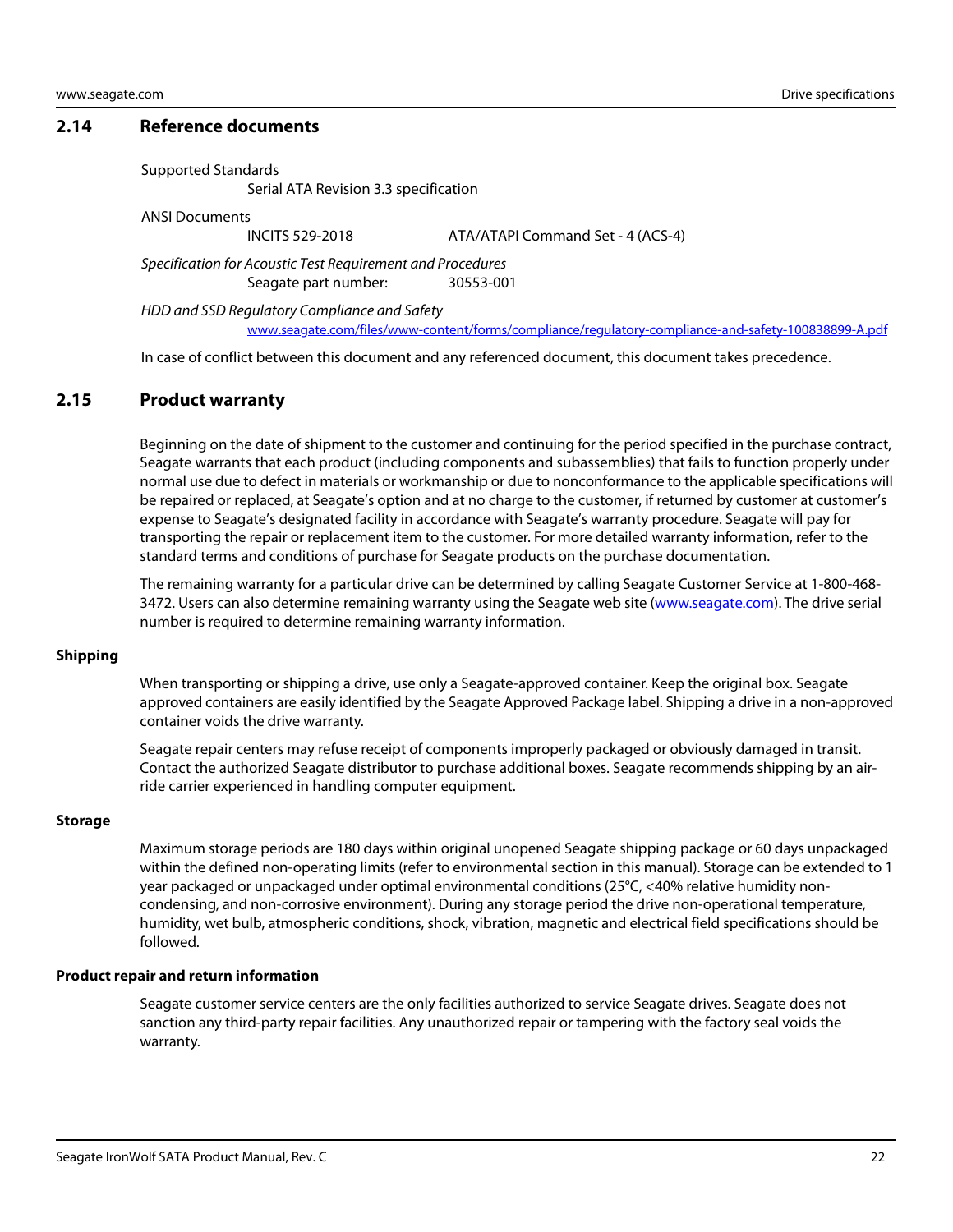#### <span id="page-22-0"></span>**2.14 Reference documents**

Supported Standards

Serial ATA Revision 3.3 specification

ANSI Documents

INCITS 529-2018 ATA/ATAPI Command Set - 4 (ACS-4)

Specification for Acoustic Test Requirement and Procedures Seagate part number: 30553-001

HDD and SSD Regulatory Compliance and Safety www.seagate.com/files/www-content/forms/compliance/regulatory-compliance-and-safety-100838899-A.pdf

In case of conflict between this document and any referenced document, this document takes precedence.

#### <span id="page-22-1"></span>**2.15 Product warranty**

Beginning on the date of shipment to the customer and continuing for the period specified in the purchase contract, Seagate warrants that each product (including components and subassemblies) that fails to function properly under normal use due to defect in materials or workmanship or due to nonconformance to the applicable specifications will be repaired or replaced, at Seagate's option and at no charge to the customer, if returned by customer at customer's expense to Seagate's designated facility in accordance with Seagate's warranty procedure. Seagate will pay for transporting the repair or replacement item to the customer. For more detailed warranty information, refer to the standard terms and conditions of purchase for Seagate products on the purchase documentation.

[The remaining warranty for a particular drive can be determined by calling Seagate Customer Service at 1-800-468-](http://www.seagate.com) [3472. Users can also determine remaining warranty using the Seagate web site \(w](http://www.seagate.com)ww.seagate.com). The drive serial number is required to determine remaining warranty information.

#### **Shipping**

When transporting or shipping a drive, use only a Seagate-approved container. Keep the original box. Seagate approved containers are easily identified by the Seagate Approved Package label. Shipping a drive in a non-approved container voids the drive warranty.

Seagate repair centers may refuse receipt of components improperly packaged or obviously damaged in transit. Contact the authorized Seagate distributor to purchase additional boxes. Seagate recommends shipping by an airride carrier experienced in handling computer equipment.

#### **Storage**

Maximum storage periods are 180 days within original unopened Seagate shipping package or 60 days unpackaged within the defined non-operating limits (refer to environmental section in this manual). Storage can be extended to 1 year packaged or unpackaged under optimal environmental conditions (25°C, <40% relative humidity noncondensing, and non-corrosive environment). During any storage period the drive non-operational temperature, humidity, wet bulb, atmospheric conditions, shock, vibration, magnetic and electrical field specifications should be followed.

#### **Product repair and return information**

Seagate customer service centers are the only facilities authorized to service Seagate drives. Seagate does not sanction any third-party repair facilities. Any unauthorized repair or tampering with the factory seal voids the warranty.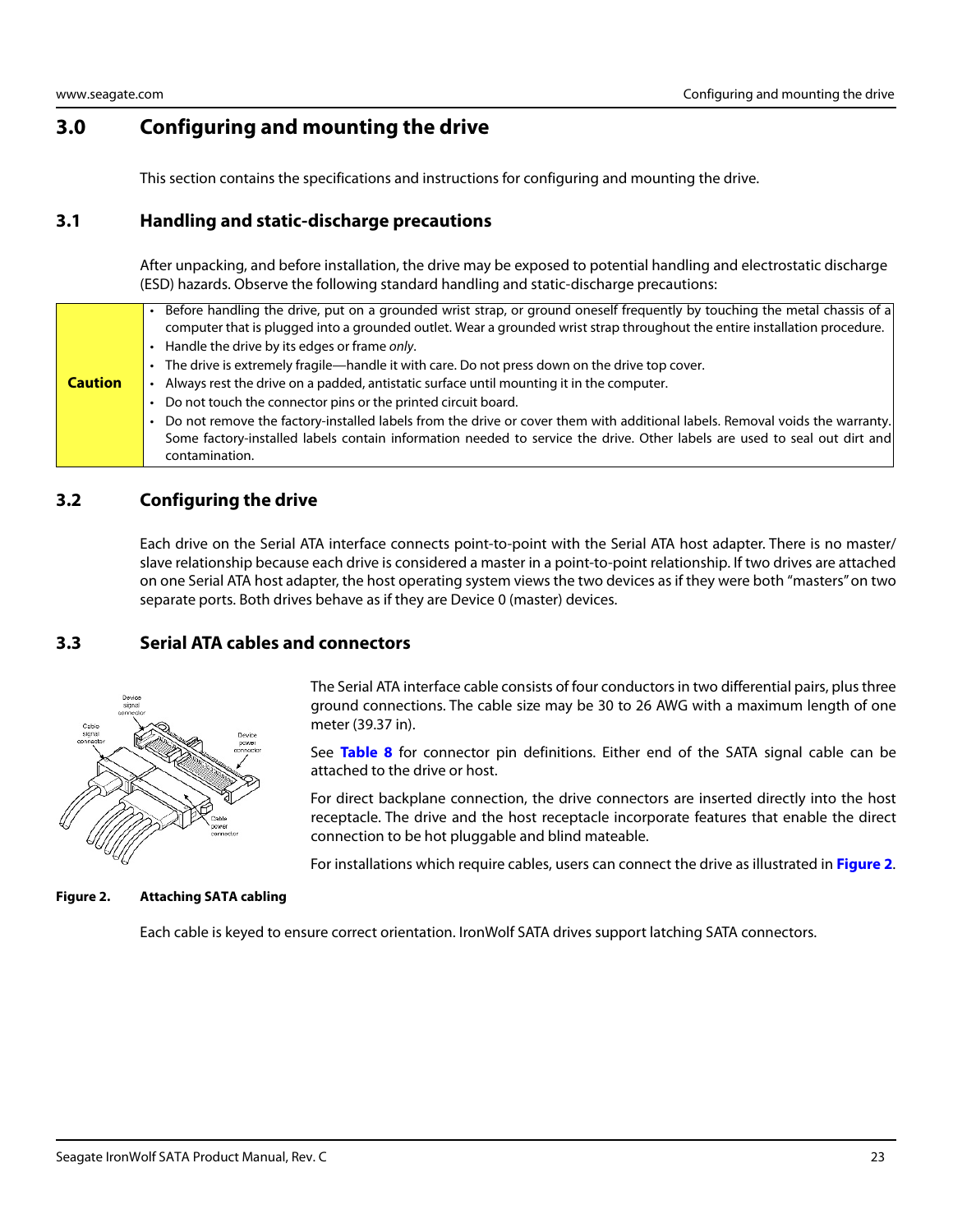### <span id="page-23-0"></span>**3.0 Configuring and mounting the drive**

This section contains the specifications and instructions for configuring and mounting the drive.

### <span id="page-23-1"></span>**3.1 Handling and static-discharge precautions**

After unpacking, and before installation, the drive may be exposed to potential handling and electrostatic discharge (ESD) hazards. Observe the following standard handling and static-discharge precautions:

|                | Before handling the drive, put on a grounded wrist strap, or ground oneself frequently by touching the metal chassis of a<br>computer that is plugged into a grounded outlet. Wear a grounded wrist strap throughout the entire installation procedure.  |
|----------------|----------------------------------------------------------------------------------------------------------------------------------------------------------------------------------------------------------------------------------------------------------|
|                | Handle the drive by its edges or frame only.                                                                                                                                                                                                             |
|                | The drive is extremely fragile—handle it with care. Do not press down on the drive top cover.                                                                                                                                                            |
| <b>Caution</b> | Always rest the drive on a padded, antistatic surface until mounting it in the computer.                                                                                                                                                                 |
|                | Do not touch the connector pins or the printed circuit board.                                                                                                                                                                                            |
|                | Do not remove the factory-installed labels from the drive or cover them with additional labels. Removal voids the warranty.<br>Some factory-installed labels contain information needed to service the drive. Other labels are used to seal out dirt and |
|                | contamination.                                                                                                                                                                                                                                           |

### <span id="page-23-2"></span>**3.2 Configuring the drive**

Each drive on the Serial ATA interface connects point-to-point with the Serial ATA host adapter. There is no master/ slave relationship because each drive is considered a master in a point-to-point relationship. If two drives are attached on one Serial ATA host adapter, the host operating system views the two devices as if they were both "masters" on two separate ports. Both drives behave as if they are Device 0 (master) devices.

### <span id="page-23-3"></span>**3.3 Serial ATA cables and connectors**



The Serial ATA interface cable consists of four conductors in two differential pairs, plus three ground connections. The cable size may be 30 to 26 AWG with a maximum length of one meter (39.37 in).

See **Table 8** for connector pin definitions. Either end of the SATA signal cable can be attached to the drive or host.

For direct backplane connection, the drive connectors are inserted directly into the host receptacle. The drive and the host receptacle incorporate features that enable the direct connection to be hot pluggable and blind mateable.

For installations which require cables, users can connect the drive as illustrated in **[Figure 2](#page-23-4)**.

#### <span id="page-23-4"></span>**Figure 2. Attaching SATA cabling**

Each cable is keyed to ensure correct orientation. IronWolf SATA drives support latching SATA connectors.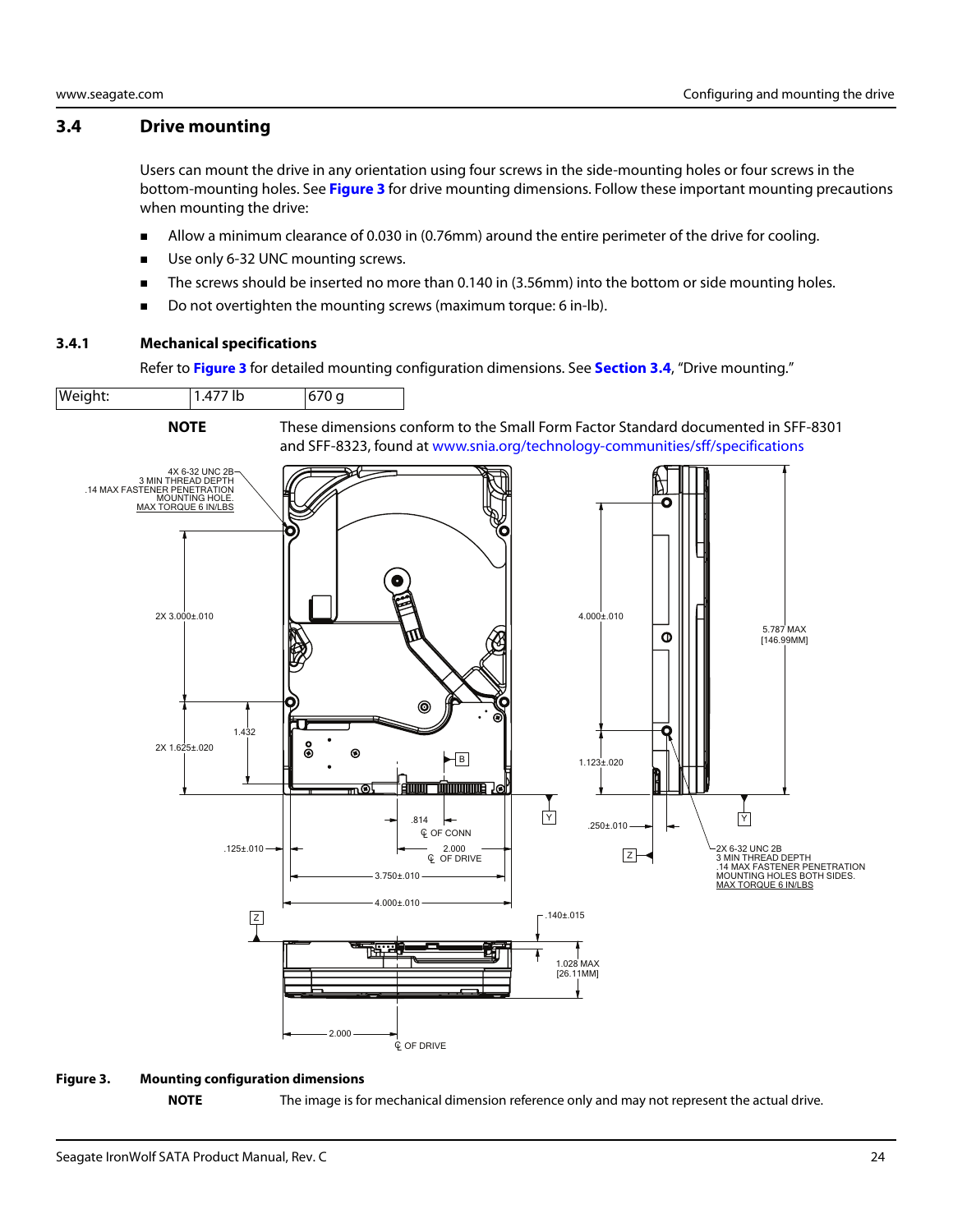#### <span id="page-24-0"></span>**3.4 Drive mounting**

Users can mount the drive in any orientation using four screws in the side-mounting holes or four screws in the bottom-mounting holes. See **[Figure 3](#page-24-2)** for drive mounting dimensions. Follow these important mounting precautions when mounting the drive:

- Allow a minimum clearance of 0.030 in (0.76mm) around the entire perimeter of the drive for cooling.
- Use only 6-32 UNC mounting screws.
- The screws should be inserted no more than 0.140 in (3.56mm) into the bottom or side mounting holes.
- Do not overtighten the mounting screws (maximum torque: 6 in-lb).

#### <span id="page-24-1"></span>**3.4.1 Mechanical specifications**

Refer to **[Figure 3](#page-24-2)** for detailed mounting configuration dimensions. See **[Section 3.4](#page-24-0)**, "Drive mounting."



#### <span id="page-24-2"></span>**Figure 3. Mounting configuration dimensions**

**NOTE** The image is for mechanical dimension reference only and may not represent the actual drive.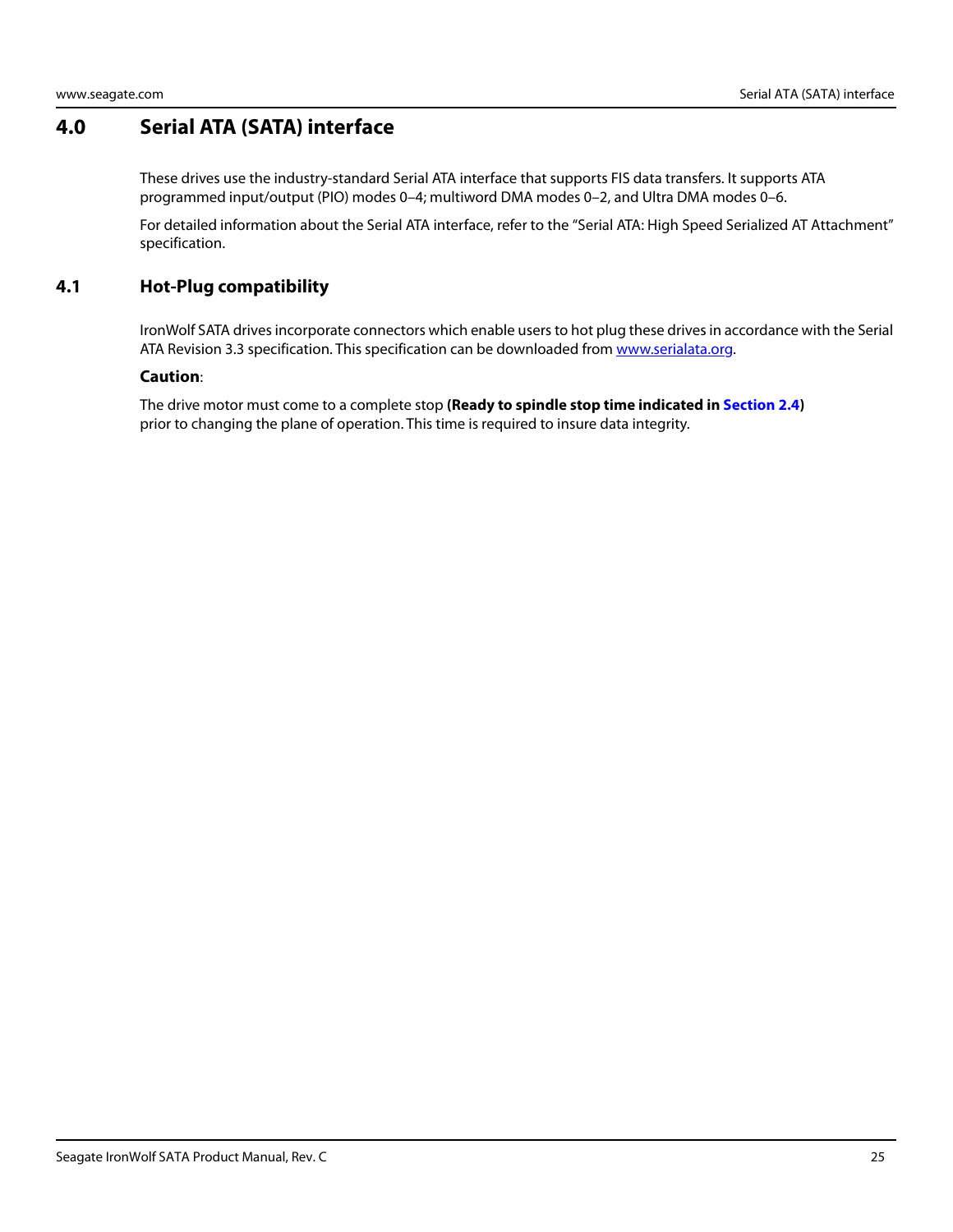### <span id="page-25-0"></span>**4.0 Serial ATA (SATA) interface**

These drives use the industry-standard Serial ATA interface that supports FIS data transfers. It supports ATA programmed input/output (PIO) modes 0–4; multiword DMA modes 0–2, and Ultra DMA modes 0–6.

For detailed information about the Serial ATA interface, refer to the "Serial ATA: High Speed Serialized AT Attachment" specification.

### <span id="page-25-1"></span>**4.1 Hot-Plug compatibility**

IronWolf SATA drives incorporate connectors which enable users to hot plug these drives in accordance with the Serial ATA Revision 3.3 specification. This specification can be downloaded from [www.serialata.org](http://www.serialata.org).

#### **Caution**:

The drive motor must come to a complete stop **(Ready to spindle stop time indicated in [Section 2.4](#page-9-3))** prior to changing the plane of operation. This time is required to insure data integrity.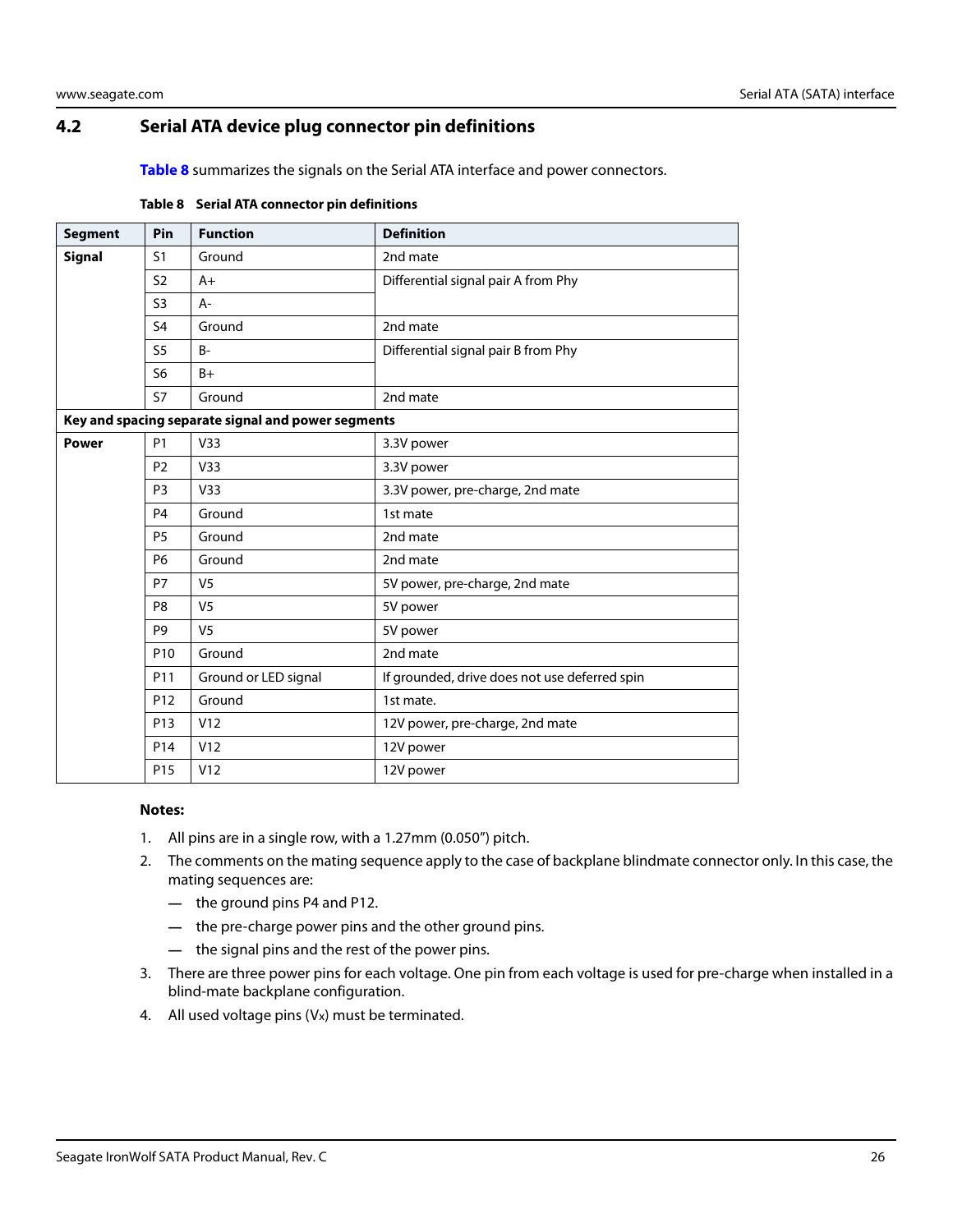### <span id="page-26-0"></span>**4.2 Serial ATA device plug connector pin definitions**

**Table 8** summarizes the signals on the Serial ATA interface and power connectors.

| <b>Segment</b> | Pin             | <b>Function</b>                                    | <b>Definition</b>                             |  |
|----------------|-----------------|----------------------------------------------------|-----------------------------------------------|--|
| <b>Signal</b>  | S <sub>1</sub>  | Ground                                             | 2nd mate                                      |  |
|                | S <sub>2</sub>  | $A+$                                               | Differential signal pair A from Phy           |  |
|                | S <sub>3</sub>  | A-                                                 |                                               |  |
|                | S <sub>4</sub>  | Ground                                             | 2nd mate                                      |  |
|                | S <sub>5</sub>  | $B -$                                              | Differential signal pair B from Phy           |  |
|                | S <sub>6</sub>  | $B+$                                               |                                               |  |
|                | S7              | Ground                                             | 2nd mate                                      |  |
|                |                 | Key and spacing separate signal and power segments |                                               |  |
| <b>Power</b>   | <b>P1</b>       | V33                                                | 3.3V power                                    |  |
|                | P <sub>2</sub>  | V <sub>33</sub>                                    | 3.3V power                                    |  |
|                | P <sub>3</sub>  | V33                                                | 3.3V power, pre-charge, 2nd mate              |  |
|                | P <sub>4</sub>  | Ground                                             | 1st mate                                      |  |
|                | P <sub>5</sub>  | Ground                                             | 2nd mate                                      |  |
|                | <b>P6</b>       | Ground                                             | 2nd mate                                      |  |
|                | P7              | V <sub>5</sub>                                     | 5V power, pre-charge, 2nd mate                |  |
|                | P8              | V <sub>5</sub>                                     | 5V power                                      |  |
|                | P <sub>9</sub>  | V <sub>5</sub>                                     | 5V power                                      |  |
|                | P <sub>10</sub> | Ground                                             | 2nd mate                                      |  |
|                | P11             | Ground or LED signal                               | If grounded, drive does not use deferred spin |  |
|                | P <sub>12</sub> | Ground                                             | 1st mate.                                     |  |
|                | P <sub>13</sub> | V12                                                | 12V power, pre-charge, 2nd mate               |  |
|                | P14             | V12                                                | 12V power                                     |  |
|                | P15             | V12                                                | 12V power                                     |  |

#### **Table 8 Serial ATA connector pin definitions**

#### **Notes:**

- 1. All pins are in a single row, with a 1.27mm (0.050") pitch.
- 2. The comments on the mating sequence apply to the case of backplane blindmate connector only. In this case, the mating sequences are:
	- **—** the ground pins P4 and P12.
	- **—** the pre-charge power pins and the other ground pins.
	- **—** the signal pins and the rest of the power pins.
- 3. There are three power pins for each voltage. One pin from each voltage is used for pre-charge when installed in a blind-mate backplane configuration.
- 4. All used voltage pins (Vx) must be terminated.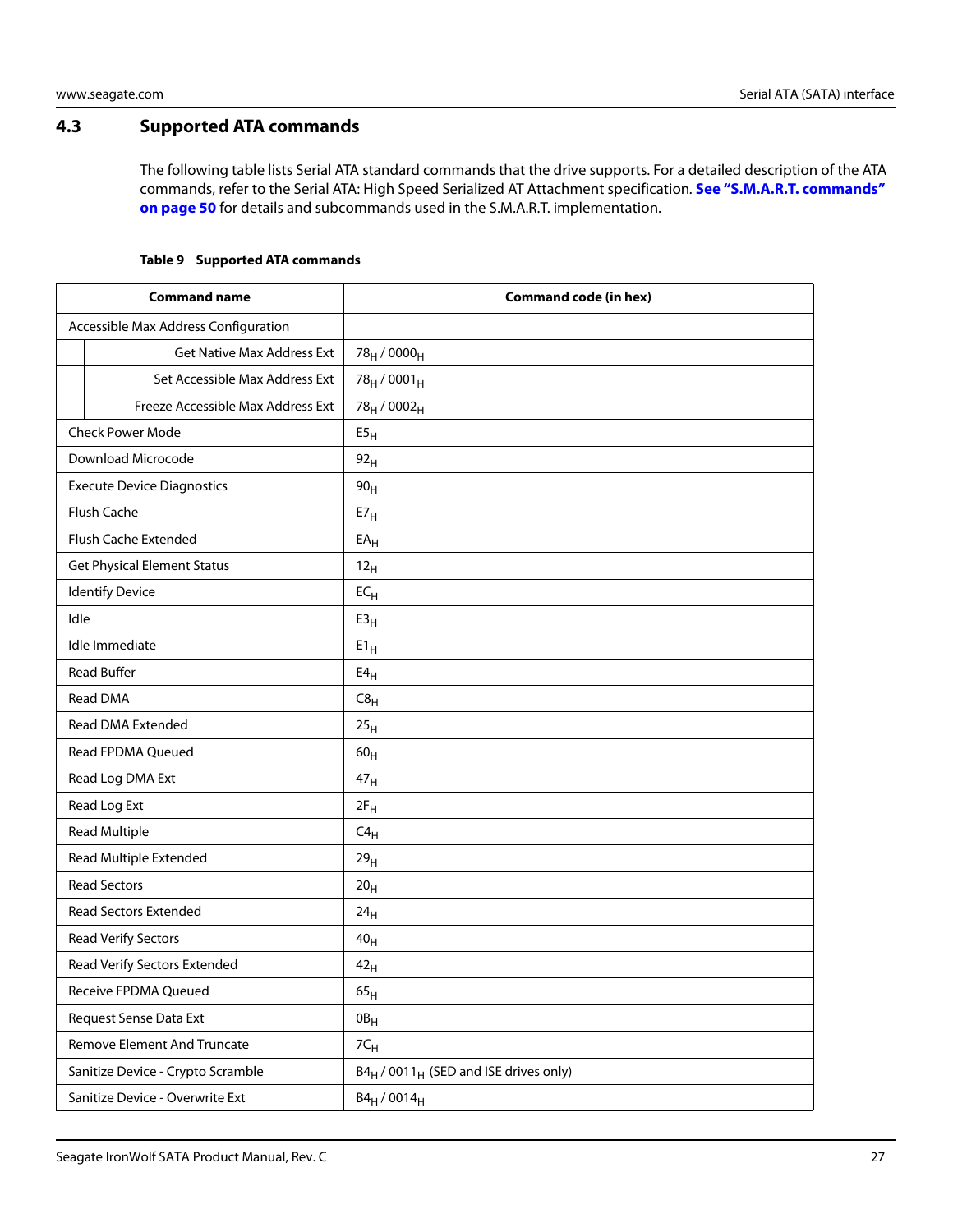### <span id="page-27-0"></span>**4.3 Supported ATA commands**

The following table lists Serial ATA standard commands that the drive supports. For a detailed description of the ATA commands, refer to the Serial ATA: High Speed Serialized AT Attachment specification. **[See "S.M.A.R.T. commands"](#page-50-0)  [on page 50](#page-50-0)** for details and subcommands used in the S.M.A.R.T. implementation.

#### **Table 9 Supported ATA commands**

| <b>Command name</b>                  | <b>Command code (in hex)</b>                                  |
|--------------------------------------|---------------------------------------------------------------|
| Accessible Max Address Configuration |                                                               |
| <b>Get Native Max Address Ext</b>    | 78 <sub>H</sub> / 0000 <sub>H</sub>                           |
| Set Accessible Max Address Ext       | $78_H / 0001_H$                                               |
| Freeze Accessible Max Address Ext    | 78 <sub>H</sub> / 0002 <sub>H</sub>                           |
| <b>Check Power Mode</b>              | $\mathsf{E} \mathsf{5}_{\mathsf{H}}$                          |
| Download Microcode                   | 92 <sub>H</sub>                                               |
| <b>Execute Device Diagnostics</b>    | 90 <sub>H</sub>                                               |
| <b>Flush Cache</b>                   | E7 <sub>H</sub>                                               |
| Flush Cache Extended                 | $EA_H$                                                        |
| <b>Get Physical Element Status</b>   | 12 <sub>H</sub>                                               |
| <b>Identify Device</b>               | $EC_{H}$                                                      |
| Idle                                 | E3 <sub>H</sub>                                               |
| Idle Immediate                       | $E1_H$                                                        |
| <b>Read Buffer</b>                   | E4 <sub>H</sub>                                               |
| Read DMA                             | C8 <sub>H</sub>                                               |
| <b>Read DMA Extended</b>             | 25 <sub>H</sub>                                               |
| Read FPDMA Queued                    | 60 <sub>H</sub>                                               |
| Read Log DMA Ext                     | 47 <sub>H</sub>                                               |
| Read Log Ext                         | $2F_H$                                                        |
| <b>Read Multiple</b>                 | $C4_H$                                                        |
| Read Multiple Extended               | 29 <sub>H</sub>                                               |
| <b>Read Sectors</b>                  | 20 <sub>H</sub>                                               |
| <b>Read Sectors Extended</b>         | 24 <sub>H</sub>                                               |
| Read Verify Sectors                  | 40 <sub>H</sub>                                               |
| Read Verify Sectors Extended         | 42 <sub>H</sub>                                               |
| Receive FPDMA Queued                 | 65 <sub>H</sub>                                               |
| Request Sense Data Ext               | $0B_H$                                                        |
| <b>Remove Element And Truncate</b>   | $7C_H$                                                        |
| Sanitize Device - Crypto Scramble    | B4 <sub>H</sub> / 0011 <sub>H</sub> (SED and ISE drives only) |
| Sanitize Device - Overwrite Ext      | $B4_H / 0014_H$                                               |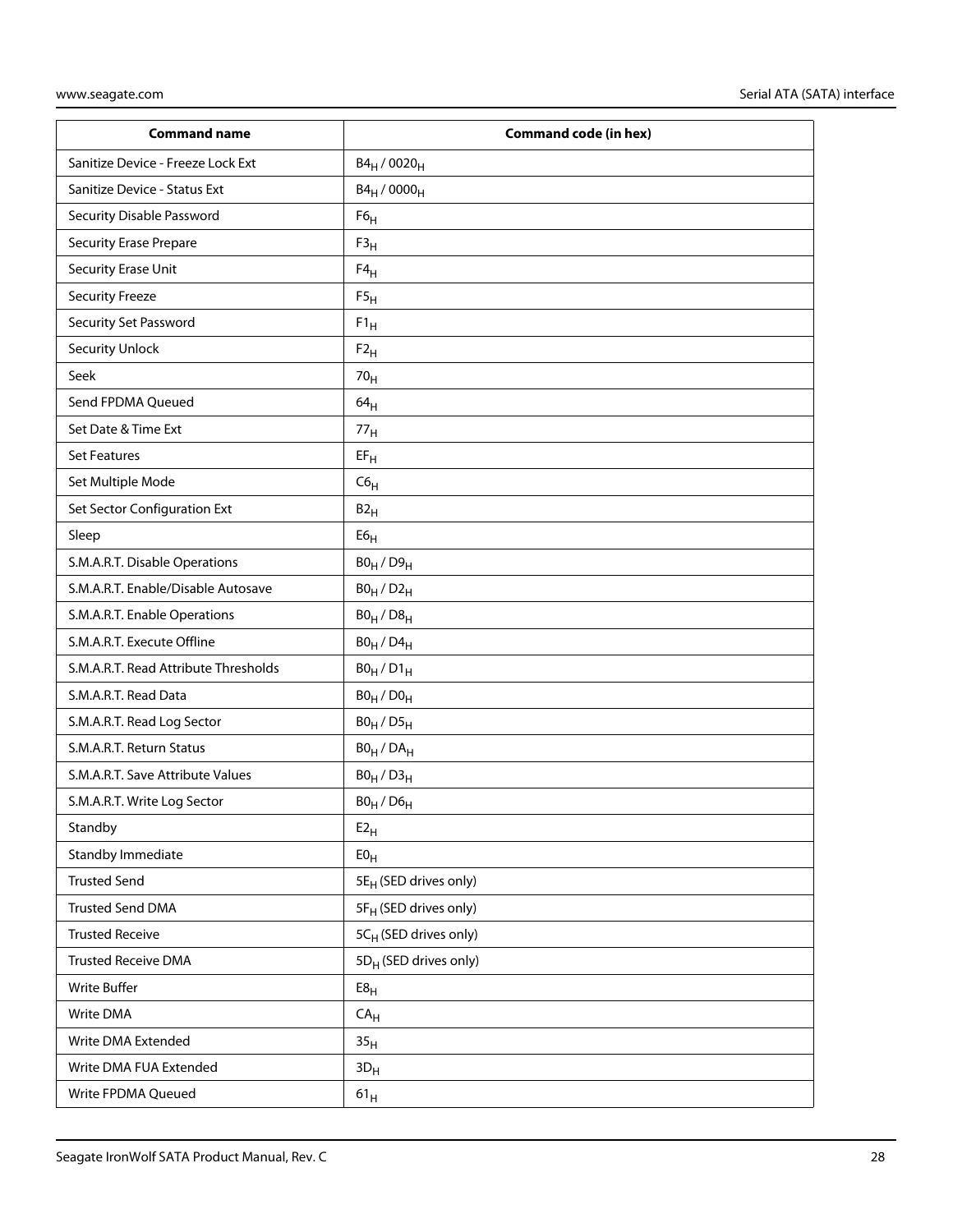| <b>Command name</b>                  | <b>Command code (in hex)</b>        |
|--------------------------------------|-------------------------------------|
| Sanitize Device - Freeze Lock Ext    | B4 <sub>H</sub> / 0020 <sub>H</sub> |
| Sanitize Device - Status Ext         | $B4_H / 0000_H$                     |
| Security Disable Password            | F6 <sub>H</sub>                     |
| <b>Security Erase Prepare</b>        | F3 <sub>H</sub>                     |
| Security Erase Unit                  | $F4_H$                              |
| <b>Security Freeze</b>               | F5 <sub>H</sub>                     |
| Security Set Password                | $F1_H$                              |
| <b>Security Unlock</b>               | $F2_H$                              |
| Seek                                 | 70 <sub>H</sub>                     |
| Send FPDMA Queued                    | 64 <sub>H</sub>                     |
| Set Date & Time Ext                  | 77 <sub>H</sub>                     |
| <b>Set Features</b>                  | $\mathsf{EF}_\mathsf{H}$            |
| Set Multiple Mode                    | C6 <sub>H</sub>                     |
| Set Sector Configuration Ext         | B2 <sub>H</sub>                     |
| Sleep                                | E6 <sub>H</sub>                     |
| S.M.A.R.T. Disable Operations        | $B0_H / D9_H$                       |
| S.M.A.R.T. Enable/Disable Autosave   | $B0_H / D2_H$                       |
| S.M.A.R.T. Enable Operations         | $B0_H / D8_H$                       |
| S.M.A.R.T. Execute Offline           | $B0_H$ / $D4_H$                     |
| S.M.A.R.T. Read Attribute Thresholds | $B0_H / D1_H$                       |
| S.M.A.R.T. Read Data                 | $B0_H / D0_H$                       |
| S.M.A.R.T. Read Log Sector           | $B0_H / D5_H$                       |
| S.M.A.R.T. Return Status             | $B0_H$ / $DA_H$                     |
| S.M.A.R.T. Save Attribute Values     | $B0_H / D3_H$                       |
| S.M.A.R.T. Write Log Sector          | $B0_H$ / $D6_H$                     |
| Standby                              | E2 <sub>H</sub>                     |
| Standby Immediate                    | E0 <sub>H</sub>                     |
| <b>Trusted Send</b>                  | 5E <sub>H</sub> (SED drives only)   |
| <b>Trusted Send DMA</b>              | 5F <sub>H</sub> (SED drives only)   |
| <b>Trusted Receive</b>               | 5CH (SED drives only)               |
| <b>Trusted Receive DMA</b>           | 5D <sub>H</sub> (SED drives only)   |
| Write Buffer                         | E8 <sub>H</sub>                     |
| Write DMA                            | CA <sub>H</sub>                     |
| Write DMA Extended                   | 35 <sub>H</sub>                     |
| Write DMA FUA Extended               | $3D_H$                              |
| Write FPDMA Queued                   | 61 <sub>H</sub>                     |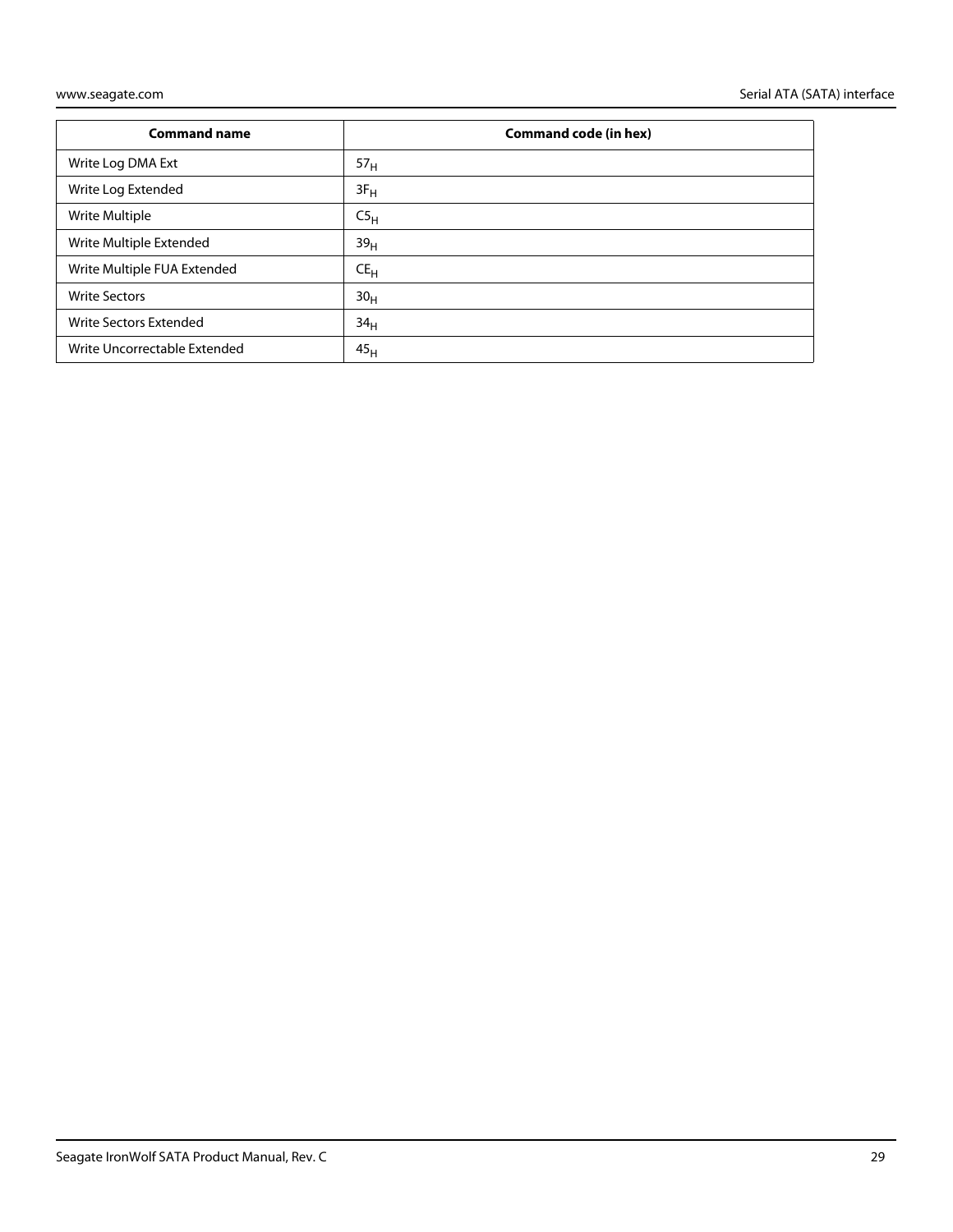| <b>Command name</b>          | Command code (in hex) |
|------------------------------|-----------------------|
| Write Log DMA Ext            | 57 <sub>H</sub>       |
| Write Log Extended           | $3F_H$                |
| Write Multiple               | C5 <sub>H</sub>       |
| Write Multiple Extended      | 39 <sub>H</sub>       |
| Write Multiple FUA Extended  | $CE_{H}$              |
| <b>Write Sectors</b>         | 30 <sub>H</sub>       |
| Write Sectors Extended       | 34 <sub>H</sub>       |
| Write Uncorrectable Extended | 45 <sub>H</sub>       |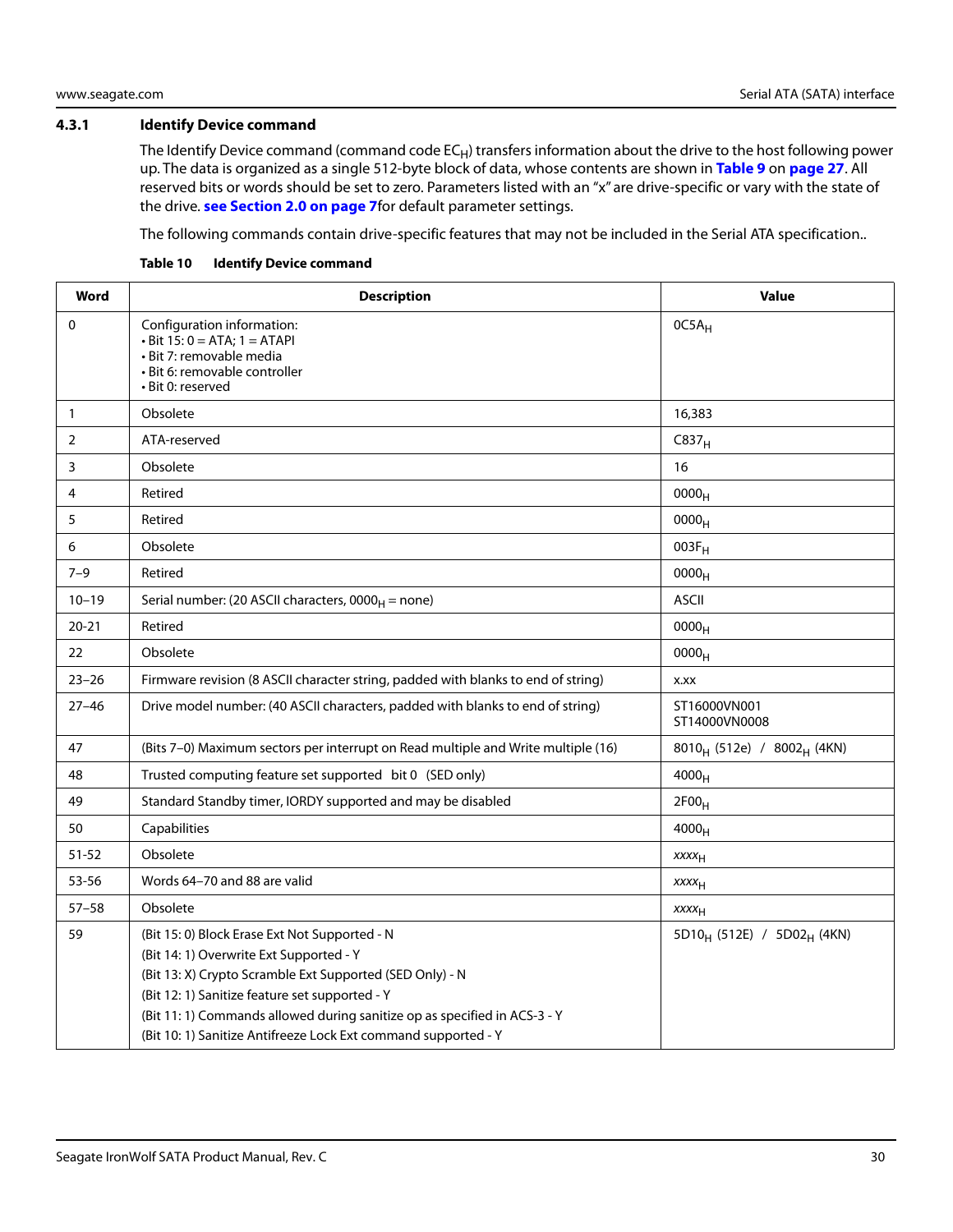#### <span id="page-30-0"></span>**4.3.1 Identify Device command**

The Identify Device command (command code  $EC_H$ ) transfers information about the drive to the host following power up. The data is organized as a single 512-byte block of data, whose contents are shown in **Table 9** on **page 27**. All reserved bits or words should be set to zero. Parameters listed with an "x" are drive-specific or vary with the state of the drive. **[see Section 2.0 on page 7](#page-7-0)**for default parameter settings.

The following commands contain drive-specific features that may not be included in the Serial ATA specification..

| Word           | <b>Description</b>                                                                                                                                                                                                                                                                                                                                    | <b>Value</b>                                       |
|----------------|-------------------------------------------------------------------------------------------------------------------------------------------------------------------------------------------------------------------------------------------------------------------------------------------------------------------------------------------------------|----------------------------------------------------|
| $\Omega$       | Configuration information:<br>$\cdot$ Bit 15: 0 = ATA; 1 = ATAPI<br>• Bit 7: removable media<br>• Bit 6: removable controller<br>• Bit 0: reserved                                                                                                                                                                                                    | $OC5A_H$                                           |
| $\mathbf{1}$   | Obsolete                                                                                                                                                                                                                                                                                                                                              | 16,383                                             |
| $\overline{2}$ | ATA-reserved                                                                                                                                                                                                                                                                                                                                          | C837 <sub>H</sub>                                  |
| 3              | Obsolete                                                                                                                                                                                                                                                                                                                                              | 16                                                 |
| 4              | Retired                                                                                                                                                                                                                                                                                                                                               | 0000 <sub>H</sub>                                  |
| 5              | Retired                                                                                                                                                                                                                                                                                                                                               | 0000 <sub>H</sub>                                  |
| 6              | Obsolete                                                                                                                                                                                                                                                                                                                                              | $003F_H$                                           |
| $7 - 9$        | Retired                                                                                                                                                                                                                                                                                                                                               | 0000 <sub>H</sub>                                  |
| $10 - 19$      | Serial number: (20 ASCII characters, 0000 $_{H}$ = none)                                                                                                                                                                                                                                                                                              | <b>ASCII</b>                                       |
| $20 - 21$      | Retired                                                                                                                                                                                                                                                                                                                                               | 0000 <sub>H</sub>                                  |
| 22             | Obsolete                                                                                                                                                                                                                                                                                                                                              | 0000 <sub>H</sub>                                  |
| $23 - 26$      | Firmware revision (8 ASCII character string, padded with blanks to end of string)                                                                                                                                                                                                                                                                     | X.XX                                               |
| $27 - 46$      | Drive model number: (40 ASCII characters, padded with blanks to end of string)                                                                                                                                                                                                                                                                        | ST16000VN001<br>ST14000VN0008                      |
| 47             | (Bits 7-0) Maximum sectors per interrupt on Read multiple and Write multiple (16)                                                                                                                                                                                                                                                                     | 8010 <sub>H</sub> (512e) / 8002 <sub>H</sub> (4KN) |
| 48             | Trusted computing feature set supported bit 0 (SED only)                                                                                                                                                                                                                                                                                              | $4000_H$                                           |
| 49             | Standard Standby timer, IORDY supported and may be disabled                                                                                                                                                                                                                                                                                           | 2F00 <sub>H</sub>                                  |
| 50             | Capabilities                                                                                                                                                                                                                                                                                                                                          | 4000 <sub>H</sub>                                  |
| $51 - 52$      | Obsolete                                                                                                                                                                                                                                                                                                                                              | XXXH                                               |
| 53-56          | Words 64-70 and 88 are valid                                                                                                                                                                                                                                                                                                                          | XXXH                                               |
| $57 - 58$      | Obsolete                                                                                                                                                                                                                                                                                                                                              | XXXH                                               |
| 59             | (Bit 15: 0) Block Erase Ext Not Supported - N<br>(Bit 14: 1) Overwrite Ext Supported - Y<br>(Bit 13: X) Crypto Scramble Ext Supported (SED Only) - N<br>(Bit 12: 1) Sanitize feature set supported - Y<br>(Bit 11: 1) Commands allowed during sanitize op as specified in ACS-3 - Y<br>(Bit 10: 1) Sanitize Antifreeze Lock Ext command supported - Y | 5D10 <sub>H</sub> (512E) / 5D02 <sub>H</sub> (4KN) |

**Table 10 Identify Device command**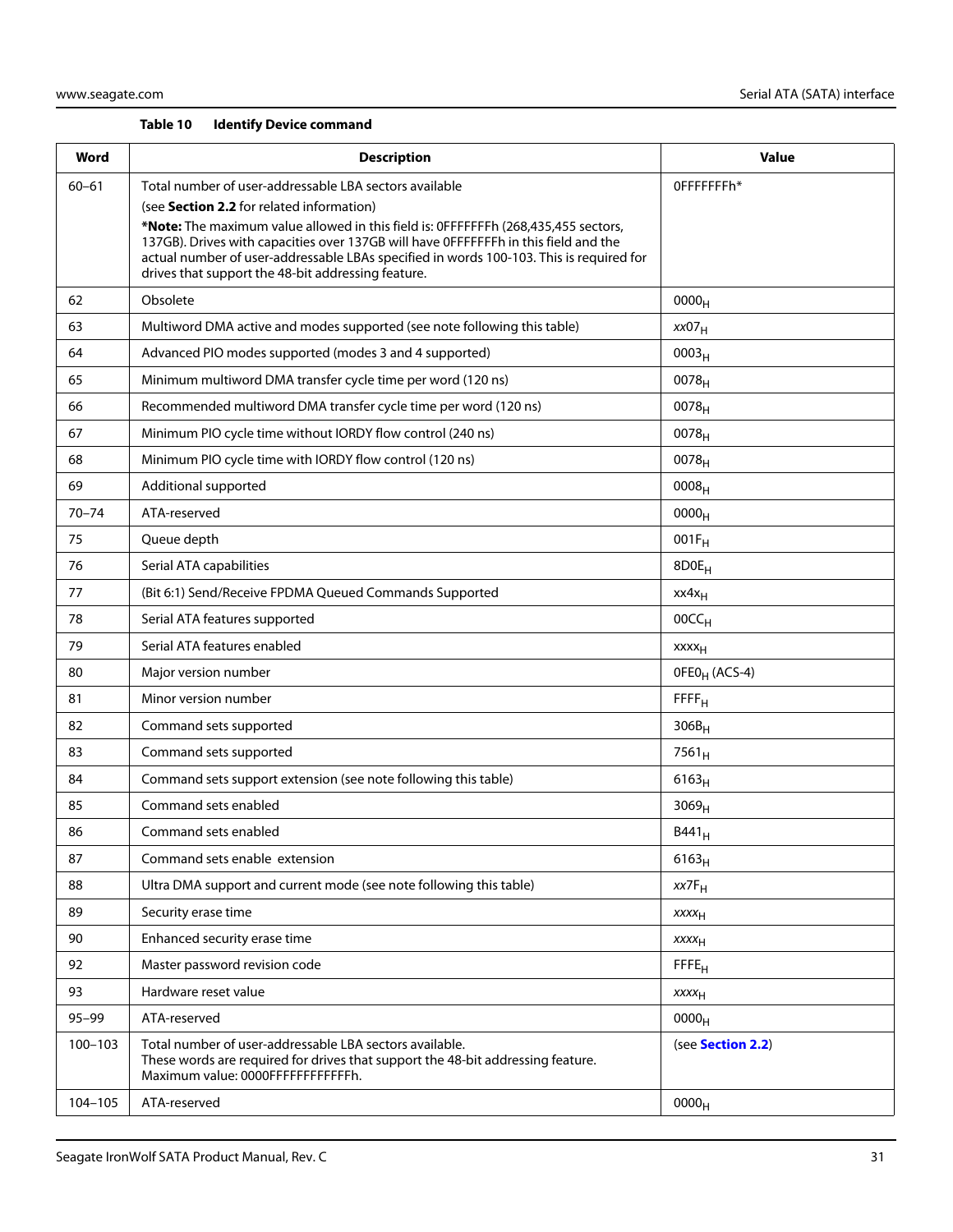#### **Table 10 Identify Device command**

| Word        | <b>Description</b>                                                                                                                                                                                                                                                                                                                                                                                                                | <b>Value</b>              |
|-------------|-----------------------------------------------------------------------------------------------------------------------------------------------------------------------------------------------------------------------------------------------------------------------------------------------------------------------------------------------------------------------------------------------------------------------------------|---------------------------|
| $60 - 61$   | Total number of user-addressable LBA sectors available<br>(see Section 2.2 for related information)<br>*Note: The maximum value allowed in this field is: 0FFFFFFFh (268,435,455 sectors,<br>137GB). Drives with capacities over 137GB will have 0FFFFFFFh in this field and the<br>actual number of user-addressable LBAs specified in words 100-103. This is required for<br>drives that support the 48-bit addressing feature. | 0FFFFFFFh*                |
| 62          | Obsolete                                                                                                                                                                                                                                                                                                                                                                                                                          | 0000 <sub>H</sub>         |
| 63          | Multiword DMA active and modes supported (see note following this table)                                                                                                                                                                                                                                                                                                                                                          | xx07 <sub>H</sub>         |
| 64          | Advanced PIO modes supported (modes 3 and 4 supported)                                                                                                                                                                                                                                                                                                                                                                            | 0003 <sub>H</sub>         |
| 65          | Minimum multiword DMA transfer cycle time per word (120 ns)                                                                                                                                                                                                                                                                                                                                                                       | $0078_{H}$                |
| 66          | Recommended multiword DMA transfer cycle time per word (120 ns)                                                                                                                                                                                                                                                                                                                                                                   | $0078_{H}$                |
| 67          | Minimum PIO cycle time without IORDY flow control (240 ns)                                                                                                                                                                                                                                                                                                                                                                        | 0078 <sub>H</sub>         |
| 68          | Minimum PIO cycle time with IORDY flow control (120 ns)                                                                                                                                                                                                                                                                                                                                                                           | 0078 <sub>H</sub>         |
| 69          | Additional supported                                                                                                                                                                                                                                                                                                                                                                                                              | $0008_{H}$                |
| $70 - 74$   | ATA-reserved                                                                                                                                                                                                                                                                                                                                                                                                                      | 0000 <sub>H</sub>         |
| 75          | Queue depth                                                                                                                                                                                                                                                                                                                                                                                                                       | $001F_H$                  |
| 76          | Serial ATA capabilities                                                                                                                                                                                                                                                                                                                                                                                                           | 8D0E <sub>H</sub>         |
| 77          | (Bit 6:1) Send/Receive FPDMA Queued Commands Supported                                                                                                                                                                                                                                                                                                                                                                            | $xx4x_H$                  |
| 78          | Serial ATA features supported                                                                                                                                                                                                                                                                                                                                                                                                     | 00CC <sub>H</sub>         |
| 79          | Serial ATA features enabled                                                                                                                                                                                                                                                                                                                                                                                                       | xxxx <sub>H</sub>         |
| 80          | Major version number                                                                                                                                                                                                                                                                                                                                                                                                              | OFEO <sub>H</sub> (ACS-4) |
| 81          | Minor version number                                                                                                                                                                                                                                                                                                                                                                                                              | $F$ $F$ $F$ $H$           |
| 82          | Command sets supported                                                                                                                                                                                                                                                                                                                                                                                                            | $306B_H$                  |
| 83          | Command sets supported                                                                                                                                                                                                                                                                                                                                                                                                            | $7561_H$                  |
| 84          | Command sets support extension (see note following this table)                                                                                                                                                                                                                                                                                                                                                                    | 6163 <sub>H</sub>         |
| 85          | Command sets enabled                                                                                                                                                                                                                                                                                                                                                                                                              | 3069 <sub>H</sub>         |
| 86          | Command sets enabled                                                                                                                                                                                                                                                                                                                                                                                                              | B441 <sub>H</sub>         |
| 87          | Command sets enable extension                                                                                                                                                                                                                                                                                                                                                                                                     | $6163_H$                  |
| 88          | Ultra DMA support and current mode (see note following this table)                                                                                                                                                                                                                                                                                                                                                                | $xx7F_H$                  |
| 89          | Security erase time                                                                                                                                                                                                                                                                                                                                                                                                               | XXXH                      |
| 90          | Enhanced security erase time                                                                                                                                                                                                                                                                                                                                                                                                      | <b>XXXX<sub>H</sub></b>   |
| 92          | Master password revision code                                                                                                                                                                                                                                                                                                                                                                                                     | FFE <sub>H</sub>          |
| 93          | Hardware reset value                                                                                                                                                                                                                                                                                                                                                                                                              | <b>XXXX<sub>H</sub></b>   |
| $95 - 99$   | ATA-reserved                                                                                                                                                                                                                                                                                                                                                                                                                      | 0000 <sub>H</sub>         |
| $100 - 103$ | Total number of user-addressable LBA sectors available.<br>These words are required for drives that support the 48-bit addressing feature.<br>Maximum value: 0000FFFFFFFFFFFFh.                                                                                                                                                                                                                                                   | (see Section 2.2)         |
| 104-105     | ATA-reserved                                                                                                                                                                                                                                                                                                                                                                                                                      | 0000 <sub>H</sub>         |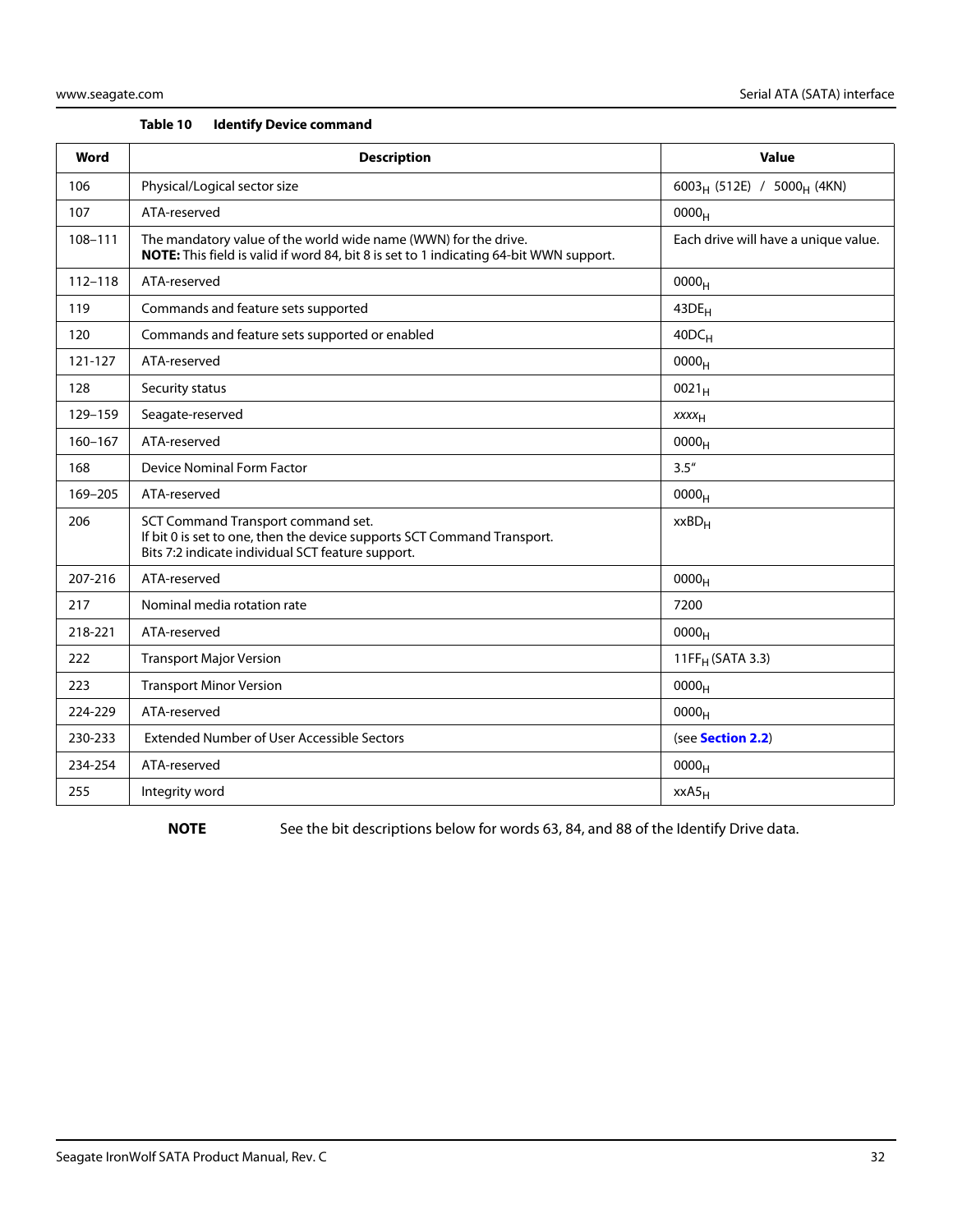| Table 10 |  |  | <b>Identify Device command</b> |
|----------|--|--|--------------------------------|
|----------|--|--|--------------------------------|

| Word        | <b>Description</b>                                                                                                                                                 | <b>Value</b>                              |
|-------------|--------------------------------------------------------------------------------------------------------------------------------------------------------------------|-------------------------------------------|
| 106         | Physical/Logical sector size                                                                                                                                       | $6003_H$ (512E) / 5000 <sub>H</sub> (4KN) |
| 107         | ATA-reserved                                                                                                                                                       | 0000 <sub>H</sub>                         |
| 108-111     | The mandatory value of the world wide name (WWN) for the drive.<br>NOTE: This field is valid if word 84, bit 8 is set to 1 indicating 64-bit WWN support.          | Each drive will have a unique value.      |
| $112 - 118$ | ATA-reserved                                                                                                                                                       | 0000 <sub>H</sub>                         |
| 119         | Commands and feature sets supported                                                                                                                                | 43DE <sub>H</sub>                         |
| 120         | Commands and feature sets supported or enabled                                                                                                                     | 40DC <sub>H</sub>                         |
| 121-127     | ATA-reserved                                                                                                                                                       | 0000 <sub>H</sub>                         |
| 128         | Security status                                                                                                                                                    | $0021_H$                                  |
| 129-159     | Seagate-reserved                                                                                                                                                   | $xxxx_{H}$                                |
| $160 - 167$ | ATA-reserved                                                                                                                                                       | 0000 <sub>H</sub>                         |
| 168         | <b>Device Nominal Form Factor</b>                                                                                                                                  | 3.5''                                     |
| 169-205     | ATA-reserved                                                                                                                                                       | 0000 <sub>H</sub>                         |
| 206         | SCT Command Transport command set.<br>If bit 0 is set to one, then the device supports SCT Command Transport.<br>Bits 7:2 indicate individual SCT feature support. | $xxBD_H$                                  |
| 207-216     | ATA-reserved                                                                                                                                                       | $0000_{H}$                                |
| 217         | Nominal media rotation rate                                                                                                                                        | 7200                                      |
| 218-221     | ATA-reserved                                                                                                                                                       | 0000 <sub>H</sub>                         |
| 222         | <b>Transport Major Version</b>                                                                                                                                     | 11FF <sub>H</sub> (SATA 3.3)              |
| 223         | <b>Transport Minor Version</b>                                                                                                                                     | 0000 <sub>H</sub>                         |
| 224-229     | ATA-reserved                                                                                                                                                       | 0000 <sub>H</sub>                         |
| 230-233     | Extended Number of User Accessible Sectors                                                                                                                         | (see Section 2.2)                         |
| 234-254     | ATA-reserved                                                                                                                                                       | 0000 <sub>H</sub>                         |
| 255         | Integrity word                                                                                                                                                     | xxA5 <sub>H</sub>                         |

**NOTE** See the bit descriptions below for words 63, 84, and 88 of the Identify Drive data.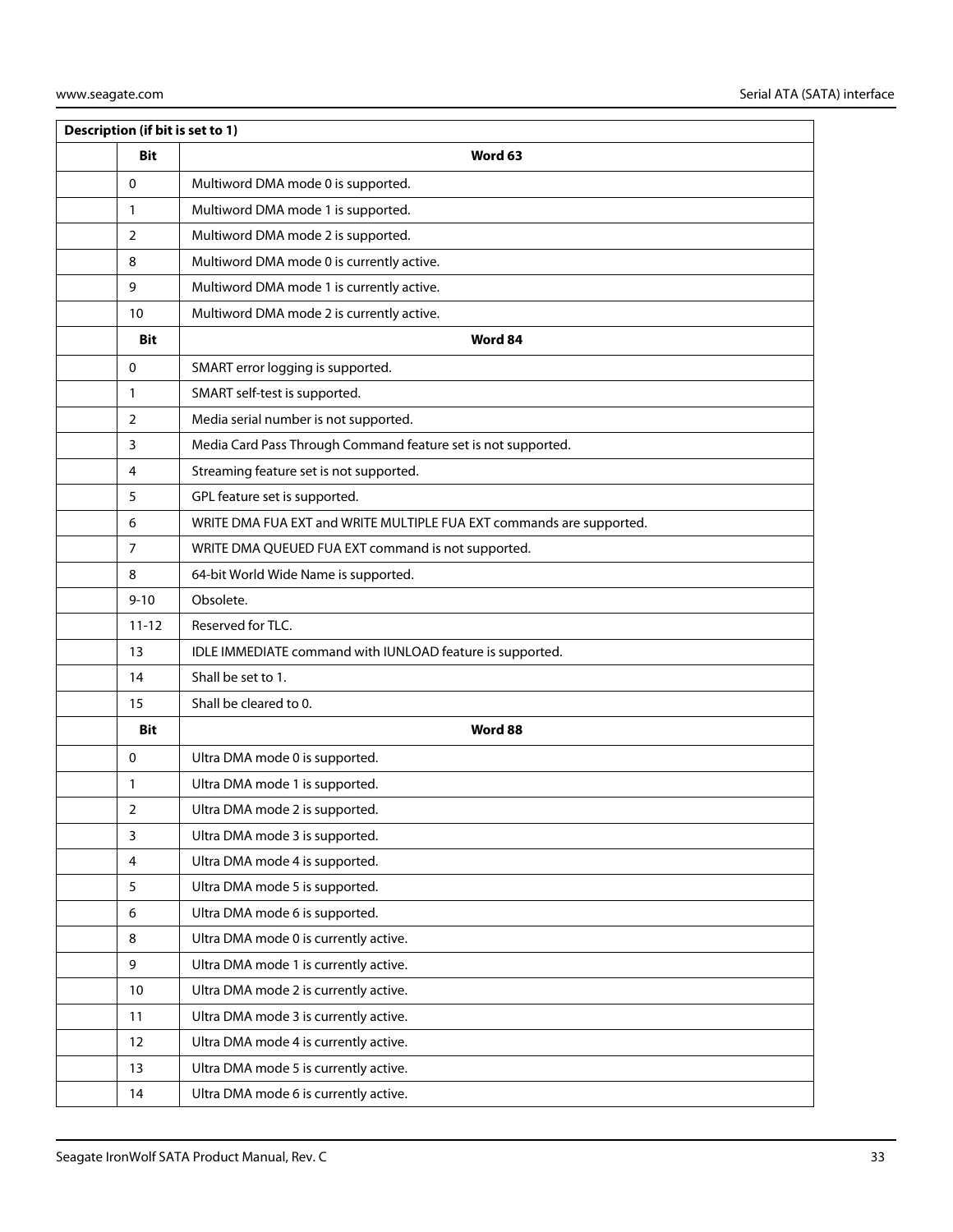| Description (if bit is set to 1) |                                                                      |  |  |  |  |
|----------------------------------|----------------------------------------------------------------------|--|--|--|--|
| <b>Bit</b>                       | Word 63                                                              |  |  |  |  |
| $\mathbf 0$                      | Multiword DMA mode 0 is supported.                                   |  |  |  |  |
| 1                                | Multiword DMA mode 1 is supported.                                   |  |  |  |  |
| $\overline{2}$                   | Multiword DMA mode 2 is supported.                                   |  |  |  |  |
| 8                                | Multiword DMA mode 0 is currently active.                            |  |  |  |  |
| 9                                | Multiword DMA mode 1 is currently active.                            |  |  |  |  |
| 10                               | Multiword DMA mode 2 is currently active.                            |  |  |  |  |
| <b>Bit</b>                       | Word 84                                                              |  |  |  |  |
| $\mathbf 0$                      | SMART error logging is supported.                                    |  |  |  |  |
| 1                                | SMART self-test is supported.                                        |  |  |  |  |
| 2                                | Media serial number is not supported.                                |  |  |  |  |
| 3                                | Media Card Pass Through Command feature set is not supported.        |  |  |  |  |
| 4                                | Streaming feature set is not supported.                              |  |  |  |  |
| 5                                | GPL feature set is supported.                                        |  |  |  |  |
| 6                                | WRITE DMA FUA EXT and WRITE MULTIPLE FUA EXT commands are supported. |  |  |  |  |
| $\overline{7}$                   | WRITE DMA QUEUED FUA EXT command is not supported.                   |  |  |  |  |
| 8                                | 64-bit World Wide Name is supported.                                 |  |  |  |  |
| $9 - 10$                         | Obsolete.                                                            |  |  |  |  |
| $11 - 12$                        | Reserved for TLC.                                                    |  |  |  |  |
| 13                               | IDLE IMMEDIATE command with IUNLOAD feature is supported.            |  |  |  |  |
| 14                               | Shall be set to 1.                                                   |  |  |  |  |
| 15                               | Shall be cleared to 0.                                               |  |  |  |  |
| <b>Bit</b>                       | Word 88                                                              |  |  |  |  |
| 0                                | Ultra DMA mode 0 is supported.                                       |  |  |  |  |
| 1                                | Ultra DMA mode 1 is supported.                                       |  |  |  |  |
| 2                                | Ultra DMA mode 2 is supported.                                       |  |  |  |  |
| $\overline{3}$                   | Ultra DMA mode 3 is supported.                                       |  |  |  |  |
| $\overline{4}$                   | Ultra DMA mode 4 is supported.                                       |  |  |  |  |
| 5                                | Ultra DMA mode 5 is supported.                                       |  |  |  |  |
| 6                                | Ultra DMA mode 6 is supported.                                       |  |  |  |  |
| 8                                | Ultra DMA mode 0 is currently active.                                |  |  |  |  |
| 9                                | Ultra DMA mode 1 is currently active.                                |  |  |  |  |
| 10                               | Ultra DMA mode 2 is currently active.                                |  |  |  |  |
| 11                               | Ultra DMA mode 3 is currently active.                                |  |  |  |  |
| 12                               | Ultra DMA mode 4 is currently active.                                |  |  |  |  |
| 13                               | Ultra DMA mode 5 is currently active.                                |  |  |  |  |
| 14                               | Ultra DMA mode 6 is currently active.                                |  |  |  |  |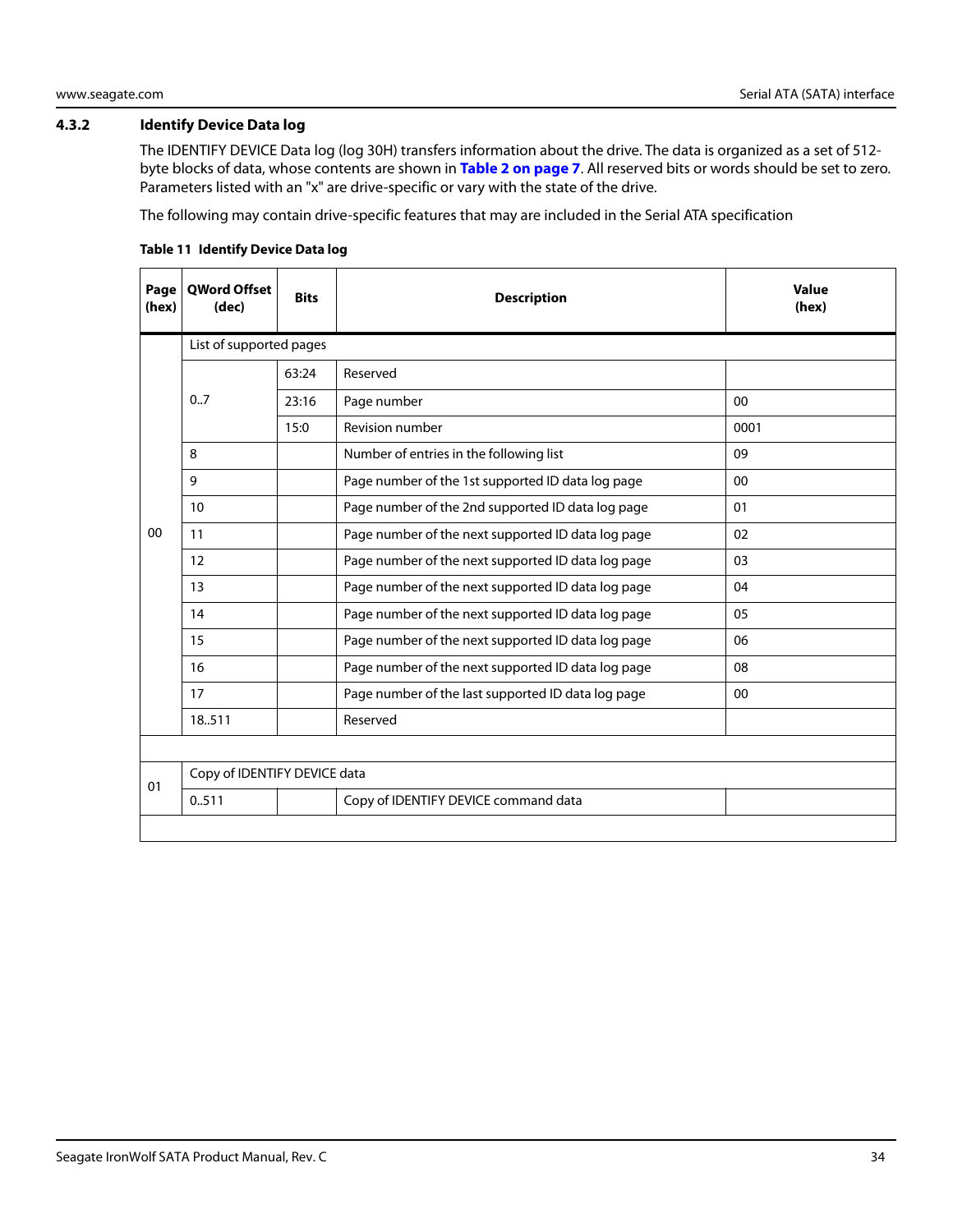#### <span id="page-34-0"></span>**4.3.2 Identify Device Data log**

The IDENTIFY DEVICE Data log (log 30H) transfers information about the drive. The data is organized as a set of 512 byte blocks of data, whose contents are shown in **[Table 2 on page 7](#page-7-2)**. All reserved bits or words should be set to zero. Parameters listed with an "x" are drive-specific or vary with the state of the drive.

The following may contain drive-specific features that may are included in the Serial ATA specification

| Page<br>(hex)  | <b>OWord Offset</b><br>(dec) | <b>Bits</b>             | <b>Description</b>                                 | <b>Value</b><br>(hex) |  |  |  |
|----------------|------------------------------|-------------------------|----------------------------------------------------|-----------------------|--|--|--|
|                |                              | List of supported pages |                                                    |                       |  |  |  |
|                |                              | 63:24                   | Reserved                                           |                       |  |  |  |
|                | 0.7                          | 23:16                   | Page number                                        | 00                    |  |  |  |
|                |                              | 15:0                    | <b>Revision number</b>                             | 0001                  |  |  |  |
|                | 8                            |                         | Number of entries in the following list            | 09                    |  |  |  |
|                | 9                            |                         | Page number of the 1st supported ID data log page  | $00\,$                |  |  |  |
|                | 10                           |                         | Page number of the 2nd supported ID data log page  | 01                    |  |  |  |
| 0 <sub>0</sub> | 11                           |                         | Page number of the next supported ID data log page | 02                    |  |  |  |
|                | 12                           |                         | Page number of the next supported ID data log page | 03                    |  |  |  |
|                | 13                           |                         | Page number of the next supported ID data log page | 04                    |  |  |  |
|                | 14                           |                         | Page number of the next supported ID data log page | 05                    |  |  |  |
|                | 15                           |                         | Page number of the next supported ID data log page | 06                    |  |  |  |
|                | 16                           |                         | Page number of the next supported ID data log page | 08                    |  |  |  |
|                | 17                           |                         | Page number of the last supported ID data log page | 0 <sub>0</sub>        |  |  |  |
|                | 18.511                       |                         | Reserved                                           |                       |  |  |  |
|                |                              |                         |                                                    |                       |  |  |  |
| 01             | Copy of IDENTIFY DEVICE data |                         |                                                    |                       |  |  |  |
|                | 0.511                        |                         | Copy of IDENTIFY DEVICE command data               |                       |  |  |  |
|                |                              |                         |                                                    |                       |  |  |  |

#### **Table 11 Identify Device Data log**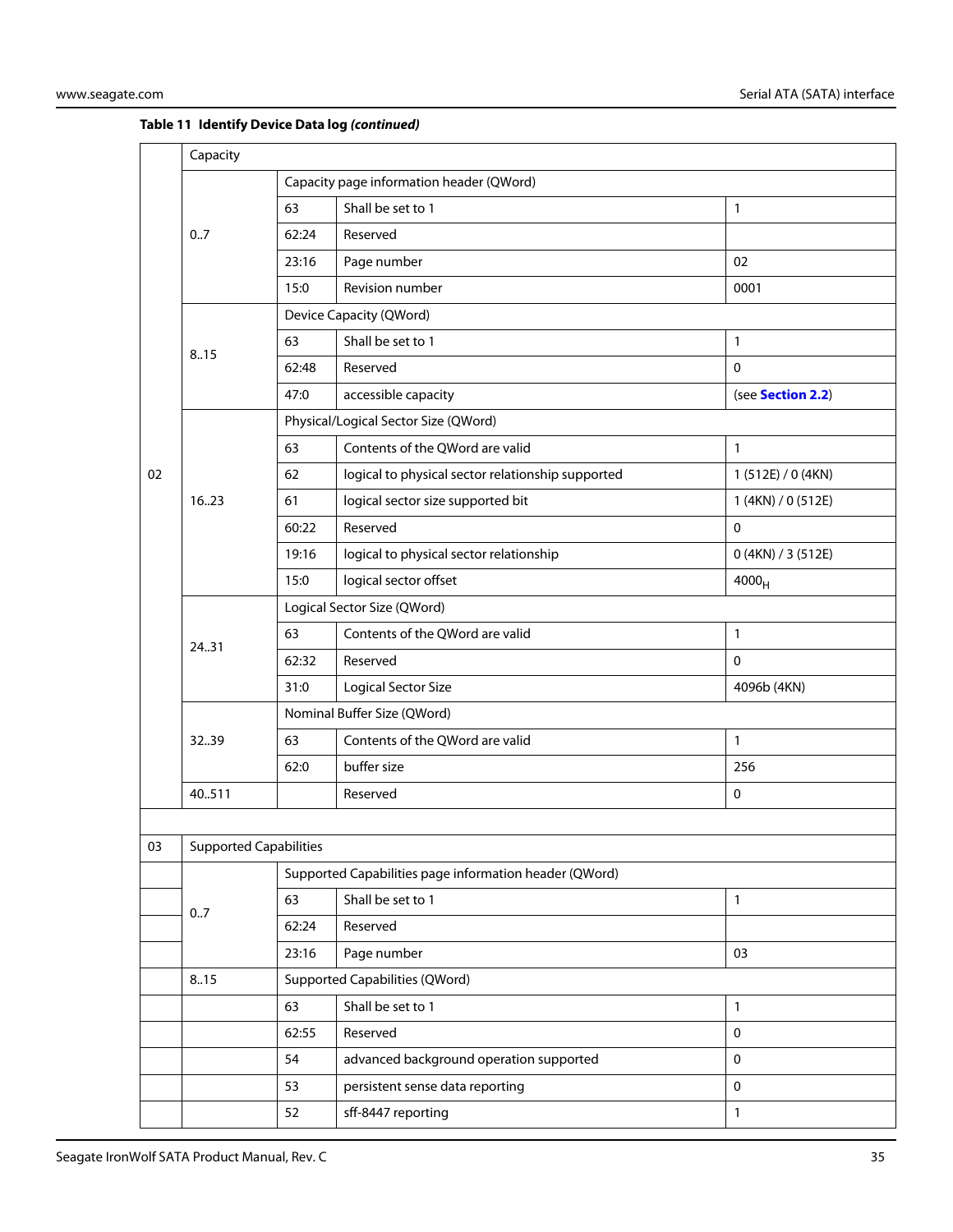|    | Capacity                                               |                                          |                                                   |                    |  |
|----|--------------------------------------------------------|------------------------------------------|---------------------------------------------------|--------------------|--|
|    |                                                        | Capacity page information header (QWord) |                                                   |                    |  |
|    |                                                        | 63                                       | Shall be set to 1                                 | $\mathbf{1}$       |  |
|    | 0.7                                                    | 62:24                                    | Reserved                                          |                    |  |
|    |                                                        | 23:16                                    | Page number                                       | 02                 |  |
|    |                                                        | 15:0                                     | Revision number                                   | 0001               |  |
|    |                                                        |                                          | Device Capacity (QWord)                           |                    |  |
|    | 8.15                                                   | 63                                       | Shall be set to 1                                 | $\mathbf{1}$       |  |
|    |                                                        | 62:48                                    | Reserved                                          | $\mathbf{0}$       |  |
|    |                                                        | 47:0                                     | accessible capacity                               | (see Section 2.2)  |  |
|    |                                                        |                                          | Physical/Logical Sector Size (QWord)              |                    |  |
|    |                                                        | 63                                       | Contents of the QWord are valid                   | $\mathbf{1}$       |  |
| 02 |                                                        | 62                                       | logical to physical sector relationship supported | 1 (512E) / 0 (4KN) |  |
|    | 1623                                                   | 61                                       | logical sector size supported bit                 | 1 (4KN) / 0 (512E) |  |
|    |                                                        | 60:22                                    | Reserved                                          | $\mathbf 0$        |  |
|    |                                                        | 19:16                                    | logical to physical sector relationship           | 0 (4KN) / 3 (512E) |  |
|    |                                                        | 15:0                                     | logical sector offset                             | 4000 <sub>H</sub>  |  |
|    |                                                        | Logical Sector Size (QWord)              |                                                   |                    |  |
|    | 24.31                                                  | 63                                       | Contents of the QWord are valid                   | $\mathbf{1}$       |  |
|    |                                                        | 62:32                                    | Reserved                                          | $\mathbf{0}$       |  |
|    |                                                        | 31:0                                     | Logical Sector Size                               | 4096b (4KN)        |  |
|    |                                                        |                                          | Nominal Buffer Size (QWord)                       |                    |  |
|    | 32.39                                                  | 63                                       | Contents of the QWord are valid                   | $\mathbf{1}$       |  |
|    |                                                        | 62:0                                     | buffer size                                       | 256                |  |
|    | 40.511                                                 |                                          | Reserved                                          | $\pmb{0}$          |  |
|    |                                                        |                                          |                                                   |                    |  |
| 03 | <b>Supported Capabilities</b>                          |                                          |                                                   |                    |  |
|    | Supported Capabilities page information header (OWord) |                                          |                                                   |                    |  |

| 03 |      | <b>Supported Capabilities</b>                          |                                         |              |  |  |  |
|----|------|--------------------------------------------------------|-----------------------------------------|--------------|--|--|--|
|    |      | Supported Capabilities page information header (QWord) |                                         |              |  |  |  |
|    |      | 63                                                     | Shall be set to 1                       |              |  |  |  |
|    | 0.7  | 62:24                                                  | Reserved                                |              |  |  |  |
|    |      | 23:16                                                  | Page number                             | 03           |  |  |  |
|    | 8.15 | Supported Capabilities (QWord)                         |                                         |              |  |  |  |
|    |      | 63                                                     | Shall be set to 1                       |              |  |  |  |
|    |      | 62:55                                                  | Reserved                                | 0            |  |  |  |
|    |      | 54                                                     | advanced background operation supported | $\mathbf{0}$ |  |  |  |
|    |      | 53                                                     | persistent sense data reporting         | 0            |  |  |  |
|    |      | 52                                                     | sff-8447 reporting                      | 1            |  |  |  |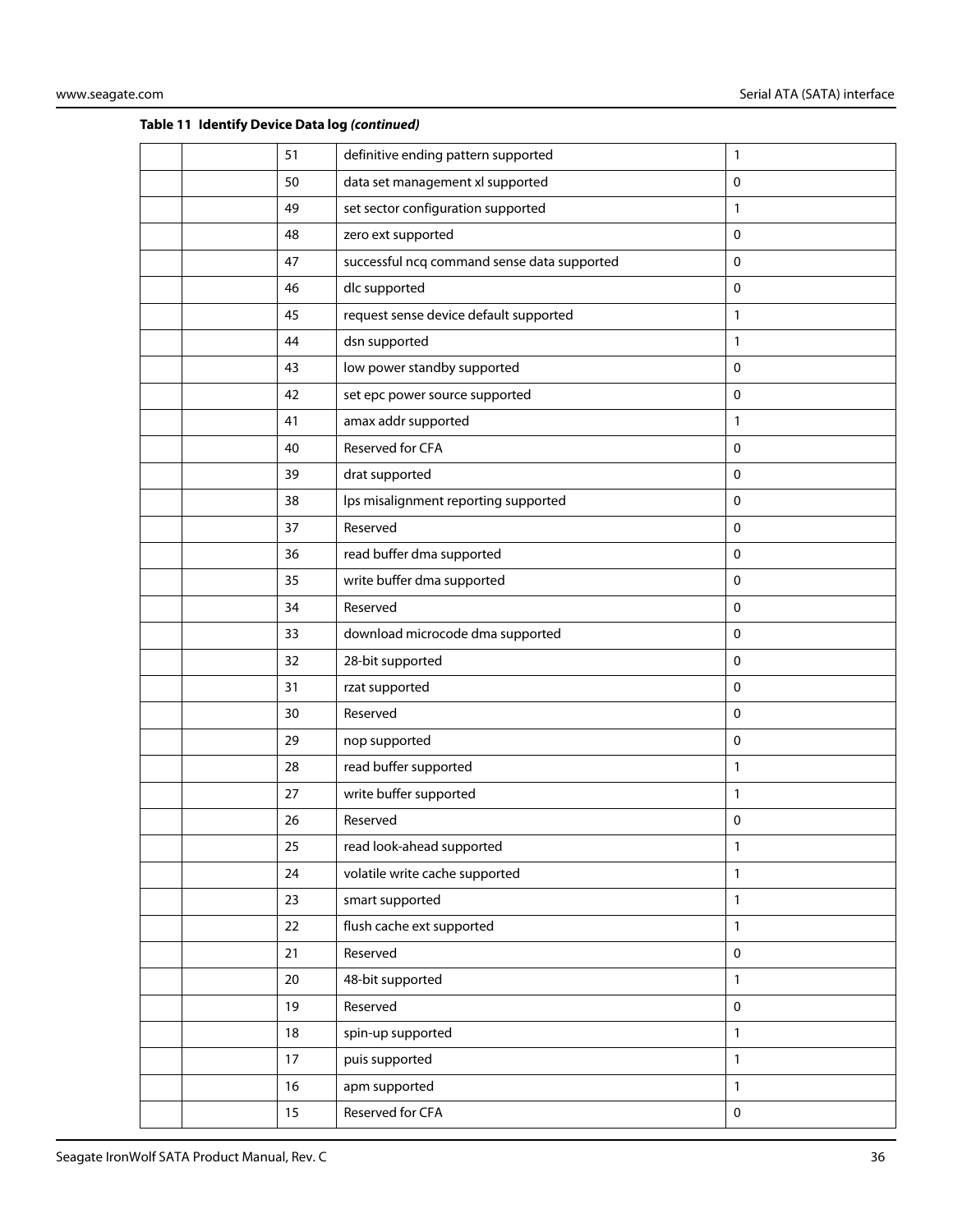|  | 51 | definitive ending pattern supported         | 1            |
|--|----|---------------------------------------------|--------------|
|  | 50 | data set management xl supported            | $\mathbf 0$  |
|  | 49 | set sector configuration supported          | 1            |
|  | 48 | zero ext supported                          | 0            |
|  | 47 | successful ncq command sense data supported | $\mathbf 0$  |
|  | 46 | dlc supported                               | $\mathbf 0$  |
|  | 45 | request sense device default supported      | $\mathbf{1}$ |
|  | 44 | dsn supported                               | 1            |
|  | 43 | low power standby supported                 | $\pmb{0}$    |
|  | 42 | set epc power source supported              | $\mathbf 0$  |
|  | 41 | amax addr supported                         | 1            |
|  | 40 | Reserved for CFA                            | $\mathbf 0$  |
|  | 39 | drat supported                              | $\mathbf 0$  |
|  | 38 | lps misalignment reporting supported        | $\mathbf 0$  |
|  | 37 | Reserved                                    | $\pmb{0}$    |
|  | 36 | read buffer dma supported                   | $\mathbf 0$  |
|  | 35 | write buffer dma supported                  | $\mathbf 0$  |
|  | 34 | Reserved                                    | $\mathbf 0$  |
|  | 33 | download microcode dma supported            | $\mathbf 0$  |
|  | 32 | 28-bit supported                            | $\mathbf 0$  |
|  | 31 | rzat supported                              | $\pmb{0}$    |
|  | 30 | Reserved                                    | $\pmb{0}$    |
|  | 29 | nop supported                               | $\mathbf 0$  |
|  | 28 | read buffer supported                       | 1            |
|  | 27 | write buffer supported                      | 1            |
|  | 26 | Reserved                                    | 0            |
|  | 25 | read look-ahead supported                   | 1            |
|  | 24 | volatile write cache supported              | $\mathbf{1}$ |
|  | 23 | smart supported                             | $\mathbf{1}$ |
|  | 22 | flush cache ext supported                   | $\mathbf{1}$ |
|  | 21 | Reserved                                    | $\pmb{0}$    |
|  | 20 | 48-bit supported                            | $\mathbf{1}$ |
|  | 19 | Reserved                                    | $\pmb{0}$    |
|  | 18 | spin-up supported                           | 1            |
|  | 17 | puis supported                              | $\mathbf{1}$ |
|  | 16 | apm supported                               | $\mathbf{1}$ |
|  | 15 | Reserved for CFA                            | $\pmb{0}$    |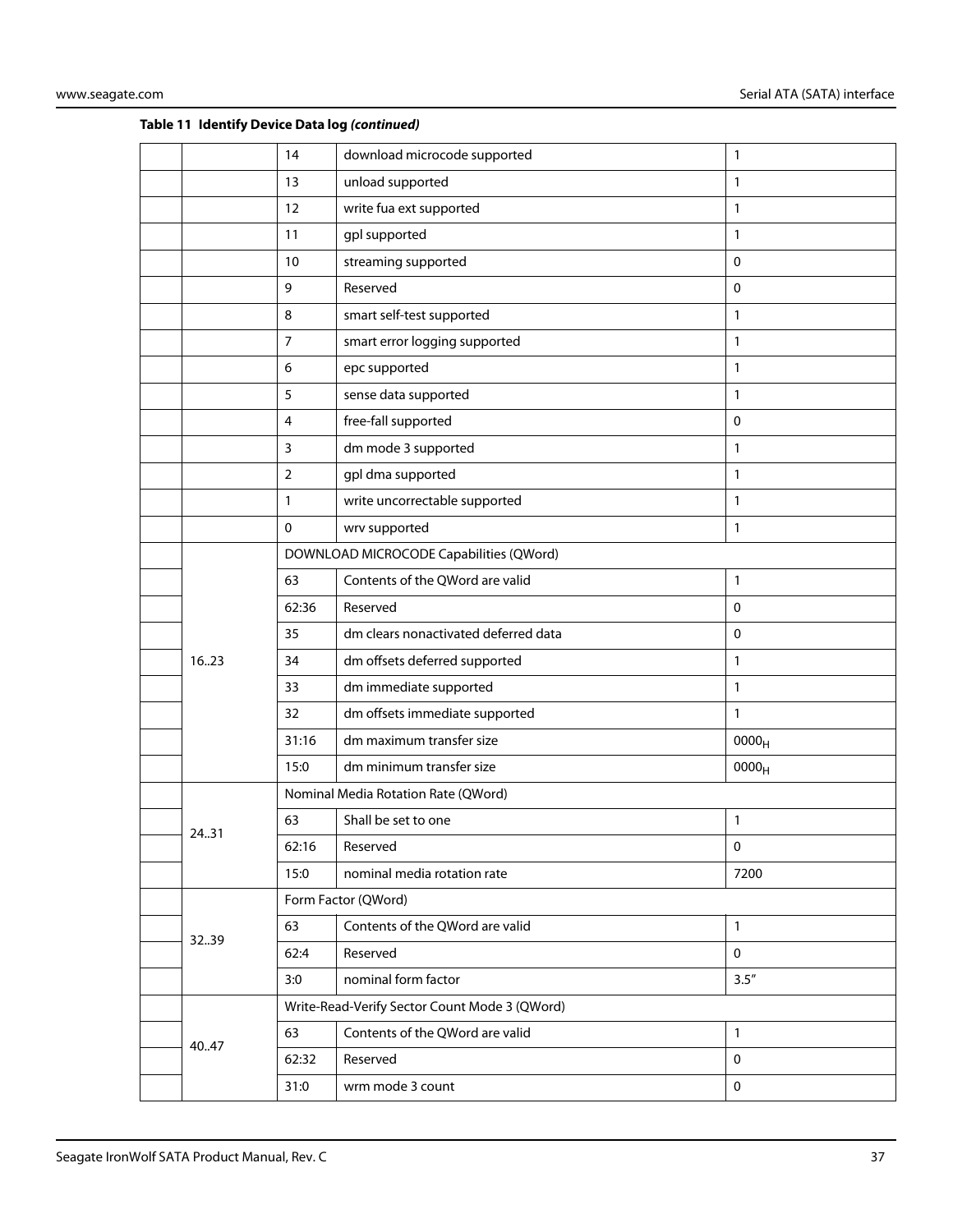|       | 14             | download microcode supported                  | 1                 |
|-------|----------------|-----------------------------------------------|-------------------|
|       | 13             | unload supported                              | 1                 |
|       | 12             | write fua ext supported                       | 1                 |
|       | 11             | gpl supported                                 | 1                 |
|       | 10             | streaming supported                           | $\mathbf 0$       |
|       | 9              | Reserved                                      | 0                 |
|       | 8              | smart self-test supported                     | 1                 |
|       | $\overline{7}$ | smart error logging supported                 | $\mathbf{1}$      |
|       | 6              | epc supported                                 | 1                 |
|       | 5              | sense data supported                          | 1                 |
|       | $\overline{4}$ | free-fall supported                           | 0                 |
|       | $\mathbf{3}$   | dm mode 3 supported                           | $\mathbf{1}$      |
|       | $\overline{2}$ | gpl dma supported                             | 1                 |
|       | $\mathbf{1}$   | write uncorrectable supported                 | 1                 |
|       | 0              | wrv supported                                 | 1                 |
|       |                | DOWNLOAD MICROCODE Capabilities (QWord)       |                   |
|       | 63             | Contents of the QWord are valid               | $\mathbf{1}$      |
|       | 62:36          | Reserved                                      | $\mathbf 0$       |
|       | 35             | dm clears nonactivated deferred data          | 0                 |
| 1623  | 34             | dm offsets deferred supported                 | 1                 |
|       | 33             | dm immediate supported                        | 1                 |
|       | 32             | dm offsets immediate supported                | 1                 |
|       | 31:16          | dm maximum transfer size                      | 0000 <sub>H</sub> |
|       | 15:0           | dm minimum transfer size                      | 0000 <sub>H</sub> |
|       |                | Nominal Media Rotation Rate (QWord)           |                   |
|       | 63             | Shall be set to one                           | 1                 |
| 24.31 | 62:16          | Reserved                                      | $\pmb{0}$         |
|       | 15:0           | nominal media rotation rate                   | 7200              |
|       |                | Form Factor (QWord)                           |                   |
|       | 63             | Contents of the QWord are valid               | $\mathbf{1}$      |
| 3239  | 62:4           | Reserved                                      | $\mathbf 0$       |
|       | 3:0            | nominal form factor                           | 3.5''             |
|       |                | Write-Read-Verify Sector Count Mode 3 (QWord) |                   |
|       | 63             | Contents of the QWord are valid               | $\mathbf{1}$      |
| 40.47 | 62:32          | Reserved                                      | $\mathbf 0$       |
|       | 31:0           | wrm mode 3 count                              | $\mathbf 0$       |
|       |                |                                               |                   |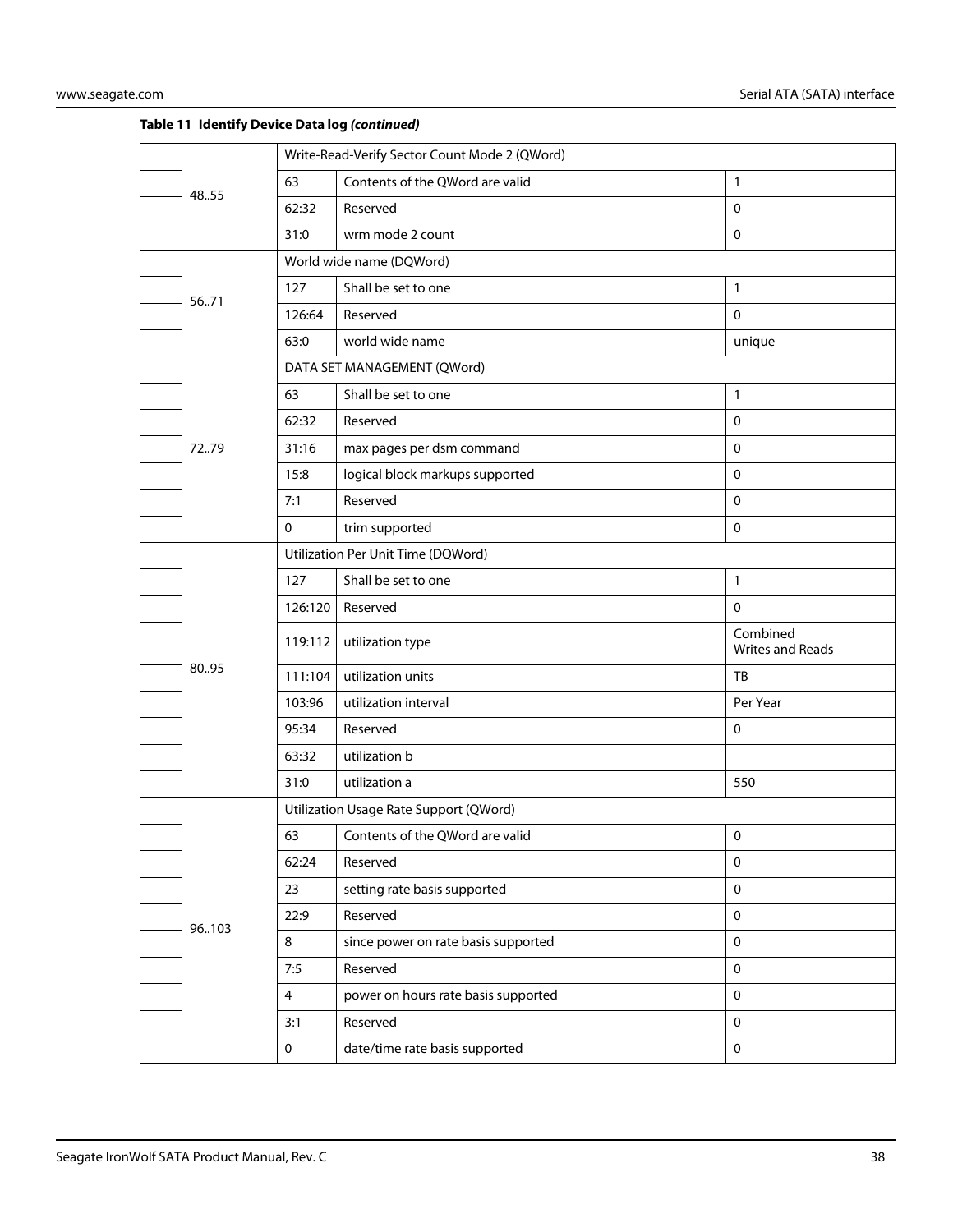|  |       | Write-Read-Verify Sector Count Mode 2 (QWord) |                                        |                                     |  |
|--|-------|-----------------------------------------------|----------------------------------------|-------------------------------------|--|
|  | 48.55 | 63                                            | Contents of the QWord are valid        | 1                                   |  |
|  |       | 62:32                                         | Reserved                               | $\pmb{0}$                           |  |
|  |       | 31:0                                          | wrm mode 2 count                       | $\mathbf 0$                         |  |
|  |       |                                               | World wide name (DQWord)               |                                     |  |
|  | 5671  | 127                                           | Shall be set to one                    | $\mathbf{1}$                        |  |
|  |       | 126:64                                        | Reserved                               | $\mathbf 0$                         |  |
|  |       | 63:0                                          | world wide name                        | unique                              |  |
|  |       |                                               | DATA SET MANAGEMENT (QWord)            |                                     |  |
|  |       | 63                                            | Shall be set to one                    | 1                                   |  |
|  |       | 62:32                                         | Reserved                               | $\mathbf 0$                         |  |
|  | 7279  | 31:16                                         | max pages per dsm command              | 0                                   |  |
|  |       | 15:8                                          | logical block markups supported        | $\mathbf 0$                         |  |
|  |       | 7:1                                           | Reserved                               | $\mathbf 0$                         |  |
|  |       | $\mathbf 0$                                   | trim supported                         | $\mathbf 0$                         |  |
|  |       |                                               | Utilization Per Unit Time (DQWord)     |                                     |  |
|  |       | 127                                           | Shall be set to one                    | 1                                   |  |
|  |       | 126:120                                       | Reserved                               | $\mathbf 0$                         |  |
|  |       | 119:112                                       | utilization type                       | Combined<br><b>Writes and Reads</b> |  |
|  | 80.95 | 111:104                                       | utilization units                      | TB                                  |  |
|  |       | 103:96                                        | utilization interval                   | Per Year                            |  |
|  |       | 95:34                                         | Reserved                               | 0                                   |  |
|  |       | 63:32                                         | utilization b                          |                                     |  |
|  |       | 31:0                                          | utilization a                          | 550                                 |  |
|  |       |                                               | Utilization Usage Rate Support (QWord) |                                     |  |
|  |       | 63                                            | Contents of the QWord are valid        | $\pmb{0}$                           |  |
|  |       | 62:24                                         | Reserved                               | 0                                   |  |
|  |       | 23                                            | setting rate basis supported           | $\mathbf 0$                         |  |
|  |       | 22:9                                          | Reserved                               | 0                                   |  |
|  | 96103 | 8                                             | since power on rate basis supported    | $\mathbf 0$                         |  |
|  |       | 7:5                                           | Reserved                               | $\mathbf 0$                         |  |
|  |       | $\overline{4}$                                | power on hours rate basis supported    | 0                                   |  |
|  |       | 3:1                                           | Reserved                               | 0                                   |  |
|  |       | $\mathbf 0$                                   | date/time rate basis supported         | $\mathbf 0$                         |  |
|  |       |                                               |                                        |                                     |  |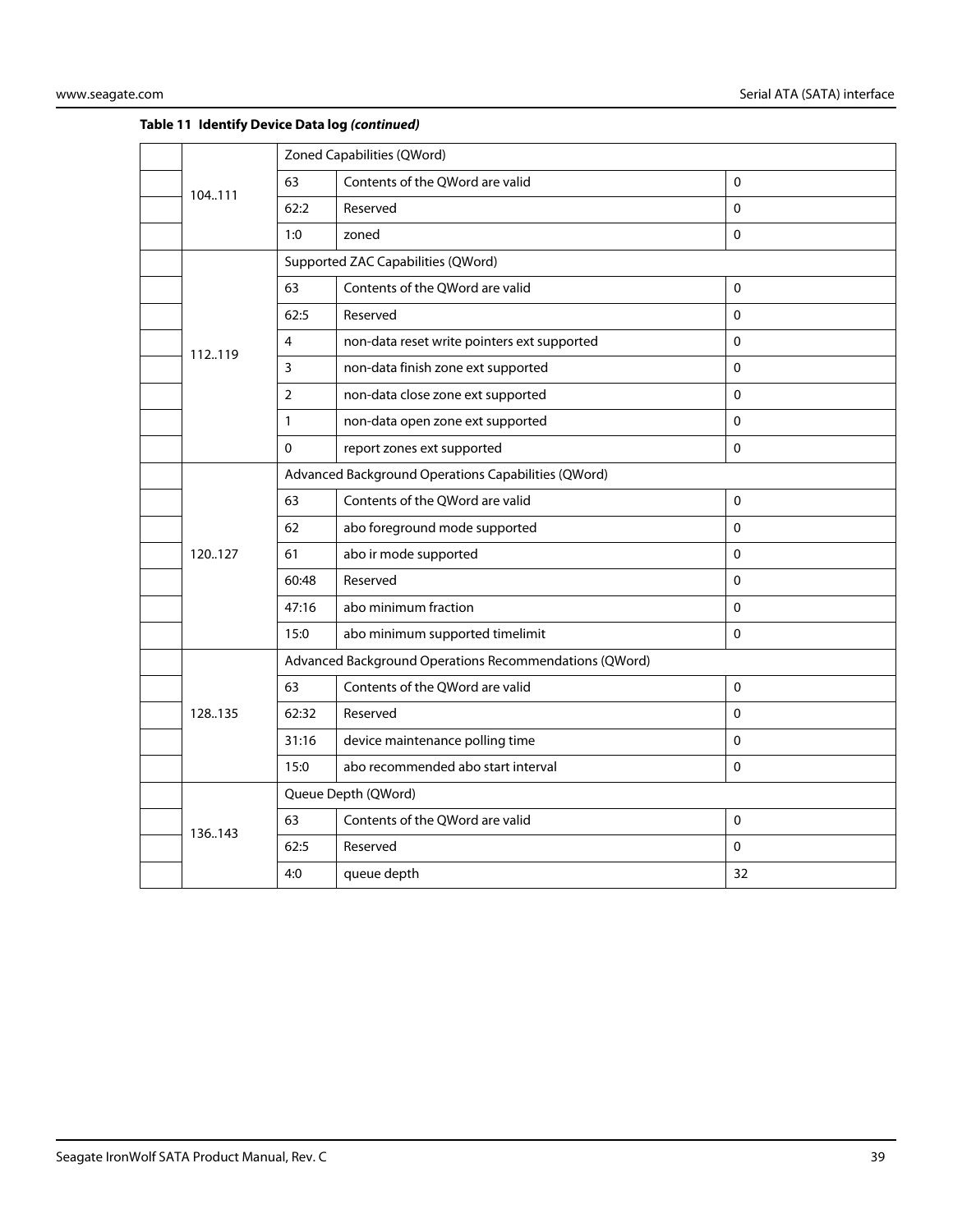|         | Zoned Capabilities (QWord) |                                                        |              |  |
|---------|----------------------------|--------------------------------------------------------|--------------|--|
| 104.111 | 63                         | Contents of the QWord are valid                        | $\mathbf{0}$ |  |
|         | 62:2                       | Reserved                                               | $\mathbf 0$  |  |
|         | 1:0                        | zoned                                                  | $\mathbf{0}$ |  |
|         |                            | Supported ZAC Capabilities (QWord)                     |              |  |
|         | 63                         | Contents of the QWord are valid                        | $\mathbf 0$  |  |
|         | 62:5                       | Reserved                                               | 0            |  |
| 112.119 | 4                          | non-data reset write pointers ext supported            | $\mathbf{0}$ |  |
|         | 3                          | non-data finish zone ext supported                     | $\mathbf 0$  |  |
|         | $\overline{2}$             | non-data close zone ext supported                      | $\mathbf 0$  |  |
|         | $\mathbf{1}$               | non-data open zone ext supported                       | $\Omega$     |  |
|         | $\mathbf{0}$               | report zones ext supported                             | $\mathbf{0}$ |  |
|         |                            | Advanced Background Operations Capabilities (QWord)    |              |  |
|         | 63                         | Contents of the QWord are valid                        | 0            |  |
|         | 62                         | abo foreground mode supported                          | $\mathbf{0}$ |  |
| 120127  | 61                         | abo ir mode supported                                  | $\mathbf 0$  |  |
|         | 60:48                      | Reserved                                               | 0            |  |
|         | 47:16                      | abo minimum fraction                                   | $\mathbf{0}$ |  |
|         | 15:0                       | abo minimum supported timelimit                        | $\mathbf{0}$ |  |
|         |                            | Advanced Background Operations Recommendations (QWord) |              |  |
|         | 63                         | Contents of the QWord are valid                        | $\mathbf 0$  |  |
| 128.135 | 62:32                      | Reserved                                               | $\mathbf 0$  |  |
|         | 31:16                      | device maintenance polling time                        | $\mathbf{0}$ |  |
|         | 15:0                       | abo recommended abo start interval                     | $\mathbf{0}$ |  |
|         |                            | Queue Depth (QWord)                                    |              |  |
| 136.143 | 63                         | Contents of the QWord are valid                        | $\mathbf 0$  |  |
|         | 62:5                       | Reserved                                               | $\mathbf{0}$ |  |
|         | 4:0                        | queue depth                                            | 32           |  |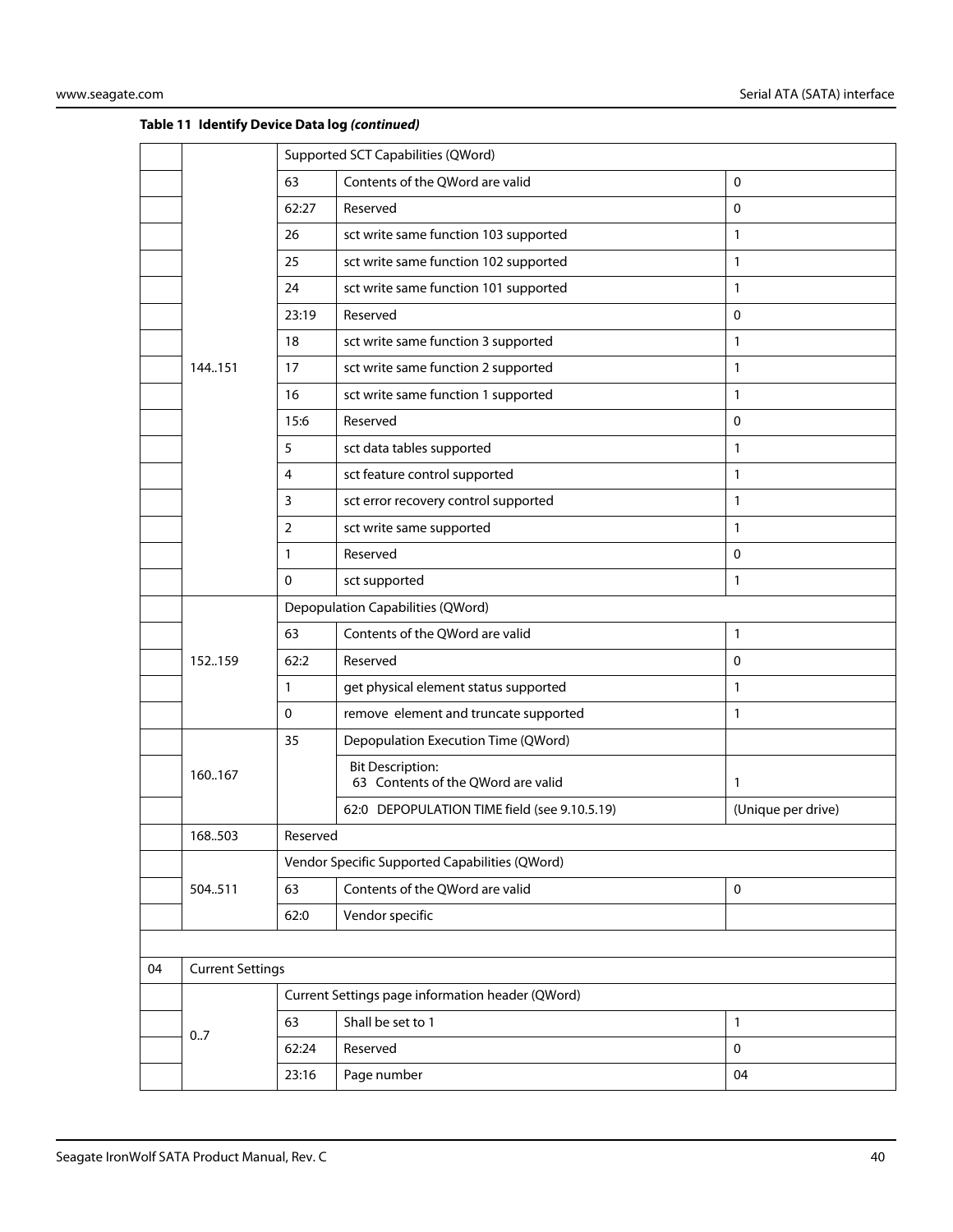|    |                         | Supported SCT Capabilities (QWord) |                                                               |                    |  |
|----|-------------------------|------------------------------------|---------------------------------------------------------------|--------------------|--|
|    |                         | 63                                 | Contents of the QWord are valid                               | $\mathbf 0$        |  |
|    |                         | 62:27                              | Reserved                                                      | $\mathbf 0$        |  |
|    |                         | 26                                 | sct write same function 103 supported                         | 1                  |  |
|    |                         | 25                                 | sct write same function 102 supported                         | 1                  |  |
|    |                         | 24                                 | sct write same function 101 supported                         | 1                  |  |
|    |                         | 23:19                              | Reserved                                                      | 0                  |  |
|    |                         | 18                                 | sct write same function 3 supported                           | 1                  |  |
|    | 144.151                 | 17                                 | sct write same function 2 supported                           | 1                  |  |
|    |                         | 16                                 | sct write same function 1 supported                           | $\mathbf{1}$       |  |
|    |                         | 15:6                               | Reserved                                                      | 0                  |  |
|    |                         | 5                                  | sct data tables supported                                     | 1                  |  |
|    |                         | $\overline{4}$                     | sct feature control supported                                 | 1                  |  |
|    |                         | 3                                  | sct error recovery control supported                          | 1                  |  |
|    |                         | 2                                  | sct write same supported                                      | 1                  |  |
|    |                         | 1                                  | Reserved                                                      | 0                  |  |
|    |                         | 0                                  | sct supported                                                 | 1                  |  |
|    |                         |                                    | Depopulation Capabilities (QWord)                             |                    |  |
|    |                         | 63                                 | Contents of the QWord are valid                               | 1                  |  |
|    | 152159                  | 62:2                               | Reserved                                                      | $\mathbf 0$        |  |
|    |                         | $\mathbf{1}$                       | get physical element status supported                         | 1                  |  |
|    |                         | 0                                  | remove element and truncate supported                         | 1                  |  |
|    |                         | 35                                 | Depopulation Execution Time (QWord)                           |                    |  |
|    | 160167                  |                                    | <b>Bit Description:</b><br>63 Contents of the QWord are valid | 1                  |  |
|    |                         |                                    | 62:0 DEPOPULATION TIME field (see 9.10.5.19)                  | (Unique per drive) |  |
|    | 168503                  | Reserved                           |                                                               |                    |  |
|    |                         |                                    | Vendor Specific Supported Capabilities (QWord)                |                    |  |
|    | 504511                  | 63                                 | Contents of the QWord are valid                               | $\mathbf 0$        |  |
|    |                         | 62:0                               | Vendor specific                                               |                    |  |
|    |                         |                                    |                                                               |                    |  |
| 04 | <b>Current Settings</b> |                                    |                                                               |                    |  |
|    |                         |                                    | Current Settings page information header (QWord)              |                    |  |
|    |                         | 63                                 | Shall be set to 1                                             | 1                  |  |
|    | 0.7                     | 62:24                              | Reserved                                                      | $\mathbf 0$        |  |
|    |                         | 23:16                              | Page number                                                   | 04                 |  |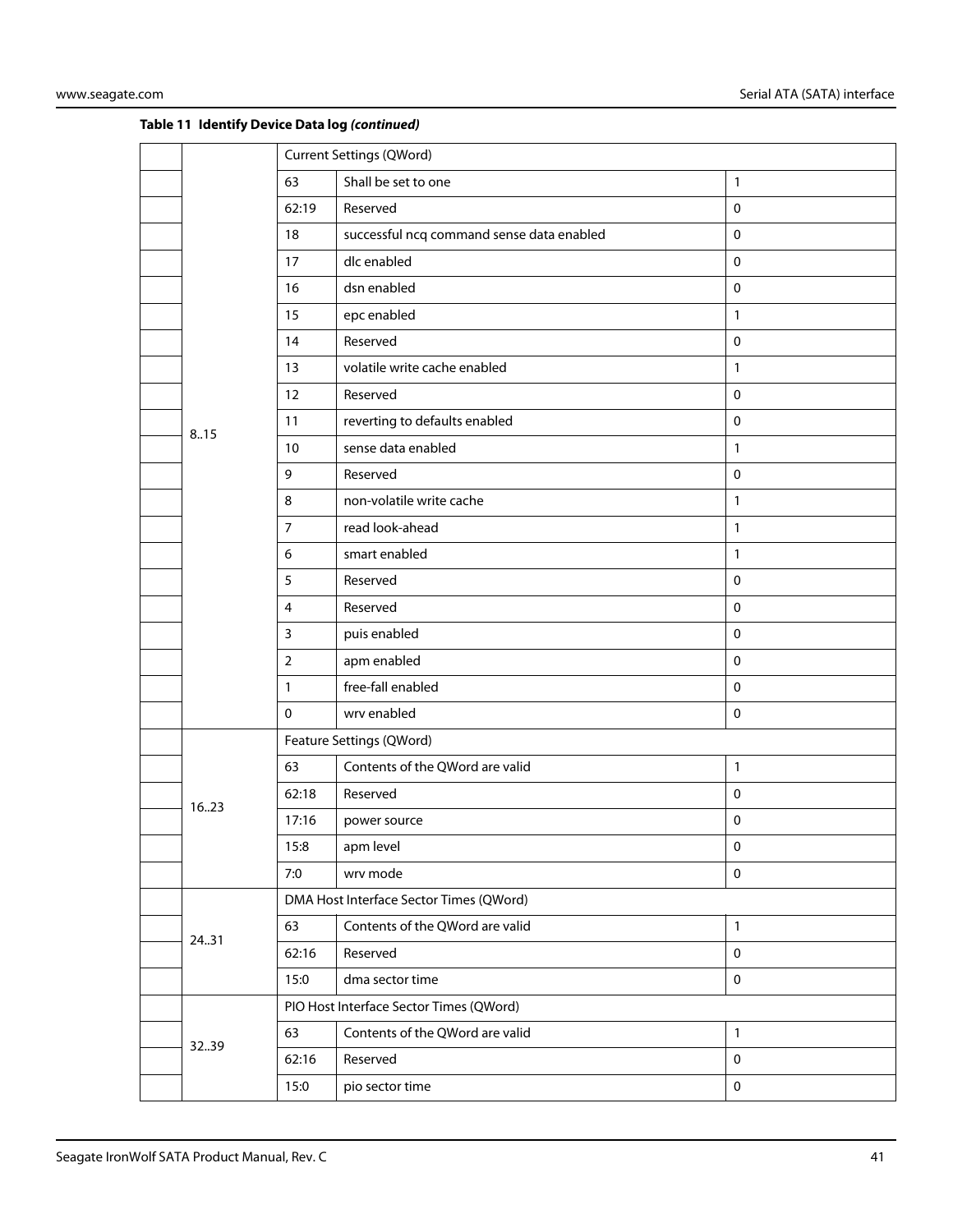|       | <b>Current Settings (QWord)</b> |                                           |              |  |
|-------|---------------------------------|-------------------------------------------|--------------|--|
|       | 63                              | Shall be set to one                       | $\mathbf{1}$ |  |
|       | 62:19                           | Reserved                                  | $\mathbf 0$  |  |
|       | 18                              | successful ncq command sense data enabled | $\pmb{0}$    |  |
|       | 17                              | dlc enabled                               | $\mathbf 0$  |  |
|       | 16                              | dsn enabled                               | $\pmb{0}$    |  |
|       | 15                              | epc enabled                               | $\mathbf{1}$ |  |
|       | 14                              | Reserved                                  | $\pmb{0}$    |  |
|       | 13                              | volatile write cache enabled              | $\mathbf{1}$ |  |
|       | 12                              | Reserved                                  | $\mathbf 0$  |  |
| 8.15  | 11                              | reverting to defaults enabled             | $\pmb{0}$    |  |
|       | 10                              | sense data enabled                        | $\mathbf{1}$ |  |
|       | 9                               | Reserved                                  | $\pmb{0}$    |  |
|       | 8                               | non-volatile write cache                  | $\mathbf{1}$ |  |
|       | $\overline{7}$                  | read look-ahead                           | $\mathbf{1}$ |  |
|       | 6                               | smart enabled                             | $\mathbf{1}$ |  |
|       | 5                               | Reserved                                  | $\mathbf 0$  |  |
|       | $\overline{4}$                  | Reserved                                  | $\mathbf 0$  |  |
|       | 3                               | puis enabled                              | $\mathbf 0$  |  |
|       | $\overline{2}$                  | apm enabled                               | $\mathbf 0$  |  |
|       | $\mathbf{1}$                    | free-fall enabled                         | $\mathbf 0$  |  |
|       | 0                               | wrv enabled                               | $\pmb{0}$    |  |
|       |                                 | Feature Settings (QWord)                  |              |  |
|       | 63                              | Contents of the QWord are valid           | $\mathbf{1}$ |  |
| 1623  | 62:18                           | Reserved                                  | $\pmb{0}$    |  |
|       | 17:16                           | power source                              | $\mathbf 0$  |  |
|       | 15:8                            | apm level                                 | $\pmb{0}$    |  |
|       | 7:0                             | wrv mode                                  | $\mathbf 0$  |  |
|       |                                 | DMA Host Interface Sector Times (QWord)   |              |  |
| 24.31 | 63                              | Contents of the QWord are valid           | $\mathbf{1}$ |  |
|       | 62:16                           | Reserved                                  | $\mathbf 0$  |  |
|       | 15:0                            | dma sector time                           | $\mathbf 0$  |  |
|       |                                 | PIO Host Interface Sector Times (QWord)   |              |  |
| 3239  | 63                              | Contents of the QWord are valid           | $\mathbf{1}$ |  |
|       | 62:16                           | Reserved                                  | 0            |  |
|       | 15:0                            | pio sector time                           | $\mathbf 0$  |  |
|       |                                 |                                           |              |  |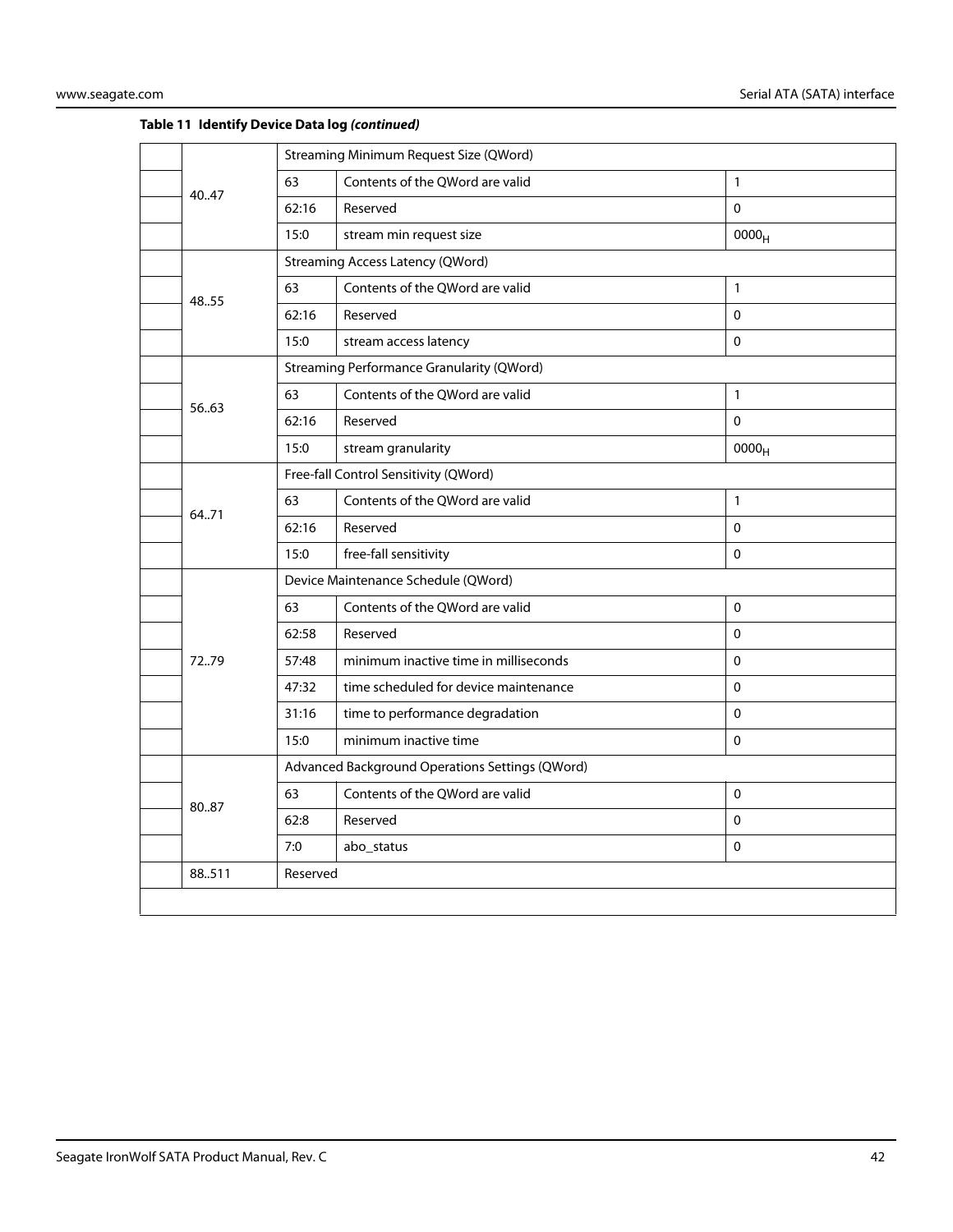|        | Streaming Minimum Request Size (QWord) |                                                  |                   |  |
|--------|----------------------------------------|--------------------------------------------------|-------------------|--|
| 40.47  | 63                                     | Contents of the QWord are valid                  | $\mathbf{1}$      |  |
|        | 62:16                                  | Reserved                                         | $\Omega$          |  |
|        | 15:0                                   | stream min request size                          | 0000 <sub>H</sub> |  |
|        |                                        | <b>Streaming Access Latency (QWord)</b>          |                   |  |
| 48.55  | 63                                     | Contents of the QWord are valid                  | $\mathbf{1}$      |  |
|        | 62:16                                  | Reserved                                         | $\Omega$          |  |
|        | 15:0                                   | stream access latency                            | $\Omega$          |  |
|        |                                        | <b>Streaming Performance Granularity (QWord)</b> |                   |  |
| 56.63  | 63                                     | Contents of the QWord are valid                  | $\mathbf{1}$      |  |
|        | 62:16                                  | Reserved                                         | 0                 |  |
|        | 15:0                                   | stream granularity                               | 0000 <sub>H</sub> |  |
|        |                                        | Free-fall Control Sensitivity (QWord)            |                   |  |
| 64.71  | 63                                     | Contents of the OWord are valid                  | $\mathbf{1}$      |  |
|        | 62:16                                  | Reserved                                         | $\mathbf 0$       |  |
|        | 15:0                                   | free-fall sensitivity                            | $\Omega$          |  |
|        | Device Maintenance Schedule (QWord)    |                                                  |                   |  |
|        | 63                                     | Contents of the QWord are valid                  | $\mathbf 0$       |  |
|        | 62:58                                  | Reserved                                         | $\mathbf 0$       |  |
| 72.79  | 57:48                                  | minimum inactive time in milliseconds            | $\mathbf 0$       |  |
|        | 47:32                                  | time scheduled for device maintenance            | $\mathbf 0$       |  |
|        | 31:16                                  | time to performance degradation                  | 0                 |  |
|        | 15:0                                   | minimum inactive time                            | $\mathbf 0$       |  |
|        |                                        | Advanced Background Operations Settings (QWord)  |                   |  |
| 8087   | 63                                     | Contents of the QWord are valid                  | $\Omega$          |  |
|        | 62:8                                   | Reserved                                         | $\Omega$          |  |
|        | 7:0                                    | abo_status                                       | $\mathbf 0$       |  |
| 88.511 | Reserved                               |                                                  |                   |  |
|        |                                        |                                                  |                   |  |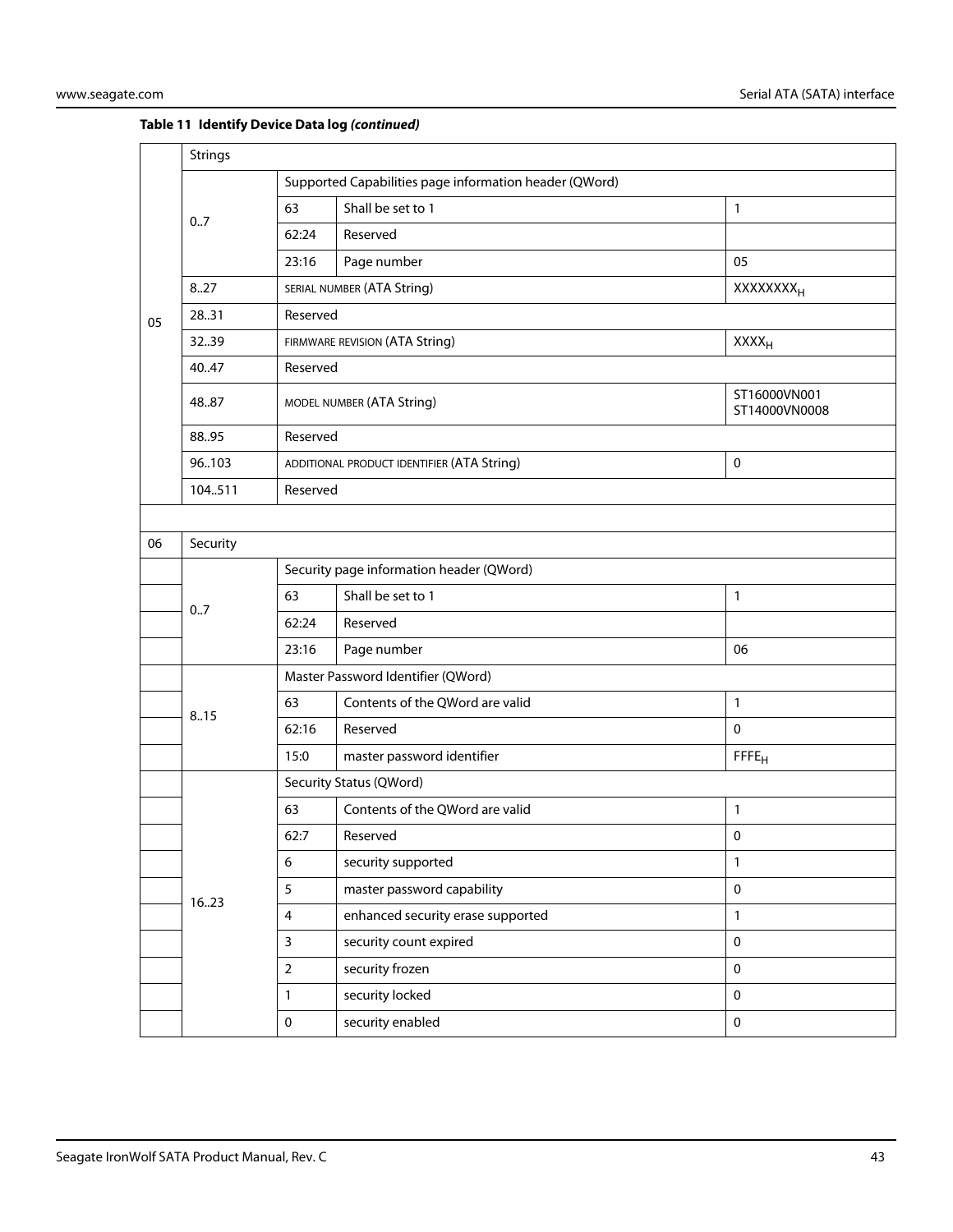|    | <b>Strings</b> |                                                        |                                            |                               |  |  |
|----|----------------|--------------------------------------------------------|--------------------------------------------|-------------------------------|--|--|
|    |                | Supported Capabilities page information header (QWord) |                                            |                               |  |  |
|    | 0.7            | 63                                                     | Shall be set to 1                          | $\mathbf{1}$                  |  |  |
|    |                | 62:24                                                  | Reserved                                   |                               |  |  |
|    |                | 23:16                                                  | Page number                                | 05                            |  |  |
|    | 8.27           |                                                        | SERIAL NUMBER (ATA String)                 | <b>XXXXXXXX</b> <sub>H</sub>  |  |  |
| 05 | 28.31          | Reserved                                               |                                            |                               |  |  |
|    | 32.39          |                                                        | FIRMWARE REVISION (ATA String)             | <b>XXXX</b> <sub>H</sub>      |  |  |
|    | 40.47          | Reserved                                               |                                            |                               |  |  |
|    | 48.87          |                                                        | MODEL NUMBER (ATA String)                  | ST16000VN001<br>ST14000VN0008 |  |  |
|    | 88.95          | Reserved                                               |                                            |                               |  |  |
|    | 96.103         |                                                        | ADDITIONAL PRODUCT IDENTIFIER (ATA String) | $\pmb{0}$                     |  |  |
|    | 104511         | Reserved                                               |                                            |                               |  |  |
|    |                |                                                        |                                            |                               |  |  |
| 06 | Security       |                                                        |                                            |                               |  |  |
|    |                |                                                        | Security page information header (QWord)   |                               |  |  |
|    | 0.7            | 63                                                     | Shall be set to 1                          | $\mathbf{1}$                  |  |  |
|    |                | 62:24                                                  | Reserved                                   |                               |  |  |
|    |                | 23:16                                                  | Page number                                | 06                            |  |  |
|    |                | Master Password Identifier (QWord)                     |                                            |                               |  |  |
|    | 8.15           | 63                                                     | Contents of the QWord are valid            | $\mathbf{1}$                  |  |  |
|    |                | 62:16                                                  | Reserved                                   | $\mathbf 0$                   |  |  |
|    |                | 15:0                                                   | master password identifier                 | FFFE <sub>H</sub>             |  |  |
|    |                | Security Status (QWord)                                |                                            |                               |  |  |
|    |                | 63                                                     | Contents of the QWord are valid            | $\mathbf{1}$                  |  |  |
|    |                | 62:7                                                   | Reserved                                   | $\mathbf 0$                   |  |  |
|    |                | 6                                                      | security supported                         | $\mathbf{1}$                  |  |  |
|    | 1623           | 5                                                      | master password capability                 | $\pmb{0}$                     |  |  |
|    |                | 4                                                      | enhanced security erase supported          | $\mathbf{1}$                  |  |  |
|    |                | $\mathsf{3}$                                           | security count expired                     | $\pmb{0}$                     |  |  |
|    |                | $\overline{2}$                                         | security frozen                            | $\pmb{0}$                     |  |  |
|    |                | $\mathbf{1}$                                           | security locked                            | $\pmb{0}$                     |  |  |
|    |                | $\pmb{0}$                                              | security enabled                           | $\pmb{0}$                     |  |  |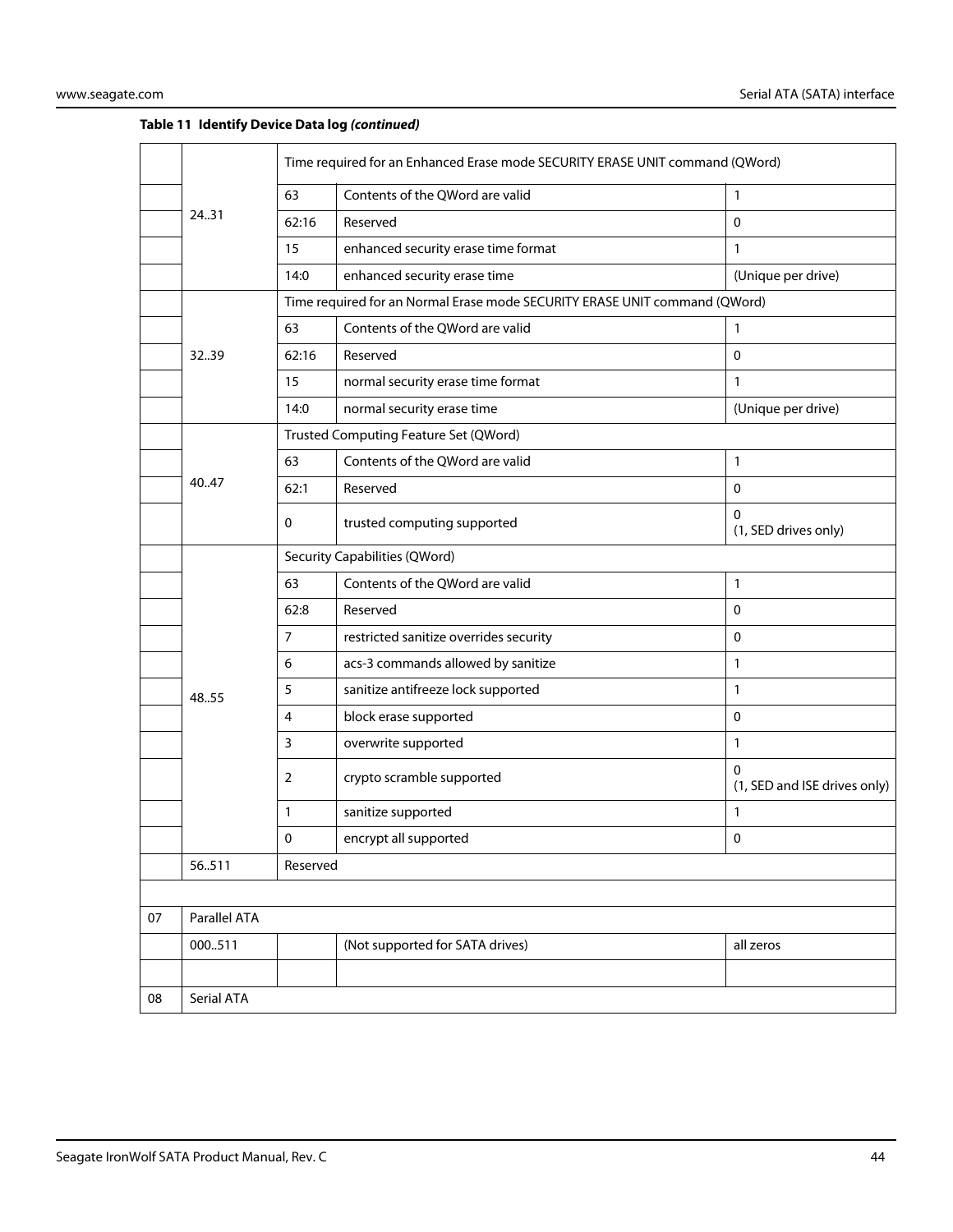|    |              |                               | Time required for an Enhanced Erase mode SECURITY ERASE UNIT command (QWord) |                                          |  |
|----|--------------|-------------------------------|------------------------------------------------------------------------------|------------------------------------------|--|
|    | 24.31        | 63                            | Contents of the OWord are valid                                              | 1                                        |  |
|    |              | 62:16                         | Reserved                                                                     | $\mathbf{0}$                             |  |
|    |              | 15                            | enhanced security erase time format                                          | 1                                        |  |
|    |              | 14:0                          | enhanced security erase time                                                 | (Unique per drive)                       |  |
|    |              |                               | Time required for an Normal Erase mode SECURITY ERASE UNIT command (QWord)   |                                          |  |
|    |              | 63                            | Contents of the QWord are valid                                              | 1                                        |  |
|    | 3239         | 62:16                         | Reserved                                                                     | $\mathbf{0}$                             |  |
|    |              | 15                            | normal security erase time format                                            | 1                                        |  |
|    |              | 14:0                          | normal security erase time                                                   | (Unique per drive)                       |  |
|    |              |                               | Trusted Computing Feature Set (QWord)                                        |                                          |  |
|    |              | 63                            | Contents of the QWord are valid                                              | 1                                        |  |
|    | 40.47        | 62:1                          | Reserved                                                                     | 0                                        |  |
|    |              | 0                             | trusted computing supported                                                  | $\Omega$<br>(1, SED drives only)         |  |
|    |              | Security Capabilities (QWord) |                                                                              |                                          |  |
|    |              | 63                            | Contents of the QWord are valid                                              | 1                                        |  |
|    |              | 62:8                          | Reserved                                                                     | 0                                        |  |
|    |              | 7                             | restricted sanitize overrides security                                       | $\mathbf 0$                              |  |
|    |              | 6                             | acs-3 commands allowed by sanitize                                           | 1                                        |  |
|    | 48.55        | 5                             | sanitize antifreeze lock supported                                           | 1                                        |  |
|    |              | 4                             | block erase supported                                                        | $\mathbf 0$                              |  |
|    |              | 3                             | overwrite supported                                                          | 1                                        |  |
|    |              | 2                             | crypto scramble supported                                                    | $\Omega$<br>(1, SED and ISE drives only) |  |
|    |              | 1                             | sanitize supported                                                           | $\mathbf{1}$                             |  |
|    |              | 0                             | encrypt all supported                                                        | $\mathbf 0$                              |  |
|    | 56511        | Reserved                      |                                                                              |                                          |  |
|    |              |                               |                                                                              |                                          |  |
| 07 | Parallel ATA |                               |                                                                              |                                          |  |
|    | 000511       |                               | (Not supported for SATA drives)                                              | all zeros                                |  |
|    |              |                               |                                                                              |                                          |  |
| 08 | Serial ATA   |                               |                                                                              |                                          |  |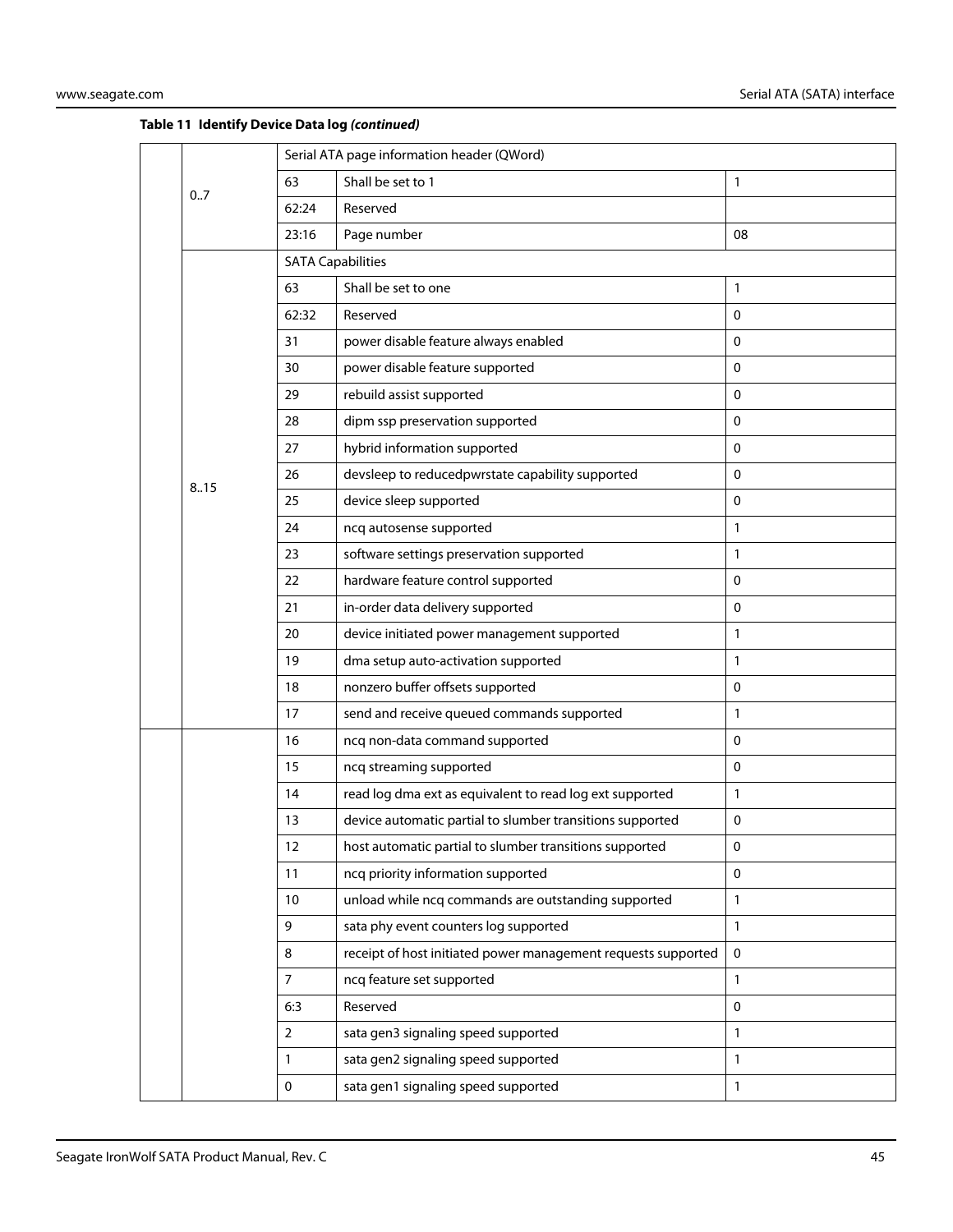|  |      | Serial ATA page information header (QWord) |                                                               |              |  |  |
|--|------|--------------------------------------------|---------------------------------------------------------------|--------------|--|--|
|  | 0.7  | 63                                         | Shall be set to 1                                             | $\mathbf{1}$ |  |  |
|  |      | 62:24                                      | Reserved                                                      |              |  |  |
|  |      | 23:16                                      | Page number                                                   | 08           |  |  |
|  |      | <b>SATA Capabilities</b>                   |                                                               |              |  |  |
|  |      | 63                                         | Shall be set to one                                           | $\mathbf{1}$ |  |  |
|  |      | 62:32                                      | Reserved                                                      | $\mathbf 0$  |  |  |
|  |      | 31                                         | power disable feature always enabled                          | 0            |  |  |
|  |      | 30                                         | power disable feature supported                               | 0            |  |  |
|  |      | 29                                         | rebuild assist supported                                      | 0            |  |  |
|  |      | 28                                         | dipm ssp preservation supported                               | 0            |  |  |
|  |      | 27                                         | hybrid information supported                                  | 0            |  |  |
|  | 8.15 | 26                                         | devsleep to reducedpwrstate capability supported              | $\mathbf 0$  |  |  |
|  |      | 25                                         | device sleep supported                                        | 0            |  |  |
|  |      | 24                                         | ncq autosense supported                                       | 1            |  |  |
|  |      | 23                                         | software settings preservation supported                      | 1            |  |  |
|  |      | 22                                         | hardware feature control supported                            | $\mathbf 0$  |  |  |
|  |      | 21                                         | in-order data delivery supported                              | $\mathbf 0$  |  |  |
|  |      | 20                                         | device initiated power management supported                   | 1            |  |  |
|  |      | 19                                         | dma setup auto-activation supported                           | $\mathbf{1}$ |  |  |
|  |      | 18                                         | nonzero buffer offsets supported                              | 0            |  |  |
|  |      | 17                                         | send and receive queued commands supported                    | 1            |  |  |
|  |      | 16                                         | ncq non-data command supported                                | $\mathbf 0$  |  |  |
|  |      | 15                                         | ncq streaming supported                                       | $\mathbf 0$  |  |  |
|  |      | 14                                         | read log dma ext as equivalent to read log ext supported      | 1            |  |  |
|  |      | 13                                         | device automatic partial to slumber transitions supported     | 0            |  |  |
|  |      | 12                                         | host automatic partial to slumber transitions supported       | 0            |  |  |
|  |      | 11                                         | ncq priority information supported                            | $\mathbf 0$  |  |  |
|  |      | 10                                         | unload while ncq commands are outstanding supported           | $\mathbf{1}$ |  |  |
|  |      | 9                                          | sata phy event counters log supported                         | 1            |  |  |
|  |      | 8                                          | receipt of host initiated power management requests supported | $\mathbf 0$  |  |  |
|  |      | $\overline{7}$                             | ncq feature set supported                                     | 1            |  |  |
|  |      | 6:3                                        | Reserved                                                      | $\mathbf 0$  |  |  |
|  |      | $\overline{2}$                             | sata gen3 signaling speed supported                           | $\mathbf{1}$ |  |  |
|  |      | 1                                          | sata gen2 signaling speed supported                           | 1            |  |  |
|  |      | 0                                          | sata gen1 signaling speed supported                           | $\mathbf{1}$ |  |  |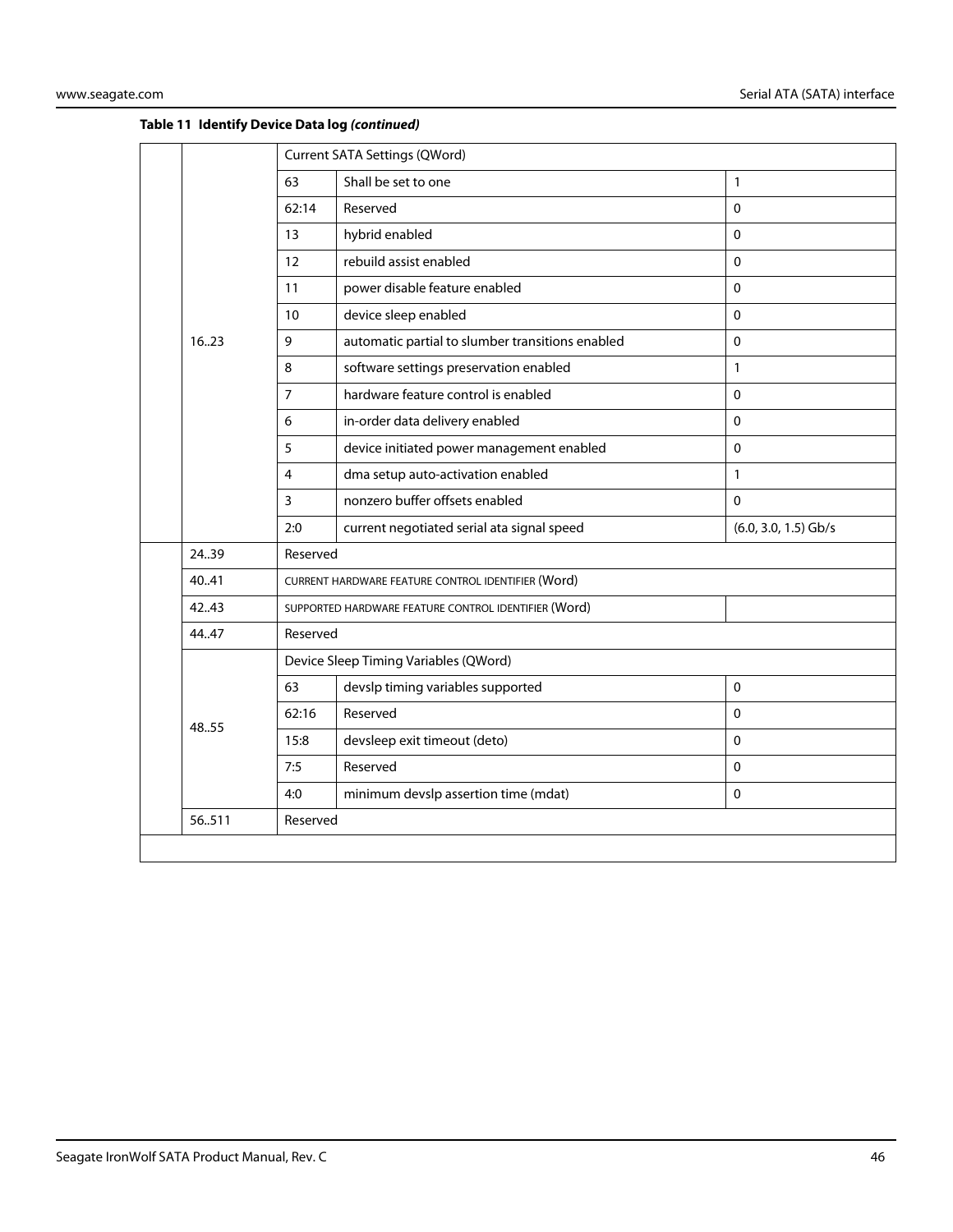|  | 1623  | Current SATA Settings (QWord)         |                                                      |                        |  |  |
|--|-------|---------------------------------------|------------------------------------------------------|------------------------|--|--|
|  |       | 63                                    | Shall be set to one                                  | $\mathbf{1}$           |  |  |
|  |       | 62:14                                 | Reserved                                             | $\Omega$               |  |  |
|  |       | 13                                    | hybrid enabled                                       | $\Omega$               |  |  |
|  |       | 12                                    | rebuild assist enabled                               | $\mathbf 0$            |  |  |
|  |       | 11                                    | power disable feature enabled                        | $\Omega$               |  |  |
|  |       | 10                                    | device sleep enabled                                 | $\Omega$               |  |  |
|  |       | 9                                     | automatic partial to slumber transitions enabled     | $\Omega$               |  |  |
|  |       | 8                                     | software settings preservation enabled               | $\mathbf{1}$           |  |  |
|  |       | $\overline{7}$                        | hardware feature control is enabled                  | $\Omega$               |  |  |
|  |       | 6                                     | in-order data delivery enabled                       | $\Omega$               |  |  |
|  |       | 5                                     | device initiated power management enabled            | $\Omega$               |  |  |
|  |       | 4                                     | dma setup auto-activation enabled                    | $\mathbf{1}$           |  |  |
|  |       | $\overline{3}$                        | nonzero buffer offsets enabled                       | $\Omega$               |  |  |
|  |       | 2:0                                   | current negotiated serial ata signal speed           | $(6.0, 3.0, 1.5)$ Gb/s |  |  |
|  | 24.39 | Reserved                              |                                                      |                        |  |  |
|  | 40.41 |                                       | CURRENT HARDWARE FEATURE CONTROL IDENTIFIER (Word)   |                        |  |  |
|  | 42.43 |                                       | SUPPORTED HARDWARE FEATURE CONTROL IDENTIFIER (Word) |                        |  |  |
|  | 44.47 |                                       | Reserved                                             |                        |  |  |
|  | 48.55 | Device Sleep Timing Variables (QWord) |                                                      |                        |  |  |
|  |       | 63                                    | devslp timing variables supported                    | $\Omega$               |  |  |
|  |       | 62:16                                 | Reserved                                             | $\Omega$               |  |  |
|  |       | 15:8                                  | devsleep exit timeout (deto)                         | $\Omega$               |  |  |
|  |       | 7:5                                   | Reserved                                             | $\Omega$               |  |  |
|  |       | 4:0                                   | minimum devslp assertion time (mdat)                 | $\mathbf 0$            |  |  |
|  | 56511 | Reserved                              |                                                      |                        |  |  |
|  |       |                                       |                                                      |                        |  |  |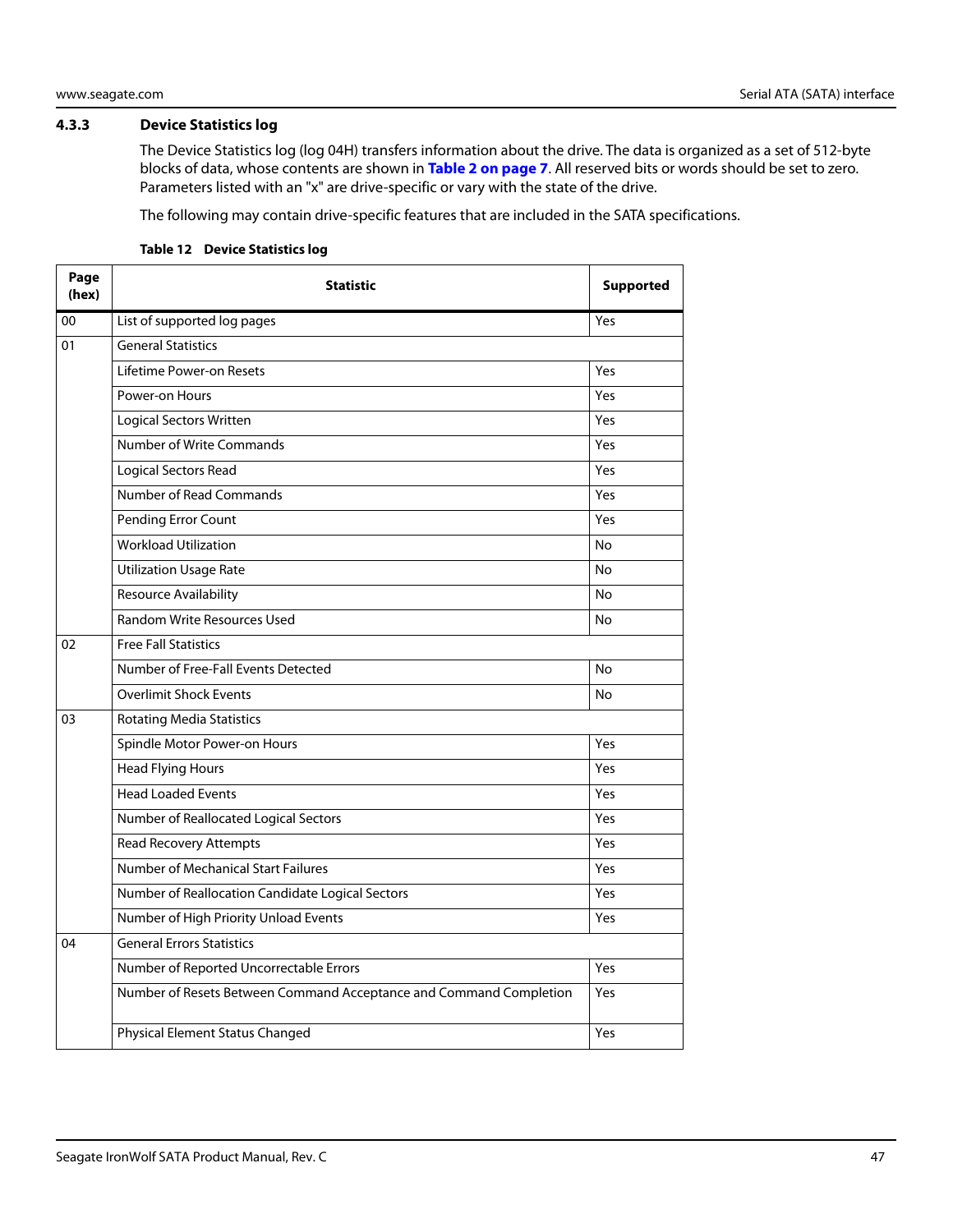### <span id="page-47-0"></span>**4.3.3 Device Statistics log**

The Device Statistics log (log 04H) transfers information about the drive. The data is organized as a set of 512-byte blocks of data, whose contents are shown in **[Table 2 on page 7](#page-7-2)**. All reserved bits or words should be set to zero. Parameters listed with an "x" are drive-specific or vary with the state of the drive.

The following may contain drive-specific features that are included in the SATA specifications.

| Page<br>(hex) | <b>Statistic</b>                                                   | <b>Supported</b> |  |  |  |  |
|---------------|--------------------------------------------------------------------|------------------|--|--|--|--|
| 00            | List of supported log pages                                        | Yes              |  |  |  |  |
| 01            | <b>General Statistics</b>                                          |                  |  |  |  |  |
|               | Lifetime Power-on Resets                                           | Yes              |  |  |  |  |
|               | Power-on Hours                                                     | Yes              |  |  |  |  |
|               | <b>Logical Sectors Written</b>                                     | Yes              |  |  |  |  |
|               | Number of Write Commands                                           | Yes              |  |  |  |  |
|               | Logical Sectors Read                                               | Yes              |  |  |  |  |
|               | Number of Read Commands                                            | Yes              |  |  |  |  |
|               | Pending Error Count                                                | Yes              |  |  |  |  |
|               | <b>Workload Utilization</b>                                        | No               |  |  |  |  |
|               | <b>Utilization Usage Rate</b>                                      | No               |  |  |  |  |
|               | Resource Availability                                              | No               |  |  |  |  |
|               | Random Write Resources Used                                        | No               |  |  |  |  |
| 02            | <b>Free Fall Statistics</b>                                        |                  |  |  |  |  |
|               | Number of Free-Fall Events Detected                                | No               |  |  |  |  |
|               | <b>Overlimit Shock Events</b>                                      | No               |  |  |  |  |
| 03            | <b>Rotating Media Statistics</b>                                   |                  |  |  |  |  |
|               | Spindle Motor Power-on Hours                                       | Yes              |  |  |  |  |
|               | <b>Head Flying Hours</b>                                           | Yes              |  |  |  |  |
|               | <b>Head Loaded Events</b>                                          | Yes              |  |  |  |  |
|               | Number of Reallocated Logical Sectors                              | Yes              |  |  |  |  |
|               | <b>Read Recovery Attempts</b>                                      | Yes              |  |  |  |  |
|               | Number of Mechanical Start Failures                                | Yes              |  |  |  |  |
|               | Number of Reallocation Candidate Logical Sectors                   | Yes              |  |  |  |  |
|               | Number of High Priority Unload Events                              | Yes              |  |  |  |  |
| 04            | <b>General Errors Statistics</b>                                   |                  |  |  |  |  |
|               | Number of Reported Uncorrectable Errors                            | Yes              |  |  |  |  |
|               | Number of Resets Between Command Acceptance and Command Completion | Yes              |  |  |  |  |
|               | Physical Element Status Changed                                    | Yes              |  |  |  |  |

#### **Table 12 Device Statistics log**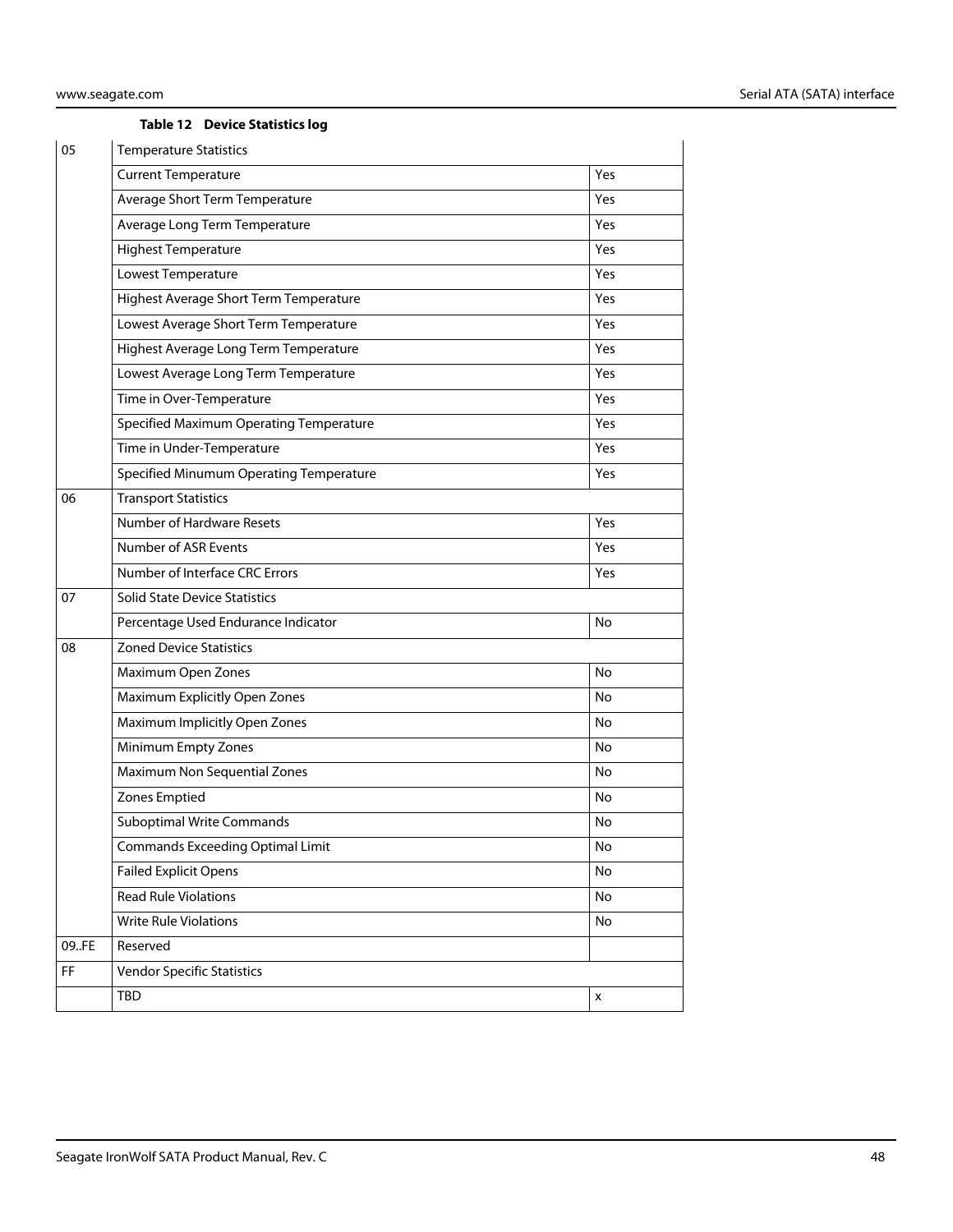#### **Table 12 Device Statistics log**

| 05    | <b>Temperature Statistics</b>           |     |  |  |  |
|-------|-----------------------------------------|-----|--|--|--|
|       | <b>Current Temperature</b>              | Yes |  |  |  |
|       | Average Short Term Temperature          | Yes |  |  |  |
|       | Average Long Term Temperature           | Yes |  |  |  |
|       | <b>Highest Temperature</b>              | Yes |  |  |  |
|       | Lowest Temperature                      | Yes |  |  |  |
|       | Highest Average Short Term Temperature  | Yes |  |  |  |
|       | Lowest Average Short Term Temperature   | Yes |  |  |  |
|       | Highest Average Long Term Temperature   | Yes |  |  |  |
|       | Lowest Average Long Term Temperature    | Yes |  |  |  |
|       | Time in Over-Temperature                | Yes |  |  |  |
|       | Specified Maximum Operating Temperature | Yes |  |  |  |
|       | Time in Under-Temperature               | Yes |  |  |  |
|       | Specified Minumum Operating Temperature | Yes |  |  |  |
| 06    | <b>Transport Statistics</b>             |     |  |  |  |
|       | Number of Hardware Resets               | Yes |  |  |  |
|       | Number of ASR Events                    | Yes |  |  |  |
|       | Number of Interface CRC Errors          | Yes |  |  |  |
| 07    | <b>Solid State Device Statistics</b>    |     |  |  |  |
|       | Percentage Used Endurance Indicator     | No  |  |  |  |
| 08    | <b>Zoned Device Statistics</b>          |     |  |  |  |
|       | Maximum Open Zones                      | No  |  |  |  |
|       | Maximum Explicitly Open Zones           | No  |  |  |  |
|       | Maximum Implicitly Open Zones           | No  |  |  |  |
|       | Minimum Empty Zones                     | No  |  |  |  |
|       | Maximum Non Sequential Zones            | No  |  |  |  |
|       | Zones Emptied                           | No  |  |  |  |
|       | <b>Suboptimal Write Commands</b>        | No  |  |  |  |
|       | <b>Commands Exceeding Optimal Limit</b> | No  |  |  |  |
|       | <b>Failed Explicit Opens</b>            | No  |  |  |  |
|       | <b>Read Rule Violations</b>             | No  |  |  |  |
|       | Write Rule Violations                   | No  |  |  |  |
| 09.FE | Reserved                                |     |  |  |  |
| FF    | <b>Vendor Specific Statistics</b>       |     |  |  |  |
|       | TBD                                     | X   |  |  |  |
|       |                                         |     |  |  |  |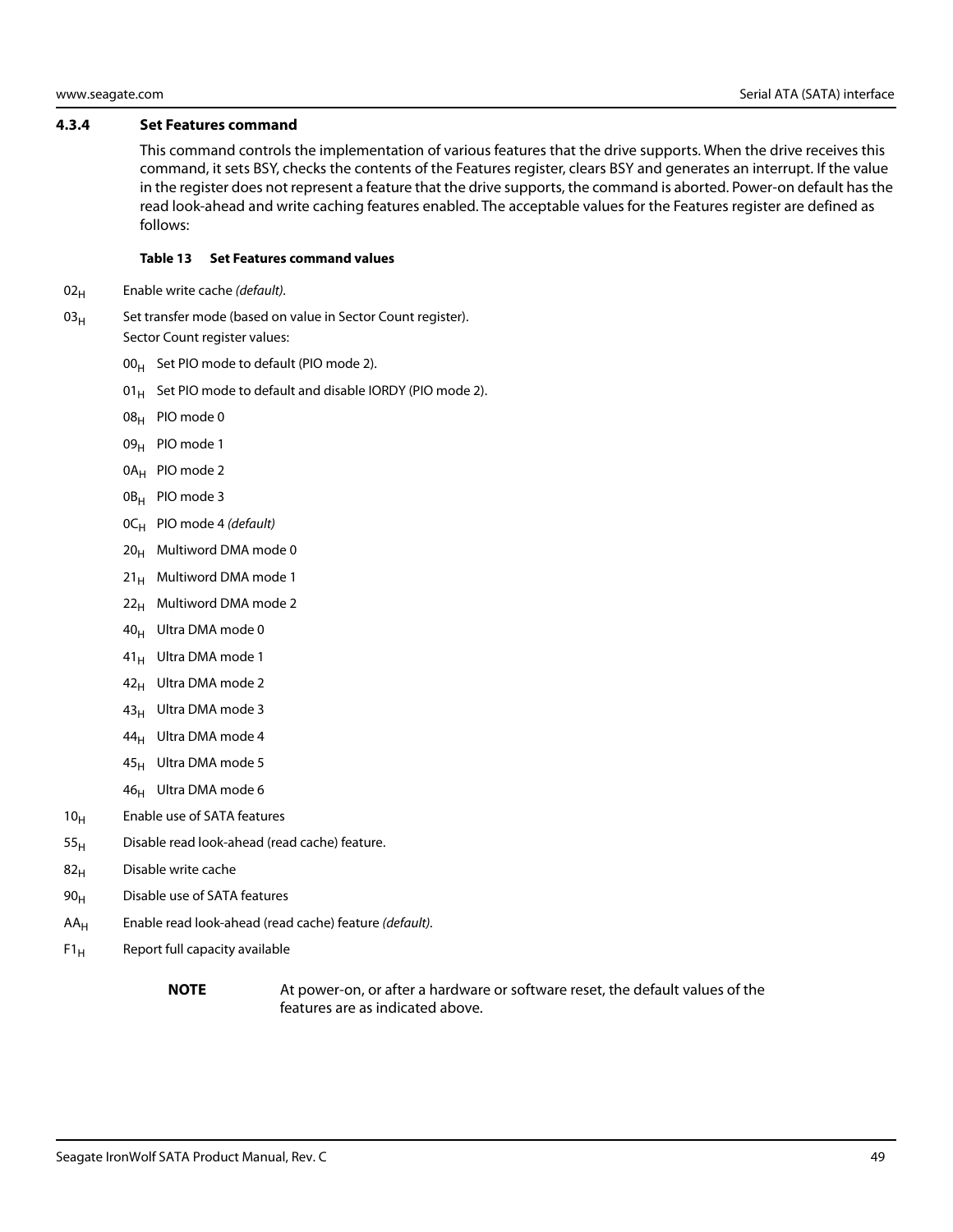#### <span id="page-49-0"></span>**4.3.4 Set Features command**

This command controls the implementation of various features that the drive supports. When the drive receives this command, it sets BSY, checks the contents of the Features register, clears BSY and generates an interrupt. If the value in the register does not represent a feature that the drive supports, the command is aborted. Power-on default has the read look-ahead and write caching features enabled. The acceptable values for the Features register are defined as follows:

#### **Table 13 Set Features command values**

- $02_H$  Enable write cache (default).
- $03<sub>H</sub>$  Set transfer mode (based on value in Sector Count register). Sector Count register values:
	- $00_H$  Set PIO mode to default (PIO mode 2).
	- 01 $_{\rm H}$  Set PIO mode to default and disable IORDY (PIO mode 2).
	- 08H PIO mode 0
	- 09<sub>H</sub> PIO mode 1
	- 0A<sub>H</sub> PIO mode 2
	- 0B<sub>H</sub> PIO mode 3
	- $OC_H$  PIO mode 4 (default)
	- $20_H$  Multiword DMA mode 0
	- $21_H$  Multiword DMA mode 1
	- $22<sub>H</sub>$  Multiword DMA mode 2
	- $40_H$  Ultra DMA mode 0
	- $41_H$  Ultra DMA mode 1
	- $42_H$  Ultra DMA mode 2
	- 43<sub>H</sub> Ultra DMA mode 3
	- 44<sub>H</sub> Ultra DMA mode 4
	- $45_H$  Ultra DMA mode 5
	- 46<sub>H</sub> Ultra DMA mode 6
- $10<sub>H</sub>$  Enable use of SATA features
- $55<sub>H</sub>$  Disable read look-ahead (read cache) feature.
- $82<sub>H</sub>$  Disable write cache
- 90<sub>H</sub> Disable use of SATA features
- $AA_H$  Enable read look-ahead (read cache) feature (*default*).
- $F1_H$  Report full capacity available
	-

**NOTE** At power-on, or after a hardware or software reset, the default values of the features are as indicated above.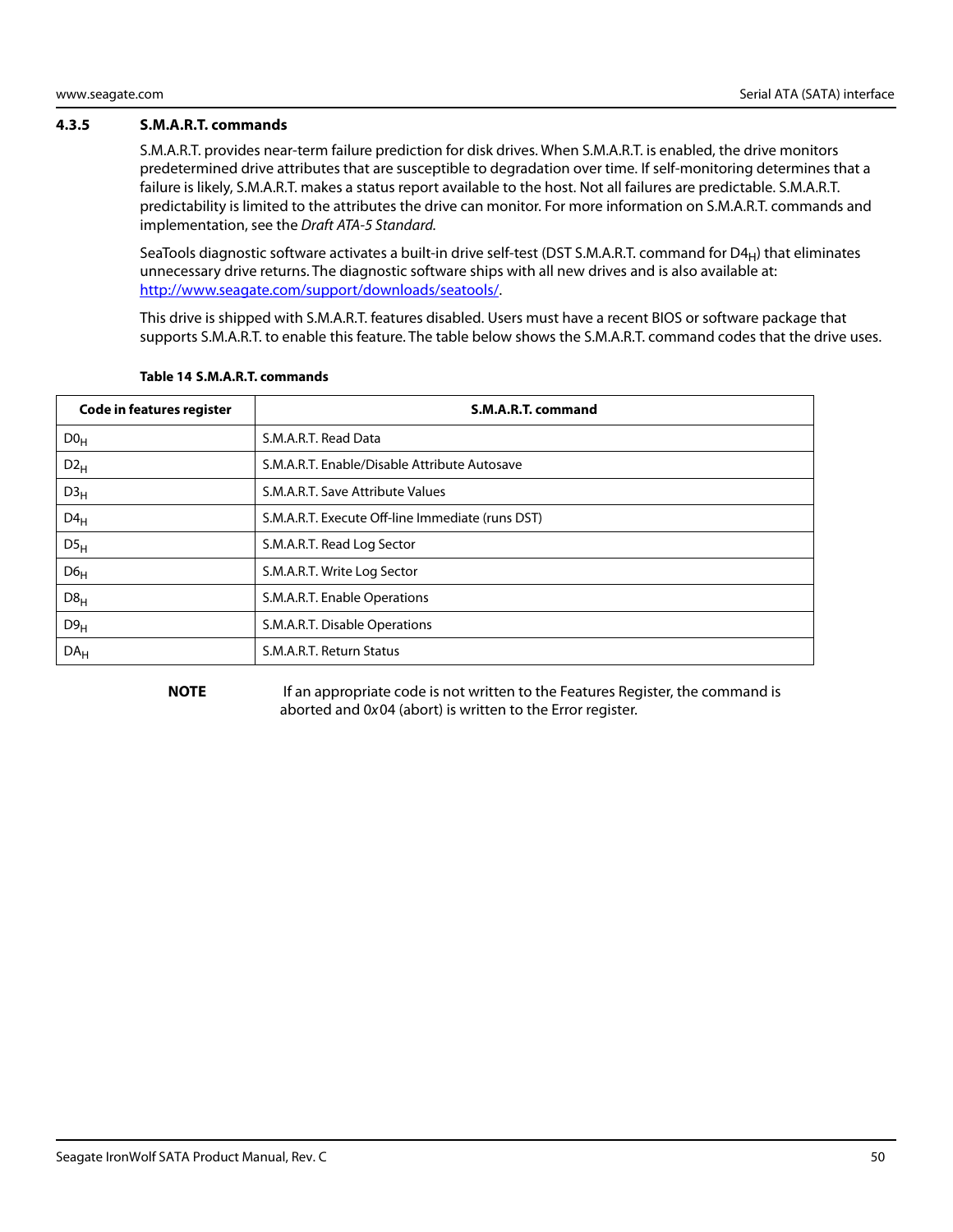#### <span id="page-50-0"></span>**4.3.5 S.M.A.R.T. commands**

S.M.A.R.T. provides near-term failure prediction for disk drives. When S.M.A.R.T. is enabled, the drive monitors predetermined drive attributes that are susceptible to degradation over time. If self-monitoring determines that a failure is likely, S.M.A.R.T. makes a status report available to the host. Not all failures are predictable. S.M.A.R.T. predictability is limited to the attributes the drive can monitor. For more information on S.M.A.R.T. commands and implementation, see the Draft ATA-5 Standard.

SeaTools diagnostic software activates a built-in drive self-test (DST S.M.A.R.T. command for  $D4_H$ ) that eliminates unnecessary drive returns. The diagnostic software ships with all new drives and is also available at: [http://www.seagate.com/support/downloads/seatools/.](http://www.seagate.com/support/downloads/seatools/ )

This drive is shipped with S.M.A.R.T. features disabled. Users must have a recent BIOS or software package that supports S.M.A.R.T. to enable this feature. The table below shows the S.M.A.R.T. command codes that the drive uses.

| <b>Code in features register</b> | S.M.A.R.T. command                               |
|----------------------------------|--------------------------------------------------|
| D0 <sub>H</sub>                  | S.M.A.R.T. Read Data                             |
| $D2_{H}$                         | S.M.A.R.T. Enable/Disable Attribute Autosave     |
| D3 <sub>H</sub>                  | S.M.A.R.T. Save Attribute Values                 |
| $D4_H$                           | S.M.A.R.T. Execute Off-line Immediate (runs DST) |
| $DS_{H}$                         | S.M.A.R.T. Read Log Sector                       |
| D6 <sub>H</sub>                  | S.M.A.R.T. Write Log Sector                      |
| D8 <sub>H</sub>                  | S.M.A.R.T. Enable Operations                     |
| D9 <sub>H</sub>                  | S.M.A.R.T. Disable Operations                    |
| DA <sub>H</sub>                  | S.M.A.R.T. Return Status                         |

#### **Table 14 S.M.A.R.T. commands**

**NOTE** If an appropriate code is not written to the Features Register, the command is aborted and 0x04 (abort) is written to the Error register.